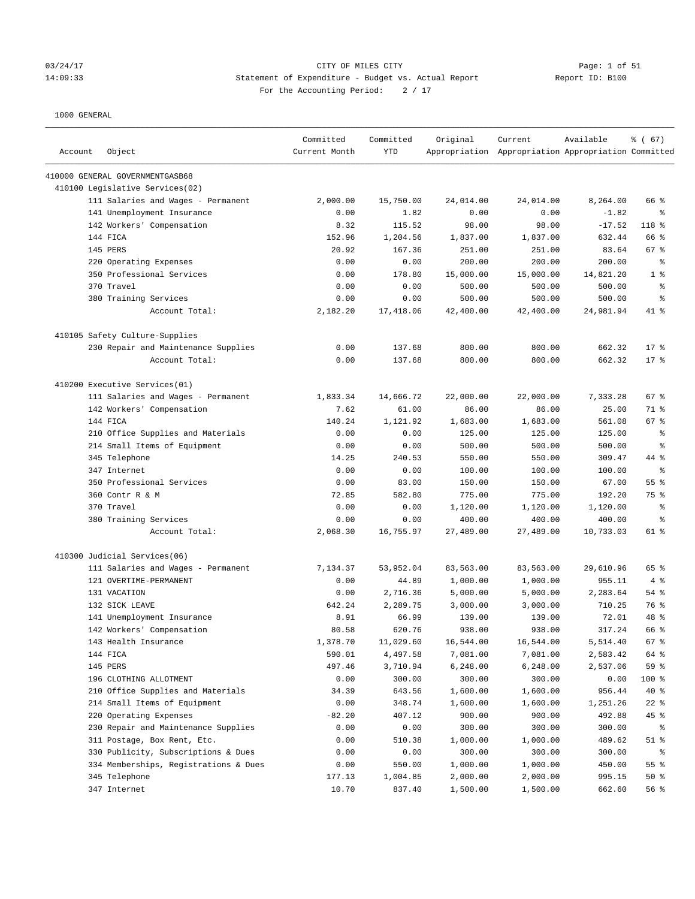# 03/24/17 Page: 1 of 51 14:09:33 Statement of Expenditure - Budget vs. Actual Report Report ID: B100 For the Accounting Period:  $2 / 17$

| Account | Object                                | Committed<br>Current Month | Committed<br><b>YTD</b> | Original  | Current<br>Appropriation Appropriation Appropriation Committed | Available | % (67)         |
|---------|---------------------------------------|----------------------------|-------------------------|-----------|----------------------------------------------------------------|-----------|----------------|
|         | 410000 GENERAL GOVERNMENTGASB68       |                            |                         |           |                                                                |           |                |
|         | 410100 Legislative Services(02)       |                            |                         |           |                                                                |           |                |
|         | 111 Salaries and Wages - Permanent    | 2,000.00                   | 15,750.00               | 24,014.00 | 24,014.00                                                      | 8,264.00  | 66 %           |
|         | 141 Unemployment Insurance            | 0.00                       | 1.82                    | 0.00      | 0.00                                                           | $-1.82$   | နွ             |
|         | 142 Workers' Compensation             | 8.32                       | 115.52                  | 98.00     | 98.00                                                          | $-17.52$  | 118 %          |
|         | 144 FICA                              | 152.96                     | 1,204.56                | 1,837.00  | 1,837.00                                                       | 632.44    | 66 %           |
|         | <b>145 PERS</b>                       | 20.92                      | 167.36                  | 251.00    | 251.00                                                         | 83.64     | 67 %           |
|         | 220 Operating Expenses                | 0.00                       | 0.00                    | 200.00    | 200.00                                                         | 200.00    | ႜ              |
|         | 350 Professional Services             | 0.00                       | 178.80                  | 15,000.00 | 15,000.00                                                      | 14,821.20 | 1 <sup>8</sup> |
|         | 370 Travel                            | 0.00                       | 0.00                    | 500.00    | 500.00                                                         | 500.00    | $\epsilon$     |
|         | 380 Training Services                 | 0.00                       | 0.00                    | 500.00    | 500.00                                                         | 500.00    | နွ             |
|         | Account Total:                        | 2,182.20                   | 17,418.06               | 42,400.00 | 42,400.00                                                      | 24,981.94 | 41 %           |
|         | 410105 Safety Culture-Supplies        |                            |                         |           |                                                                |           |                |
|         | 230 Repair and Maintenance Supplies   | 0.00                       | 137.68                  | 800.00    | 800.00                                                         | 662.32    | $17$ %         |
|         | Account Total:                        | 0.00                       | 137.68                  | 800.00    | 800.00                                                         | 662.32    | $17*$          |
|         | 410200 Executive Services(01)         |                            |                         |           |                                                                |           |                |
|         | 111 Salaries and Wages - Permanent    | 1,833.34                   | 14,666.72               | 22,000.00 | 22,000.00                                                      | 7,333.28  | 67 %           |
|         | 142 Workers' Compensation             | 7.62                       | 61.00                   | 86.00     | 86.00                                                          | 25.00     | 71 %           |
|         | 144 FICA                              | 140.24                     | 1,121.92                | 1,683.00  | 1,683.00                                                       | 561.08    | 67 %           |
|         | 210 Office Supplies and Materials     | 0.00                       | 0.00                    | 125.00    | 125.00                                                         | 125.00    | နွ             |
|         | 214 Small Items of Equipment          | 0.00                       | 0.00                    | 500.00    | 500.00                                                         | 500.00    | နွ             |
|         | 345 Telephone                         | 14.25                      | 240.53                  | 550.00    | 550.00                                                         | 309.47    | 44 %           |
|         | 347 Internet                          | 0.00                       | 0.00                    | 100.00    | 100.00                                                         | 100.00    | နွ             |
|         | 350 Professional Services             | 0.00                       | 83.00                   | 150.00    | 150.00                                                         | 67.00     | 55 %           |
|         | 360 Contr R & M                       | 72.85                      | 582.80                  | 775.00    | 775.00                                                         | 192.20    | 75 %           |
|         | 370 Travel                            | 0.00                       | 0.00                    | 1,120.00  | 1,120.00                                                       | 1,120.00  | နွ             |
|         | 380 Training Services                 | 0.00                       | 0.00                    | 400.00    | 400.00                                                         | 400.00    | နွ             |
|         | Account Total:                        | 2,068.30                   | 16,755.97               | 27,489.00 | 27,489.00                                                      | 10,733.03 | 61 %           |
|         | 410300 Judicial Services(06)          |                            |                         |           |                                                                |           |                |
|         | 111 Salaries and Wages - Permanent    | 7,134.37                   | 53,952.04               | 83,563.00 | 83,563.00                                                      | 29,610.96 | 65 %           |
|         | 121 OVERTIME-PERMANENT                | 0.00                       | 44.89                   | 1,000.00  | 1,000.00                                                       | 955.11    | 4%             |
|         | 131 VACATION                          | 0.00                       | 2,716.36                | 5,000.00  | 5,000.00                                                       | 2,283.64  | $54$ $%$       |
|         | 132 SICK LEAVE                        | 642.24                     | 2,289.75                | 3,000.00  | 3,000.00                                                       | 710.25    | 76 %           |
|         | 141 Unemployment Insurance            | 8.91                       | 66.99                   | 139.00    | 139.00                                                         | 72.01     | $48*$          |
|         | 142 Workers' Compensation             | 80.58                      | 620.76                  | 938.00    | 938.00                                                         | 317.24    | 66 %           |
|         | 143 Health Insurance                  | 1,378.70                   | 11,029.60               | 16,544.00 | 16,544.00                                                      | 5,514.40  | 67 %           |
|         | 144 FICA                              | 590.01                     | 4,497.58                | 7,081.00  | 7,081.00                                                       | 2,583.42  | 64 %           |
|         | 145 PERS                              | 497.46                     | 3,710.94                | 6,248.00  | 6,248.00                                                       | 2,537.06  | 59 %           |
|         | 196 CLOTHING ALLOTMENT                | 0.00                       | 300.00                  | 300.00    | 300.00                                                         | 0.00      | 100 %          |
|         | 210 Office Supplies and Materials     | 34.39                      | 643.56                  | 1,600.00  | 1,600.00                                                       | 956.44    | 40 %           |
|         | 214 Small Items of Equipment          | 0.00                       | 348.74                  | 1,600.00  | 1,600.00                                                       | 1,251.26  | $22$ %         |
|         | 220 Operating Expenses                | $-82.20$                   | 407.12                  | 900.00    | 900.00                                                         | 492.88    | 45%            |
|         | 230 Repair and Maintenance Supplies   | 0.00                       | 0.00                    | 300.00    | 300.00                                                         | 300.00    | ႜ              |
|         | 311 Postage, Box Rent, Etc.           | 0.00                       | 510.38                  | 1,000.00  | 1,000.00                                                       | 489.62    | $51$ %         |
|         | 330 Publicity, Subscriptions & Dues   | 0.00                       | 0.00                    | 300.00    | 300.00                                                         | 300.00    | နွ             |
|         | 334 Memberships, Registrations & Dues | 0.00                       | 550.00                  | 1,000.00  | 1,000.00                                                       | 450.00    | 55%            |
|         | 345 Telephone                         | 177.13                     | 1,004.85                | 2,000.00  | 2,000.00                                                       | 995.15    | $50*$          |
|         | 347 Internet                          | 10.70                      | 837.40                  | 1,500.00  | 1,500.00                                                       | 662.60    | 56%            |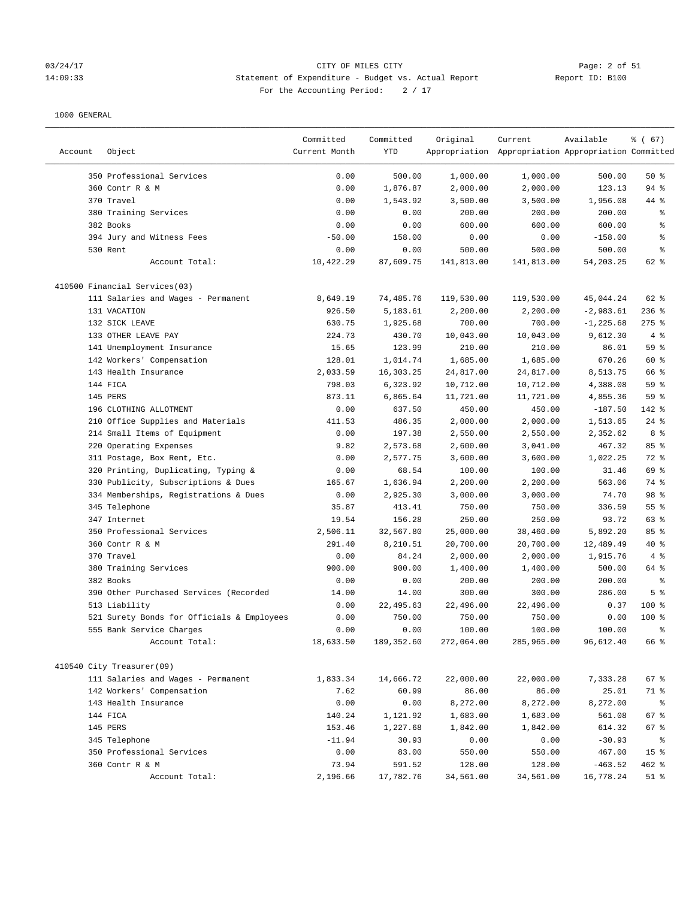#### 03/24/17 CITY OF MILES CITY Page: 2 of 51 14:09:33 Statement of Expenditure - Budget vs. Actual Report Report ID: B100 For the Accounting Period:  $2 / 17$

|         |                                            | Committed     | Committed   | Original   | Current                                             | Available    | % (67)          |
|---------|--------------------------------------------|---------------|-------------|------------|-----------------------------------------------------|--------------|-----------------|
| Account | Object                                     | Current Month | YTD         |            | Appropriation Appropriation Appropriation Committed |              |                 |
|         |                                            |               |             |            |                                                     |              |                 |
|         | 350 Professional Services                  | 0.00          | 500.00      | 1,000.00   | 1,000.00                                            | 500.00       | 50%             |
|         | 360 Contr R & M                            | 0.00          | 1,876.87    | 2,000.00   | 2,000.00                                            | 123.13       | 94 %            |
|         | 370 Travel                                 | 0.00          | 1,543.92    | 3,500.00   | 3,500.00                                            | 1,956.08     | 44 %            |
|         | 380 Training Services                      | 0.00          | 0.00        | 200.00     | 200.00                                              | 200.00       | ್ಠಿ             |
|         | 382 Books                                  | 0.00          | 0.00        | 600.00     | 600.00                                              | 600.00       | ి               |
|         | 394 Jury and Witness Fees                  | $-50.00$      | 158.00      | 0.00       | 0.00                                                | $-158.00$    | る               |
|         | 530 Rent                                   | 0.00          | 0.00        | 500.00     | 500.00                                              | 500.00       | နွ              |
|         | Account Total:                             | 10,422.29     | 87,609.75   | 141,813.00 | 141,813.00                                          | 54,203.25    | 62 %            |
|         | 410500 Financial Services(03)              |               |             |            |                                                     |              |                 |
|         | 111 Salaries and Wages - Permanent         | 8,649.19      | 74,485.76   | 119,530.00 | 119,530.00                                          | 45,044.24    | 62 %            |
|         | 131 VACATION                               | 926.50        | 5,183.61    | 2,200.00   | 2,200.00                                            | $-2,983.61$  | $236$ %         |
|         | 132 SICK LEAVE                             | 630.75        | 1,925.68    | 700.00     | 700.00                                              | $-1, 225.68$ | $275$ $%$       |
|         | 133 OTHER LEAVE PAY                        | 224.73        | 430.70      | 10,043.00  | 10,043.00                                           | 9,612.30     | 4%              |
|         | 141 Unemployment Insurance                 | 15.65         | 123.99      | 210.00     | 210.00                                              | 86.01        | 59 %            |
|         | 142 Workers' Compensation                  | 128.01        | 1,014.74    | 1,685.00   | 1,685.00                                            | 670.26       | 60 %            |
|         | 143 Health Insurance                       | 2,033.59      | 16, 303. 25 | 24,817.00  | 24,817.00                                           | 8,513.75     | 66 %            |
|         | 144 FICA                                   | 798.03        | 6,323.92    | 10,712.00  | 10,712.00                                           | 4,388.08     | 59 %            |
|         | 145 PERS                                   | 873.11        | 6,865.64    | 11,721.00  | 11,721.00                                           | 4,855.36     | 59 %            |
|         | 196 CLOTHING ALLOTMENT                     | 0.00          | 637.50      | 450.00     | 450.00                                              | $-187.50$    | 142 %           |
|         | 210 Office Supplies and Materials          | 411.53        | 486.35      | 2,000.00   | 2,000.00                                            | 1,513.65     | $24$ %          |
|         | 214 Small Items of Equipment               | 0.00          | 197.38      | 2,550.00   | 2,550.00                                            | 2,352.62     | 8 %             |
|         | 220 Operating Expenses                     | 9.82          | 2,573.68    | 2,600.00   | 3,041.00                                            | 467.32       | 85%             |
|         | 311 Postage, Box Rent, Etc.                | 0.00          | 2,577.75    | 3,600.00   | 3,600.00                                            | 1,022.25     | 72 %            |
|         | 320 Printing, Duplicating, Typing &        | 0.00          | 68.54       | 100.00     | 100.00                                              | 31.46        | 69 %            |
|         | 330 Publicity, Subscriptions & Dues        | 165.67        | 1,636.94    | 2,200.00   | 2,200.00                                            | 563.06       | 74 %            |
|         | 334 Memberships, Registrations & Dues      | 0.00          | 2,925.30    | 3,000.00   | 3,000.00                                            | 74.70        | 98 %            |
|         | 345 Telephone                              | 35.87         | 413.41      | 750.00     | 750.00                                              | 336.59       | 55 %            |
|         | 347 Internet                               | 19.54         | 156.28      | 250.00     | 250.00                                              | 93.72        | 63 %            |
|         | 350 Professional Services                  | 2,506.11      | 32,567.80   | 25,000.00  | 38,460.00                                           | 5,892.20     | 85%             |
|         | 360 Contr R & M                            | 291.40        | 8,210.51    | 20,700.00  | 20,700.00                                           | 12,489.49    | 40 %            |
|         | 370 Travel                                 | 0.00          | 84.24       | 2,000.00   | 2,000.00                                            | 1,915.76     | 4%              |
|         | 380 Training Services                      | 900.00        | 900.00      | 1,400.00   | 1,400.00                                            | 500.00       | 64 %            |
|         | 382 Books                                  | 0.00          | 0.00        | 200.00     | 200.00                                              | 200.00       | ి               |
|         | 390 Other Purchased Services (Recorded     | 14.00         | 14.00       | 300.00     | 300.00                                              | 286.00       | 5 <sup>°</sup>  |
|         | 513 Liability                              | 0.00          | 22,495.63   | 22,496.00  | 22,496.00                                           | 0.37         | $100$ %         |
|         | 521 Surety Bonds for Officials & Employees | 0.00          | 750.00      | 750.00     | 750.00                                              | 0.00         | $100$ %         |
|         | 555 Bank Service Charges                   | 0.00          | 0.00        | 100.00     | 100.00                                              | 100.00       | ま               |
|         | Account Total:                             | 18,633.50     | 189,352.60  | 272,064.00 | 285,965.00                                          | 96,612.40    | 66 %            |
|         |                                            |               |             |            |                                                     |              |                 |
|         | 410540 City Treasurer(09)                  |               |             |            |                                                     |              |                 |
|         | 111 Salaries and Wages - Permanent         | 1,833.34      | 14,666.72   | 22,000.00  | 22,000.00                                           | 7,333.28     | 67 %            |
|         | 142 Workers' Compensation                  | 7.62          | 60.99       | 86.00      | 86.00                                               | 25.01        | 71 %            |
|         | 143 Health Insurance                       | 0.00          | 0.00        | 8,272.00   | 8,272.00                                            | 8,272.00     | ႜ               |
|         | 144 FICA                                   | 140.24        | 1,121.92    | 1,683.00   | 1,683.00                                            | 561.08       | 67 %            |
|         | 145 PERS                                   | 153.46        | 1,227.68    | 1,842.00   | 1,842.00                                            | 614.32       | $67$ %          |
|         | 345 Telephone                              | $-11.94$      | 30.93       | 0.00       | 0.00                                                | $-30.93$     | ိ               |
|         | 350 Professional Services                  | 0.00          | 83.00       | 550.00     | 550.00                                              | 467.00       | 15 <sup>°</sup> |
|         | 360 Contr R & M                            | 73.94         | 591.52      | 128.00     | 128.00                                              | $-463.52$    | 462 %           |
|         | Account Total:                             | 2,196.66      | 17,782.76   | 34,561.00  | 34,561.00                                           | 16,778.24    | $51$ %          |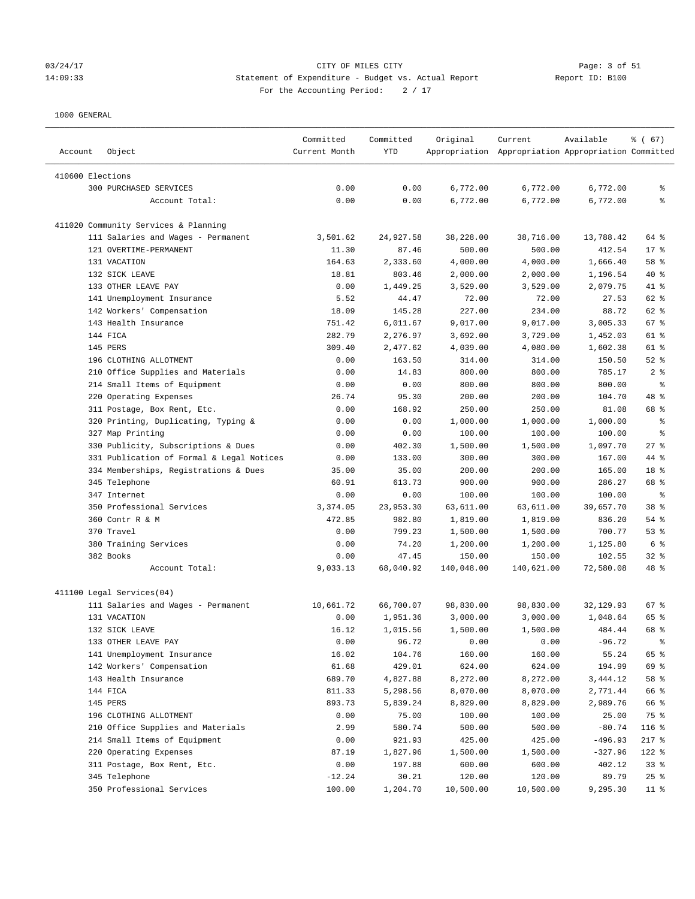# 03/24/17 Page: 3 of 51 14:09:33 Statement of Expenditure - Budget vs. Actual Report Changer Report ID: B100 For the Accounting Period: 2 / 17

| Object<br>Account                                               | Committed<br>Current Month | Committed<br>YTD | Original   | Current<br>Appropriation Appropriation Appropriation Committed | Available       | % (67)         |
|-----------------------------------------------------------------|----------------------------|------------------|------------|----------------------------------------------------------------|-----------------|----------------|
| 410600 Elections                                                |                            |                  |            |                                                                |                 |                |
| 300 PURCHASED SERVICES                                          | 0.00                       | 0.00             | 6,772.00   | 6,772.00                                                       | 6,772.00        | ႜ              |
| Account Total:                                                  | 0.00                       | 0.00             | 6,772.00   | 6,772.00                                                       | 6,772.00        | ి              |
|                                                                 |                            |                  |            |                                                                |                 |                |
| 411020 Community Services & Planning                            |                            |                  |            |                                                                |                 |                |
| 111 Salaries and Wages - Permanent                              | 3,501.62                   | 24,927.58        | 38,228.00  | 38,716.00                                                      | 13,788.42       | 64 %           |
| 121 OVERTIME-PERMANENT                                          | 11.30                      | 87.46            | 500.00     | 500.00                                                         | 412.54          | $17*$          |
| 131 VACATION                                                    | 164.63                     | 2,333.60         | 4,000.00   | 4,000.00                                                       | 1,666.40        | 58 %           |
| 132 SICK LEAVE                                                  | 18.81                      | 803.46           | 2,000.00   | 2,000.00                                                       | 1,196.54        | $40*$          |
| 133 OTHER LEAVE PAY                                             | 0.00                       | 1,449.25         | 3,529.00   | 3,529.00                                                       | 2,079.75        | 41 %           |
| 141 Unemployment Insurance                                      | 5.52                       | 44.47            | 72.00      | 72.00                                                          | 27.53           | 62 %           |
| 142 Workers' Compensation                                       | 18.09                      | 145.28           | 227.00     | 234.00                                                         | 88.72           | 62 %           |
| 143 Health Insurance                                            | 751.42                     | 6,011.67         | 9,017.00   | 9,017.00                                                       | 3,005.33        | 67 %           |
| 144 FICA                                                        | 282.79                     | 2,276.97         | 3,692.00   | 3,729.00                                                       | 1,452.03        | 61 %           |
| 145 PERS                                                        | 309.40                     | 2,477.62         | 4,039.00   | 4,080.00                                                       | 1,602.38        | 61 %           |
| 196 CLOTHING ALLOTMENT                                          | 0.00                       | 163.50           | 314.00     | 314.00                                                         | 150.50          | $52$ $%$       |
| 210 Office Supplies and Materials                               | 0.00                       | 14.83            | 800.00     | 800.00                                                         | 785.17          | 2 <sup>8</sup> |
| 214 Small Items of Equipment                                    | 0.00                       | 0.00             | 800.00     | 800.00                                                         | 800.00          | နွ             |
| 220 Operating Expenses                                          | 26.74                      | 95.30            | 200.00     | 200.00                                                         | 104.70          | 48 %           |
| 311 Postage, Box Rent, Etc.                                     | 0.00                       | 168.92           | 250.00     | 250.00                                                         | 81.08           | 68 %           |
| 320 Printing, Duplicating, Typing &                             | 0.00                       | 0.00             | 1,000.00   | 1,000.00                                                       | 1,000.00        | နွ             |
| 327 Map Printing                                                | 0.00                       | 0.00             | 100.00     | 100.00                                                         | 100.00          | နွ             |
| 330 Publicity, Subscriptions & Dues                             | 0.00                       | 402.30           | 1,500.00   | 1,500.00                                                       | 1,097.70        | $27$ %         |
| 331 Publication of Formal & Legal Notices                       | 0.00                       | 133.00           | 300.00     | 300.00                                                         | 167.00          | 44 %           |
| 334 Memberships, Registrations & Dues                           | 35.00                      | 35.00            | 200.00     | 200.00                                                         | 165.00          | 18 %           |
| 345 Telephone                                                   | 60.91                      | 613.73           | 900.00     | 900.00                                                         | 286.27          | 68 %           |
| 347 Internet                                                    | 0.00                       | 0.00             | 100.00     | 100.00                                                         | 100.00          | ႜ              |
| 350 Professional Services                                       | 3,374.05                   | 23,953.30        | 63,611.00  | 63,611.00                                                      | 39,657.70       | 38 %           |
| 360 Contr R & M                                                 | 472.85                     | 982.80           | 1,819.00   | 1,819.00                                                       | 836.20          | 54 %           |
| 370 Travel                                                      | 0.00                       | 799.23           | 1,500.00   | 1,500.00                                                       | 700.77          | 53%            |
| 380 Training Services                                           | 0.00                       | 74.20            | 1,200.00   | 1,200.00                                                       | 1,125.80        | 6%             |
| 382 Books                                                       | 0.00                       | 47.45            | 150.00     | 150.00                                                         | 102.55          | $32$ $%$       |
| Account Total:                                                  | 9,033.13                   | 68,040.92        | 140,048.00 | 140,621.00                                                     | 72,580.08       | 48 %           |
|                                                                 |                            |                  |            |                                                                |                 |                |
| 411100 Legal Services(04)<br>111 Salaries and Wages - Permanent | 10,661.72                  | 66,700.07        | 98,830.00  | 98,830.00                                                      | 32,129.93       | 67%            |
| 131 VACATION                                                    | 0.00                       | 1,951.36         | 3,000.00   | 3,000.00                                                       | 1,048.64        | 65 %           |
| 132 SICK LEAVE                                                  | 16.12                      | 1,015.56         | 1,500.00   | 1,500.00                                                       | 484.44          | 68 %           |
| 133 OTHER LEAVE PAY                                             | 0.00                       | 96.72            | 0.00       | 0.00                                                           | $-96.72$        |                |
| 141 Unemployment Insurance                                      | 16.02                      | 104.76           | 160.00     | 160.00                                                         | 55.24           | 65 %           |
| 142 Workers' Compensation                                       | 61.68                      | 429.01           | 624.00     | 624.00                                                         | 194.99          | 69 %           |
| 143 Health Insurance                                            | 689.70                     | 4,827.88         | 8,272.00   | 8,272.00                                                       | 3,444.12        | 58 %           |
| 144 FICA                                                        | 811.33                     | 5,298.56         | 8,070.00   | 8,070.00                                                       | 2,771.44        | 66 %           |
| 145 PERS                                                        | 893.73                     | 5,839.24         | 8,829.00   | 8,829.00                                                       | 2,989.76        | 66 %           |
| 196 CLOTHING ALLOTMENT                                          | 0.00                       | 75.00            | 100.00     | 100.00                                                         | 25.00           | 75 %           |
| 210 Office Supplies and Materials                               | 2.99                       | 580.74           | 500.00     | 500.00                                                         | $-80.74$        | 116 %          |
| 214 Small Items of Equipment                                    | 0.00                       | 921.93           | 425.00     | 425.00                                                         | $-496.93$       | $217$ %        |
| 220 Operating Expenses                                          | 87.19                      | 1,827.96         | 1,500.00   | 1,500.00                                                       | $-327.96$       | 122 %          |
| 311 Postage, Box Rent, Etc.                                     | 0.00                       | 197.88           | 600.00     |                                                                |                 | 33%            |
| 345 Telephone                                                   | $-12.24$                   | 30.21            | 120.00     | 600.00<br>120.00                                               | 402.12<br>89.79 | 25%            |
| 350 Professional Services                                       | 100.00                     | 1,204.70         | 10,500.00  | 10,500.00                                                      | 9,295.30        | $11$ %         |
|                                                                 |                            |                  |            |                                                                |                 |                |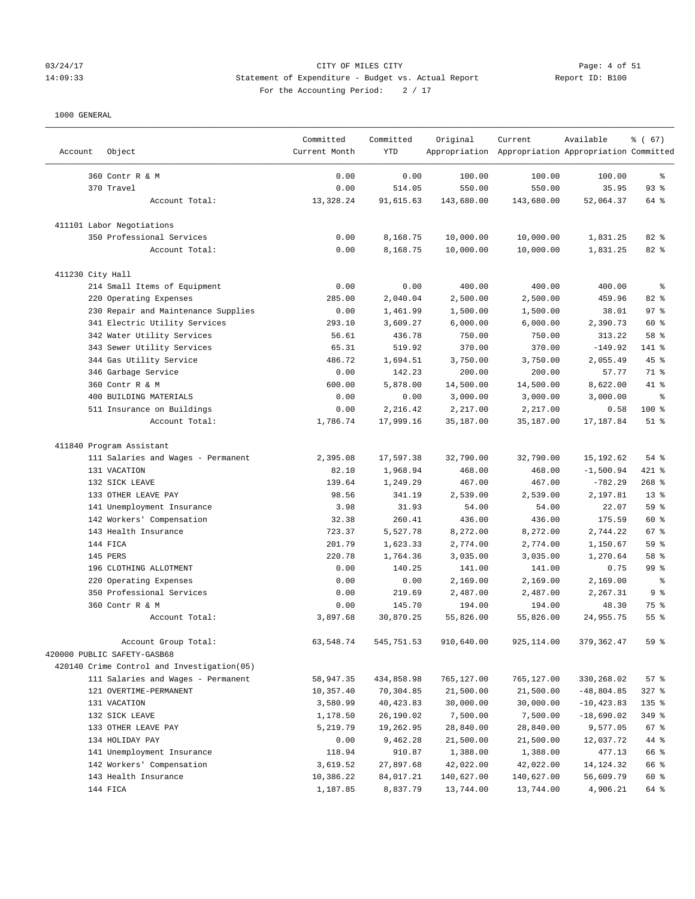# 03/24/17 Page: 4 of 51 14:09:33 Statement of Expenditure - Budget vs. Actual Report Report ID: B100 For the Accounting Period:  $2 / 17$

————————————————————————————————————————————————————————————————————————————————————————————————————————————————————————————————————

|                  |                                            | Committed     | Committed  | Original   | Current                                             | Available     | % (67)     |
|------------------|--------------------------------------------|---------------|------------|------------|-----------------------------------------------------|---------------|------------|
| Account          | Object                                     | Current Month | <b>YTD</b> |            | Appropriation Appropriation Appropriation Committed |               |            |
|                  | 360 Contr R & M                            | 0.00          | 0.00       | 100.00     | 100.00                                              | 100.00        | $\epsilon$ |
|                  | 370 Travel                                 | 0.00          | 514.05     | 550.00     | 550.00                                              | 35.95         | 93%        |
|                  | Account Total:                             | 13,328.24     | 91,615.63  | 143,680.00 | 143,680.00                                          | 52,064.37     | 64 %       |
|                  | 411101 Labor Negotiations                  |               |            |            |                                                     |               |            |
|                  | 350 Professional Services                  | 0.00          | 8,168.75   | 10,000.00  | 10,000.00                                           | 1,831.25      | 82 %       |
|                  | Account Total:                             | 0.00          | 8,168.75   | 10,000.00  | 10,000.00                                           | 1,831.25      | 82%        |
| 411230 City Hall |                                            |               |            |            |                                                     |               |            |
|                  | 214 Small Items of Equipment               | 0.00          | 0.00       | 400.00     | 400.00                                              | 400.00        | $\epsilon$ |
|                  | 220 Operating Expenses                     | 285.00        | 2,040.04   | 2,500.00   | 2,500.00                                            | 459.96        | 82 %       |
|                  | 230 Repair and Maintenance Supplies        | 0.00          | 1,461.99   | 1,500.00   | 1,500.00                                            | 38.01         | 97%        |
|                  | 341 Electric Utility Services              | 293.10        | 3,609.27   | 6,000.00   | 6,000.00                                            | 2,390.73      | 60 %       |
|                  | 342 Water Utility Services                 | 56.61         | 436.78     | 750.00     | 750.00                                              | 313.22        | 58 %       |
|                  | 343 Sewer Utility Services                 | 65.31         | 519.92     | 370.00     | 370.00                                              | $-149.92$     | 141 %      |
|                  | 344 Gas Utility Service                    | 486.72        | 1,694.51   | 3,750.00   | 3,750.00                                            | 2,055.49      | $45$ %     |
|                  | 346 Garbage Service                        | 0.00          | 142.23     | 200.00     | 200.00                                              | 57.77         | 71 %       |
|                  | 360 Contr R & M                            | 600.00        | 5,878.00   | 14,500.00  | 14,500.00                                           | 8,622.00      | 41 %       |
|                  | 400 BUILDING MATERIALS                     | 0.00          | 0.00       | 3,000.00   | 3,000.00                                            | 3,000.00      | နွ         |
|                  | 511 Insurance on Buildings                 | 0.00          | 2,216.42   | 2,217.00   | 2,217.00                                            | 0.58          | 100 %      |
|                  | Account Total:                             | 1,786.74      | 17,999.16  | 35,187.00  | 35,187.00                                           | 17,187.84     | $51$ %     |
|                  | 411840 Program Assistant                   |               |            |            |                                                     |               |            |
|                  | 111 Salaries and Wages - Permanent         | 2,395.08      | 17,597.38  | 32,790.00  | 32,790.00                                           | 15,192.62     | $54$ %     |
|                  | 131 VACATION                               | 82.10         | 1,968.94   | 468.00     | 468.00                                              | $-1,500.94$   | 421 %      |
|                  | 132 SICK LEAVE                             | 139.64        | 1,249.29   | 467.00     | 467.00                                              | $-782.29$     | $268$ %    |
|                  | 133 OTHER LEAVE PAY                        | 98.56         | 341.19     | 2,539.00   | 2,539.00                                            | 2,197.81      | $13*$      |
|                  | 141 Unemployment Insurance                 | 3.98          | 31.93      | 54.00      | 54.00                                               | 22.07         | 59 %       |
|                  | 142 Workers' Compensation                  | 32.38         | 260.41     | 436.00     | 436.00                                              | 175.59        | 60 %       |
|                  | 143 Health Insurance                       | 723.37        | 5,527.78   | 8,272.00   | 8,272.00                                            | 2,744.22      | 67%        |
|                  | 144 FICA                                   | 201.79        | 1,623.33   | 2,774.00   | 2,774.00                                            | 1,150.67      | 59 %       |
|                  | 145 PERS                                   | 220.78        | 1,764.36   | 3,035.00   | 3,035.00                                            | 1,270.64      | 58 %       |
|                  | 196 CLOTHING ALLOTMENT                     | 0.00          | 140.25     | 141.00     | 141.00                                              | 0.75          | 99 %       |
|                  | 220 Operating Expenses                     | 0.00          | 0.00       | 2,169.00   | 2,169.00                                            | 2,169.00      | နွ         |
|                  | 350 Professional Services                  | 0.00          | 219.69     | 2,487.00   | 2,487.00                                            | 2,267.31      | 9%         |
|                  | 360 Contr R & M                            | 0.00          | 145.70     | 194.00     | 194.00                                              | 48.30         | 75 %       |
|                  | Account Total:                             | 3,897.68      | 30,870.25  | 55,826.00  | 55,826.00                                           | 24,955.75     | 55%        |
|                  | Account Group Total:                       | 63,548.74     | 545,751.53 | 910,640.00 | 925,114.00                                          | 379, 362.47   | 59 %       |
|                  | 420000 PUBLIC SAFETY-GASB68                |               |            |            |                                                     |               |            |
|                  | 420140 Crime Control and Investigation(05) |               |            |            |                                                     |               |            |
|                  | 111 Salaries and Wages - Permanent         | 58,947.35     | 434,858.98 | 765,127.00 | 765,127.00                                          | 330,268.02    | 57%        |
|                  | 121 OVERTIME-PERMANENT                     | 10,357.40     | 70,304.85  | 21,500.00  | 21,500.00                                           | $-48,804.85$  | $327$ $%$  |
|                  | 131 VACATION                               | 3,580.99      | 40,423.83  | 30,000.00  | 30,000.00                                           | $-10, 423.83$ | 135 %      |
|                  | 132 SICK LEAVE                             | 1,178.50      | 26,190.02  | 7,500.00   | 7,500.00                                            | $-18,690.02$  | 349 %      |
|                  | 133 OTHER LEAVE PAY                        | 5,219.79      | 19,262.95  | 28,840.00  | 28,840.00                                           | 9,577.05      | 67 %       |
|                  | 134 HOLIDAY PAY                            | 0.00          | 9,462.28   | 21,500.00  | 21,500.00                                           | 12,037.72     | 44 %       |
|                  | 141 Unemployment Insurance                 | 118.94        | 910.87     | 1,388.00   | 1,388.00                                            | 477.13        | 66 %       |
|                  | 142 Workers' Compensation                  | 3,619.52      | 27,897.68  | 42,022.00  | 42,022.00                                           | 14, 124. 32   | 66 %       |
|                  | 143 Health Insurance                       | 10,386.22     | 84,017.21  | 140,627.00 | 140,627.00                                          | 56,609.79     | 60 %       |
|                  | 144 FICA                                   | 1,187.85      | 8,837.79   | 13,744.00  | 13,744.00                                           | 4,906.21      | 64 %       |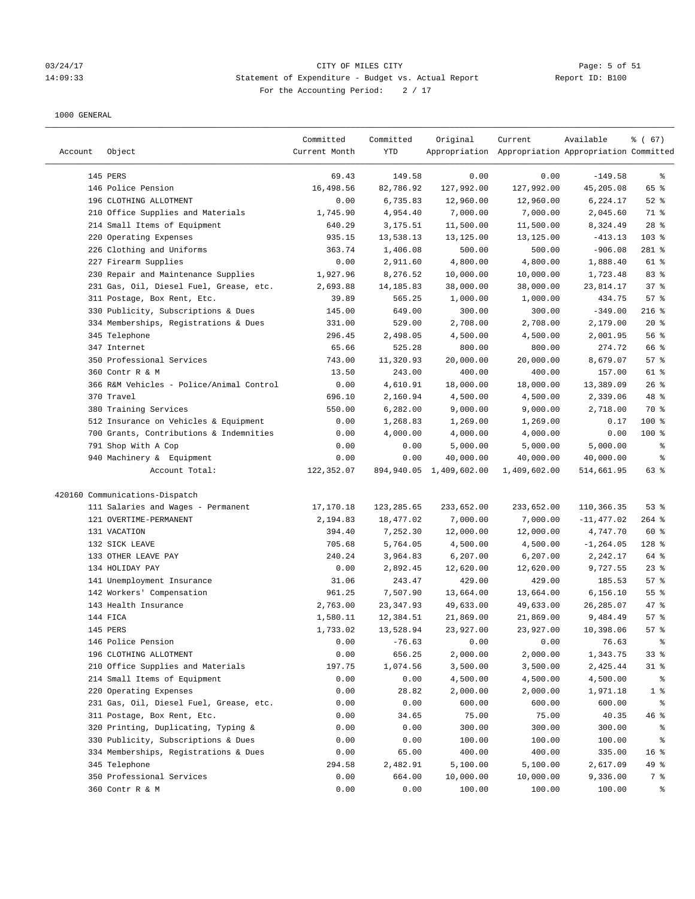# 03/24/17 Page: 5 of 51 14:09:33 Statement of Expenditure - Budget vs. Actual Report Report ID: B100 For the Accounting Period:  $2 / 17$

| Account | Object                                   | Committed<br>Current Month | Committed<br>YTD | Original                   | Current<br>Appropriation Appropriation Appropriation Committed | Available    | % (67)          |
|---------|------------------------------------------|----------------------------|------------------|----------------------------|----------------------------------------------------------------|--------------|-----------------|
|         | 145 PERS                                 | 69.43                      | 149.58           | 0.00                       | 0.00                                                           | $-149.58$    | ွေ              |
|         | 146 Police Pension                       | 16,498.56                  | 82,786.92        | 127,992.00                 | 127,992.00                                                     | 45,205.08    | 65 %            |
|         | 196 CLOTHING ALLOTMENT                   | 0.00                       | 6,735.83         | 12,960.00                  | 12,960.00                                                      | 6,224.17     | $52$ $%$        |
|         | 210 Office Supplies and Materials        | 1,745.90                   | 4,954.40         | 7,000.00                   | 7,000.00                                                       | 2,045.60     | 71 %            |
|         | 214 Small Items of Equipment             | 640.29                     | 3,175.51         | 11,500.00                  | 11,500.00                                                      | 8,324.49     | $28$ %          |
|         | 220 Operating Expenses                   | 935.15                     | 13,538.13        | 13,125.00                  | 13,125.00                                                      | $-413.13$    | 103 %           |
|         | 226 Clothing and Uniforms                | 363.74                     | 1,406.08         | 500.00                     | 500.00                                                         | $-906.08$    | 281 %           |
|         | 227 Firearm Supplies                     | 0.00                       | 2,911.60         | 4,800.00                   | 4,800.00                                                       | 1,888.40     | 61 %            |
|         | 230 Repair and Maintenance Supplies      | 1,927.96                   | 8,276.52         | 10,000.00                  | 10,000.00                                                      | 1,723.48     | 83 %            |
|         | 231 Gas, Oil, Diesel Fuel, Grease, etc.  | 2,693.88                   | 14, 185.83       | 38,000.00                  | 38,000.00                                                      | 23,814.17    | 37%             |
|         | 311 Postage, Box Rent, Etc.              | 39.89                      | 565.25           | 1,000.00                   | 1,000.00                                                       | 434.75       | 57%             |
|         | 330 Publicity, Subscriptions & Dues      | 145.00                     | 649.00           | 300.00                     | 300.00                                                         | $-349.00$    | $216$ %         |
|         | 334 Memberships, Registrations & Dues    | 331.00                     | 529.00           | 2,708.00                   | 2,708.00                                                       | 2,179.00     | $20*$           |
|         | 345 Telephone                            | 296.45                     | 2,498.05         | 4,500.00                   | 4,500.00                                                       | 2,001.95     | 56%             |
|         | 347 Internet                             | 65.66                      | 525.28           | 800.00                     | 800.00                                                         | 274.72       | 66 %            |
|         | 350 Professional Services                | 743.00                     | 11,320.93        | 20,000.00                  | 20,000.00                                                      | 8,679.07     | 57%             |
|         | 360 Contr R & M                          | 13.50                      | 243.00           | 400.00                     | 400.00                                                         | 157.00       | 61 %            |
|         | 366 R&M Vehicles - Police/Animal Control | 0.00                       | 4,610.91         | 18,000.00                  | 18,000.00                                                      | 13,389.09    | $26$ %          |
|         | 370 Travel                               | 696.10                     | 2,160.94         | 4,500.00                   | 4,500.00                                                       | 2,339.06     | 48 %            |
|         | 380 Training Services                    | 550.00                     | 6,282.00         | 9,000.00                   | 9,000.00                                                       | 2,718.00     | 70 %            |
|         | 512 Insurance on Vehicles & Equipment    | 0.00                       | 1,268.83         | 1,269.00                   | 1,269.00                                                       | 0.17         | 100 %           |
|         | 700 Grants, Contributions & Indemnities  | 0.00                       | 4,000.00         | 4,000.00                   | 4,000.00                                                       | 0.00         | $100$ %         |
|         | 791 Shop With A Cop                      | 0.00                       | 0.00             | 5,000.00                   | 5,000.00                                                       | 5,000.00     | နွ              |
|         | 940 Machinery & Equipment                | 0.00                       | 0.00             | 40,000.00                  | 40,000.00                                                      | 40,000.00    | ್ಠಿ             |
|         | Account Total:                           | 122,352.07                 |                  | 894, 940.05 1, 409, 602.00 | 1,409,602.00                                                   | 514,661.95   | 63%             |
|         | 420160 Communications-Dispatch           |                            |                  |                            |                                                                |              |                 |
|         | 111 Salaries and Wages - Permanent       | 17,170.18                  | 123, 285.65      | 233,652.00                 | 233,652.00                                                     | 110,366.35   | 53%             |
|         | 121 OVERTIME-PERMANENT                   | 2,194.83                   | 18,477.02        | 7,000.00                   | 7,000.00                                                       | $-11,477.02$ | $264$ %         |
|         | 131 VACATION                             | 394.40                     | 7,252.30         | 12,000.00                  | 12,000.00                                                      | 4,747.70     | 60 %            |
|         | 132 SICK LEAVE                           | 705.68                     | 5,764.05         | 4,500.00                   | 4,500.00                                                       | $-1, 264.05$ | 128 %           |
|         | 133 OTHER LEAVE PAY                      | 240.24                     | 3,964.83         | 6, 207.00                  | 6,207.00                                                       | 2,242.17     | 64 %            |
|         | 134 HOLIDAY PAY                          | 0.00                       | 2,892.45         | 12,620.00                  | 12,620.00                                                      | 9,727.55     | $23$ $%$        |
|         | 141 Unemployment Insurance               | 31.06                      | 243.47           | 429.00                     | 429.00                                                         | 185.53       | 57%             |
|         | 142 Workers' Compensation                | 961.25                     | 7,507.90         | 13,664.00                  | 13,664.00                                                      | 6,156.10     | 55%             |
|         | 143 Health Insurance                     | 2,763.00                   | 23, 347.93       | 49,633.00                  | 49,633.00                                                      | 26,285.07    | 47 %            |
|         | 144 FICA                                 | 1,580.11                   | 12,384.51        | 21,869.00                  | 21,869.00                                                      | 9,484.49     | 57%             |
|         | 145 PERS                                 | 1,733.02                   | 13,528.94        | 23,927.00                  | 23,927.00                                                      | 10,398.06    | 57%             |
|         | 146 Police Pension                       | 0.00                       | $-76.63$         | 0.00                       | 0.00                                                           | 76.63        | ိစ              |
|         | 196 CLOTHING ALLOTMENT                   | 0.00                       | 656.25           | 2,000.00                   | 2,000.00                                                       | 1,343.75     | 33%             |
|         | 210 Office Supplies and Materials        | 197.75                     | 1,074.56         | 3,500.00                   | 3,500.00                                                       | 2,425.44     | $31$ %          |
|         | 214 Small Items of Equipment             | 0.00                       | 0.00             | 4,500.00                   | 4,500.00                                                       | 4,500.00     | ႜ               |
|         | 220 Operating Expenses                   | 0.00                       | 28.82            | 2,000.00                   | 2,000.00                                                       | 1,971.18     | 1 <sup>8</sup>  |
|         | 231 Gas, Oil, Diesel Fuel, Grease, etc.  | 0.00                       | 0.00             | 600.00                     | 600.00                                                         | 600.00       | ိစ              |
|         | 311 Postage, Box Rent, Etc.              | 0.00                       | 34.65            | 75.00                      | 75.00                                                          | 40.35        | 46%             |
|         | 320 Printing, Duplicating, Typing &      | 0.00                       | 0.00             | 300.00                     | 300.00                                                         | 300.00       | ႜ               |
|         | 330 Publicity, Subscriptions & Dues      | 0.00                       | 0.00             | 100.00                     | 100.00                                                         | 100.00       | ိစ              |
|         | 334 Memberships, Registrations & Dues    | 0.00                       | 65.00            | 400.00                     | 400.00                                                         | 335.00       | 16 <sup>°</sup> |
|         | 345 Telephone                            | 294.58                     | 2,482.91         | 5,100.00                   | 5,100.00                                                       | 2,617.09     | 49 %            |
|         | 350 Professional Services                | 0.00                       | 664.00           | 10,000.00                  | 10,000.00                                                      | 9,336.00     | 7 %             |
|         | 360 Contr R & M                          | 0.00                       | 0.00             | 100.00                     | 100.00                                                         | 100.00       | ွေ              |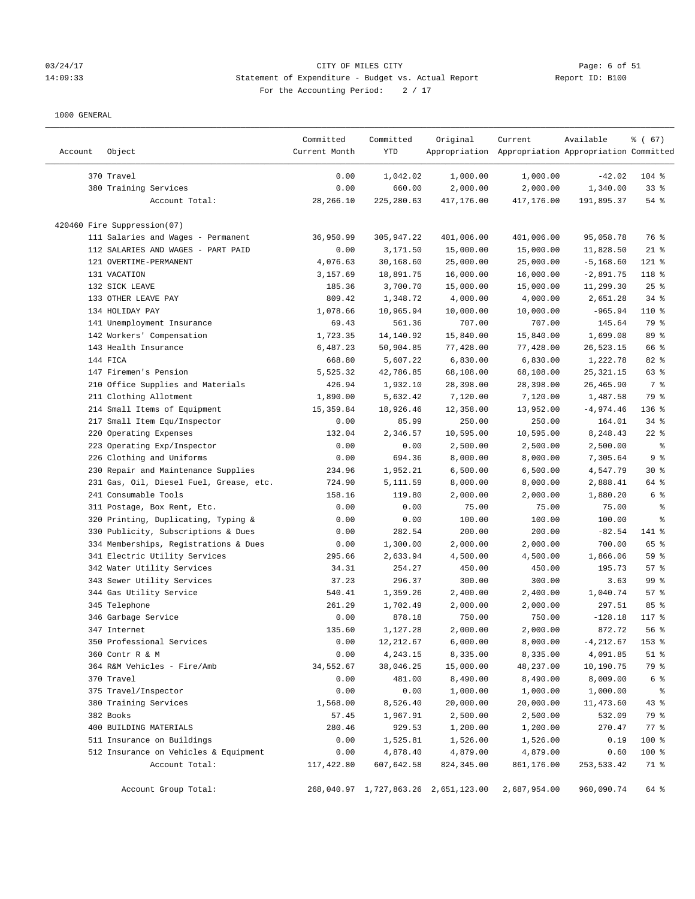#### 03/24/17 CITY OF MILES CITY Page: 6 of 51 14:09:33 Statement of Expenditure - Budget vs. Actual Report Report ID: B100 For the Accounting Period: 2 / 17

| 370 Travel<br>0.00<br>1,000.00<br>1,000.00<br>$-42.02$<br>$104$ %<br>1,042.02<br>380 Training Services<br>0.00<br>660.00<br>2,000.00<br>2,000.00<br>$33$ $%$<br>1,340.00<br>Account Total:<br>28,266.10<br>225,280.63<br>417,176.00<br>417,176.00<br>191,895.37<br>54%<br>420460 Fire Suppression(07)<br>111 Salaries and Wages - Permanent<br>401,006.00<br>95,058.78<br>76 %<br>36,950.99<br>305,947.22<br>401,006.00<br>112 SALARIES AND WAGES - PART PAID<br>$21$ %<br>0.00<br>3,171.50<br>15,000.00<br>15,000.00<br>11,828.50<br>121 OVERTIME-PERMANENT<br>4,076.63<br>30,168.60<br>25,000.00<br>25,000.00<br>$-5, 168.60$<br>$121$ %<br>131 VACATION<br>3,157.69<br>18,891.75<br>16,000.00<br>16,000.00<br>$-2,891.75$<br>118 %<br>132 SICK LEAVE<br>3,700.70<br>15,000.00<br>15,000.00<br>11,299.30<br>$25$ %<br>185.36<br>133 OTHER LEAVE PAY<br>809.42<br>4,000.00<br>4,000.00<br>$34$ $%$<br>1,348.72<br>2,651.28<br>134 HOLIDAY PAY<br>1,078.66<br>10,965.94<br>10,000.00<br>10,000.00<br>$-965.94$<br>110 %<br>141 Unemployment Insurance<br>69.43<br>561.36<br>707.00<br>707.00<br>145.64<br>79 %<br>89 %<br>142 Workers' Compensation<br>1,723.35<br>14,140.92<br>15,840.00<br>15,840.00<br>1,699.08<br>143 Health Insurance<br>6,487.23<br>50,904.85<br>77,428.00<br>77,428.00<br>26,523.15<br>66 %<br>82 %<br>144 FICA<br>668.80<br>5,607.22<br>6,830.00<br>6,830.00<br>1,222.78<br>147 Firemen's Pension<br>5,525.32<br>42,786.85<br>68,108.00<br>68,108.00<br>63 %<br>25, 321. 15<br>7 %<br>210 Office Supplies and Materials<br>426.94<br>1,932.10<br>28,398.00<br>28,398.00<br>26,465.90<br>79 %<br>211 Clothing Allotment<br>1,890.00<br>5,632.42<br>7,120.00<br>7,120.00<br>1,487.58<br>214 Small Items of Equipment<br>18,926.46<br>12,358.00<br>$-4,974.46$<br>136 %<br>15,359.84<br>13,952.00<br>217 Small Item Equ/Inspector<br>85.99<br>250.00<br>250.00<br>$34$ $%$<br>0.00<br>164.01<br>220 Operating Expenses<br>10,595.00<br>10,595.00<br>$22$ %<br>132.04<br>2,346.57<br>8,248.43<br>223 Operating Exp/Inspector<br>0.00<br>2,500.00<br>2,500.00<br>2,500.00<br>0.00<br>နွ<br>9%<br>226 Clothing and Uniforms<br>0.00<br>694.36<br>8,000.00<br>8,000.00<br>7,305.64<br>230 Repair and Maintenance Supplies<br>1,952.21<br>6,500.00<br>6,500.00<br>$30*$<br>234.96<br>4,547.79<br>231 Gas, Oil, Diesel Fuel, Grease, etc.<br>724.90<br>8,000.00<br>64 %<br>5,111.59<br>8,000.00<br>2,888.41<br>241 Consumable Tools<br>158.16<br>2,000.00<br>6 %<br>119.80<br>2,000.00<br>1,880.20<br>311 Postage, Box Rent, Etc.<br>0.00<br>0.00<br>75.00<br>75.00<br>75.00<br>နွ<br>320 Printing, Duplicating, Typing &<br>0.00<br>0.00<br>100.00<br>100.00<br>100.00<br>್ಠಿ<br>330 Publicity, Subscriptions & Dues<br>282.54<br>200.00<br>200.00<br>141 %<br>0.00<br>$-82.54$<br>334 Memberships, Registrations & Dues<br>1,300.00<br>2,000.00<br>2,000.00<br>700.00<br>65 %<br>0.00<br>341 Electric Utility Services<br>59 %<br>295.66<br>2,633.94<br>4,500.00<br>4,500.00<br>1,866.06<br>342 Water Utility Services<br>34.31<br>254.27<br>450.00<br>450.00<br>195.73<br>57%<br>99 %<br>343 Sewer Utility Services<br>37.23<br>296.37<br>300.00<br>300.00<br>3.63<br>344 Gas Utility Service<br>540.41<br>1,359.26<br>2,400.00<br>2,400.00<br>1,040.74<br>57%<br>85 %<br>345 Telephone<br>261.29<br>1,702.49<br>2,000.00<br>2,000.00<br>297.51<br>346 Garbage Service<br>0.00<br>878.18<br>750.00<br>750.00<br>$-128.18$<br>117 %<br>347 Internet<br>135.60<br>1,127.28<br>2,000.00<br>2,000.00<br>872.72<br>56%<br>350 Professional Services<br>0.00<br>12, 212.67<br>6,000.00<br>8,000.00<br>$-4, 212.67$<br>153 %<br>360 Contr R & M<br>0.00<br>4,243.15<br>8,335.00<br>8,335.00<br>4,091.85<br>$51$ %<br>79 %<br>364 R&M Vehicles - Fire/Amb<br>34,552.67<br>15,000.00<br>10,190.75<br>38,046.25<br>48,237.00<br>370 Travel<br>481.00<br>6 %<br>0.00<br>8,490.00<br>8,490.00<br>8,009.00<br>375 Travel/Inspector<br>0.00<br>0.00<br>1,000.00<br>1,000.00<br>1,000.00<br>နွ<br>380 Training Services<br>1,568.00<br>8,526.40<br>20,000.00<br>20,000.00<br>11,473.60<br>43%<br>382 Books<br>2,500.00<br>2,500.00<br>79 %<br>57.45<br>1,967.91<br>532.09<br>400 BUILDING MATERIALS<br>$77$ $%$<br>280.46<br>929.53<br>1,200.00<br>1,200.00<br>270.47<br>511 Insurance on Buildings<br>100 %<br>0.00<br>1,525.81<br>1,526.00<br>1,526.00<br>0.19<br>512 Insurance on Vehicles & Equipment<br>0.00<br>4,878.40<br>4,879.00<br>4,879.00<br>100 %<br>0.60<br>Account Total:<br>117,422.80<br>607,642.58<br>824, 345.00<br>861,176.00<br>253,533.42<br>71 % | Account | Object | Committed<br>Current Month | Committed<br>YTD | Original | Current<br>Appropriation Appropriation Appropriation Committed | Available | 8 ( 67) |
|----------------------------------------------------------------------------------------------------------------------------------------------------------------------------------------------------------------------------------------------------------------------------------------------------------------------------------------------------------------------------------------------------------------------------------------------------------------------------------------------------------------------------------------------------------------------------------------------------------------------------------------------------------------------------------------------------------------------------------------------------------------------------------------------------------------------------------------------------------------------------------------------------------------------------------------------------------------------------------------------------------------------------------------------------------------------------------------------------------------------------------------------------------------------------------------------------------------------------------------------------------------------------------------------------------------------------------------------------------------------------------------------------------------------------------------------------------------------------------------------------------------------------------------------------------------------------------------------------------------------------------------------------------------------------------------------------------------------------------------------------------------------------------------------------------------------------------------------------------------------------------------------------------------------------------------------------------------------------------------------------------------------------------------------------------------------------------------------------------------------------------------------------------------------------------------------------------------------------------------------------------------------------------------------------------------------------------------------------------------------------------------------------------------------------------------------------------------------------------------------------------------------------------------------------------------------------------------------------------------------------------------------------------------------------------------------------------------------------------------------------------------------------------------------------------------------------------------------------------------------------------------------------------------------------------------------------------------------------------------------------------------------------------------------------------------------------------------------------------------------------------------------------------------------------------------------------------------------------------------------------------------------------------------------------------------------------------------------------------------------------------------------------------------------------------------------------------------------------------------------------------------------------------------------------------------------------------------------------------------------------------------------------------------------------------------------------------------------------------------------------------------------------------------------------------------------------------------------------------------------------------------------------------------------------------------------------------------------------------------------------------------------------------------------------------------------------------------------------------------------------------------------------------------------------------------------------------------------------------------------------------------------------------------------------------------------------------------------------------------------------------------------------------------------------------------------------------------------------------------------------------------------------------------------------------------------------|---------|--------|----------------------------|------------------|----------|----------------------------------------------------------------|-----------|---------|
|                                                                                                                                                                                                                                                                                                                                                                                                                                                                                                                                                                                                                                                                                                                                                                                                                                                                                                                                                                                                                                                                                                                                                                                                                                                                                                                                                                                                                                                                                                                                                                                                                                                                                                                                                                                                                                                                                                                                                                                                                                                                                                                                                                                                                                                                                                                                                                                                                                                                                                                                                                                                                                                                                                                                                                                                                                                                                                                                                                                                                                                                                                                                                                                                                                                                                                                                                                                                                                                                                                                                                                                                                                                                                                                                                                                                                                                                                                                                                                                                                                                                                                                                                                                                                                                                                                                                                                                                                                                                                                                                                                            |         |        |                            |                  |          |                                                                |           |         |
|                                                                                                                                                                                                                                                                                                                                                                                                                                                                                                                                                                                                                                                                                                                                                                                                                                                                                                                                                                                                                                                                                                                                                                                                                                                                                                                                                                                                                                                                                                                                                                                                                                                                                                                                                                                                                                                                                                                                                                                                                                                                                                                                                                                                                                                                                                                                                                                                                                                                                                                                                                                                                                                                                                                                                                                                                                                                                                                                                                                                                                                                                                                                                                                                                                                                                                                                                                                                                                                                                                                                                                                                                                                                                                                                                                                                                                                                                                                                                                                                                                                                                                                                                                                                                                                                                                                                                                                                                                                                                                                                                                            |         |        |                            |                  |          |                                                                |           |         |
|                                                                                                                                                                                                                                                                                                                                                                                                                                                                                                                                                                                                                                                                                                                                                                                                                                                                                                                                                                                                                                                                                                                                                                                                                                                                                                                                                                                                                                                                                                                                                                                                                                                                                                                                                                                                                                                                                                                                                                                                                                                                                                                                                                                                                                                                                                                                                                                                                                                                                                                                                                                                                                                                                                                                                                                                                                                                                                                                                                                                                                                                                                                                                                                                                                                                                                                                                                                                                                                                                                                                                                                                                                                                                                                                                                                                                                                                                                                                                                                                                                                                                                                                                                                                                                                                                                                                                                                                                                                                                                                                                                            |         |        |                            |                  |          |                                                                |           |         |
|                                                                                                                                                                                                                                                                                                                                                                                                                                                                                                                                                                                                                                                                                                                                                                                                                                                                                                                                                                                                                                                                                                                                                                                                                                                                                                                                                                                                                                                                                                                                                                                                                                                                                                                                                                                                                                                                                                                                                                                                                                                                                                                                                                                                                                                                                                                                                                                                                                                                                                                                                                                                                                                                                                                                                                                                                                                                                                                                                                                                                                                                                                                                                                                                                                                                                                                                                                                                                                                                                                                                                                                                                                                                                                                                                                                                                                                                                                                                                                                                                                                                                                                                                                                                                                                                                                                                                                                                                                                                                                                                                                            |         |        |                            |                  |          |                                                                |           |         |
|                                                                                                                                                                                                                                                                                                                                                                                                                                                                                                                                                                                                                                                                                                                                                                                                                                                                                                                                                                                                                                                                                                                                                                                                                                                                                                                                                                                                                                                                                                                                                                                                                                                                                                                                                                                                                                                                                                                                                                                                                                                                                                                                                                                                                                                                                                                                                                                                                                                                                                                                                                                                                                                                                                                                                                                                                                                                                                                                                                                                                                                                                                                                                                                                                                                                                                                                                                                                                                                                                                                                                                                                                                                                                                                                                                                                                                                                                                                                                                                                                                                                                                                                                                                                                                                                                                                                                                                                                                                                                                                                                                            |         |        |                            |                  |          |                                                                |           |         |
|                                                                                                                                                                                                                                                                                                                                                                                                                                                                                                                                                                                                                                                                                                                                                                                                                                                                                                                                                                                                                                                                                                                                                                                                                                                                                                                                                                                                                                                                                                                                                                                                                                                                                                                                                                                                                                                                                                                                                                                                                                                                                                                                                                                                                                                                                                                                                                                                                                                                                                                                                                                                                                                                                                                                                                                                                                                                                                                                                                                                                                                                                                                                                                                                                                                                                                                                                                                                                                                                                                                                                                                                                                                                                                                                                                                                                                                                                                                                                                                                                                                                                                                                                                                                                                                                                                                                                                                                                                                                                                                                                                            |         |        |                            |                  |          |                                                                |           |         |
|                                                                                                                                                                                                                                                                                                                                                                                                                                                                                                                                                                                                                                                                                                                                                                                                                                                                                                                                                                                                                                                                                                                                                                                                                                                                                                                                                                                                                                                                                                                                                                                                                                                                                                                                                                                                                                                                                                                                                                                                                                                                                                                                                                                                                                                                                                                                                                                                                                                                                                                                                                                                                                                                                                                                                                                                                                                                                                                                                                                                                                                                                                                                                                                                                                                                                                                                                                                                                                                                                                                                                                                                                                                                                                                                                                                                                                                                                                                                                                                                                                                                                                                                                                                                                                                                                                                                                                                                                                                                                                                                                                            |         |        |                            |                  |          |                                                                |           |         |
|                                                                                                                                                                                                                                                                                                                                                                                                                                                                                                                                                                                                                                                                                                                                                                                                                                                                                                                                                                                                                                                                                                                                                                                                                                                                                                                                                                                                                                                                                                                                                                                                                                                                                                                                                                                                                                                                                                                                                                                                                                                                                                                                                                                                                                                                                                                                                                                                                                                                                                                                                                                                                                                                                                                                                                                                                                                                                                                                                                                                                                                                                                                                                                                                                                                                                                                                                                                                                                                                                                                                                                                                                                                                                                                                                                                                                                                                                                                                                                                                                                                                                                                                                                                                                                                                                                                                                                                                                                                                                                                                                                            |         |        |                            |                  |          |                                                                |           |         |
|                                                                                                                                                                                                                                                                                                                                                                                                                                                                                                                                                                                                                                                                                                                                                                                                                                                                                                                                                                                                                                                                                                                                                                                                                                                                                                                                                                                                                                                                                                                                                                                                                                                                                                                                                                                                                                                                                                                                                                                                                                                                                                                                                                                                                                                                                                                                                                                                                                                                                                                                                                                                                                                                                                                                                                                                                                                                                                                                                                                                                                                                                                                                                                                                                                                                                                                                                                                                                                                                                                                                                                                                                                                                                                                                                                                                                                                                                                                                                                                                                                                                                                                                                                                                                                                                                                                                                                                                                                                                                                                                                                            |         |        |                            |                  |          |                                                                |           |         |
|                                                                                                                                                                                                                                                                                                                                                                                                                                                                                                                                                                                                                                                                                                                                                                                                                                                                                                                                                                                                                                                                                                                                                                                                                                                                                                                                                                                                                                                                                                                                                                                                                                                                                                                                                                                                                                                                                                                                                                                                                                                                                                                                                                                                                                                                                                                                                                                                                                                                                                                                                                                                                                                                                                                                                                                                                                                                                                                                                                                                                                                                                                                                                                                                                                                                                                                                                                                                                                                                                                                                                                                                                                                                                                                                                                                                                                                                                                                                                                                                                                                                                                                                                                                                                                                                                                                                                                                                                                                                                                                                                                            |         |        |                            |                  |          |                                                                |           |         |
|                                                                                                                                                                                                                                                                                                                                                                                                                                                                                                                                                                                                                                                                                                                                                                                                                                                                                                                                                                                                                                                                                                                                                                                                                                                                                                                                                                                                                                                                                                                                                                                                                                                                                                                                                                                                                                                                                                                                                                                                                                                                                                                                                                                                                                                                                                                                                                                                                                                                                                                                                                                                                                                                                                                                                                                                                                                                                                                                                                                                                                                                                                                                                                                                                                                                                                                                                                                                                                                                                                                                                                                                                                                                                                                                                                                                                                                                                                                                                                                                                                                                                                                                                                                                                                                                                                                                                                                                                                                                                                                                                                            |         |        |                            |                  |          |                                                                |           |         |
|                                                                                                                                                                                                                                                                                                                                                                                                                                                                                                                                                                                                                                                                                                                                                                                                                                                                                                                                                                                                                                                                                                                                                                                                                                                                                                                                                                                                                                                                                                                                                                                                                                                                                                                                                                                                                                                                                                                                                                                                                                                                                                                                                                                                                                                                                                                                                                                                                                                                                                                                                                                                                                                                                                                                                                                                                                                                                                                                                                                                                                                                                                                                                                                                                                                                                                                                                                                                                                                                                                                                                                                                                                                                                                                                                                                                                                                                                                                                                                                                                                                                                                                                                                                                                                                                                                                                                                                                                                                                                                                                                                            |         |        |                            |                  |          |                                                                |           |         |
|                                                                                                                                                                                                                                                                                                                                                                                                                                                                                                                                                                                                                                                                                                                                                                                                                                                                                                                                                                                                                                                                                                                                                                                                                                                                                                                                                                                                                                                                                                                                                                                                                                                                                                                                                                                                                                                                                                                                                                                                                                                                                                                                                                                                                                                                                                                                                                                                                                                                                                                                                                                                                                                                                                                                                                                                                                                                                                                                                                                                                                                                                                                                                                                                                                                                                                                                                                                                                                                                                                                                                                                                                                                                                                                                                                                                                                                                                                                                                                                                                                                                                                                                                                                                                                                                                                                                                                                                                                                                                                                                                                            |         |        |                            |                  |          |                                                                |           |         |
|                                                                                                                                                                                                                                                                                                                                                                                                                                                                                                                                                                                                                                                                                                                                                                                                                                                                                                                                                                                                                                                                                                                                                                                                                                                                                                                                                                                                                                                                                                                                                                                                                                                                                                                                                                                                                                                                                                                                                                                                                                                                                                                                                                                                                                                                                                                                                                                                                                                                                                                                                                                                                                                                                                                                                                                                                                                                                                                                                                                                                                                                                                                                                                                                                                                                                                                                                                                                                                                                                                                                                                                                                                                                                                                                                                                                                                                                                                                                                                                                                                                                                                                                                                                                                                                                                                                                                                                                                                                                                                                                                                            |         |        |                            |                  |          |                                                                |           |         |
|                                                                                                                                                                                                                                                                                                                                                                                                                                                                                                                                                                                                                                                                                                                                                                                                                                                                                                                                                                                                                                                                                                                                                                                                                                                                                                                                                                                                                                                                                                                                                                                                                                                                                                                                                                                                                                                                                                                                                                                                                                                                                                                                                                                                                                                                                                                                                                                                                                                                                                                                                                                                                                                                                                                                                                                                                                                                                                                                                                                                                                                                                                                                                                                                                                                                                                                                                                                                                                                                                                                                                                                                                                                                                                                                                                                                                                                                                                                                                                                                                                                                                                                                                                                                                                                                                                                                                                                                                                                                                                                                                                            |         |        |                            |                  |          |                                                                |           |         |
|                                                                                                                                                                                                                                                                                                                                                                                                                                                                                                                                                                                                                                                                                                                                                                                                                                                                                                                                                                                                                                                                                                                                                                                                                                                                                                                                                                                                                                                                                                                                                                                                                                                                                                                                                                                                                                                                                                                                                                                                                                                                                                                                                                                                                                                                                                                                                                                                                                                                                                                                                                                                                                                                                                                                                                                                                                                                                                                                                                                                                                                                                                                                                                                                                                                                                                                                                                                                                                                                                                                                                                                                                                                                                                                                                                                                                                                                                                                                                                                                                                                                                                                                                                                                                                                                                                                                                                                                                                                                                                                                                                            |         |        |                            |                  |          |                                                                |           |         |
|                                                                                                                                                                                                                                                                                                                                                                                                                                                                                                                                                                                                                                                                                                                                                                                                                                                                                                                                                                                                                                                                                                                                                                                                                                                                                                                                                                                                                                                                                                                                                                                                                                                                                                                                                                                                                                                                                                                                                                                                                                                                                                                                                                                                                                                                                                                                                                                                                                                                                                                                                                                                                                                                                                                                                                                                                                                                                                                                                                                                                                                                                                                                                                                                                                                                                                                                                                                                                                                                                                                                                                                                                                                                                                                                                                                                                                                                                                                                                                                                                                                                                                                                                                                                                                                                                                                                                                                                                                                                                                                                                                            |         |        |                            |                  |          |                                                                |           |         |
|                                                                                                                                                                                                                                                                                                                                                                                                                                                                                                                                                                                                                                                                                                                                                                                                                                                                                                                                                                                                                                                                                                                                                                                                                                                                                                                                                                                                                                                                                                                                                                                                                                                                                                                                                                                                                                                                                                                                                                                                                                                                                                                                                                                                                                                                                                                                                                                                                                                                                                                                                                                                                                                                                                                                                                                                                                                                                                                                                                                                                                                                                                                                                                                                                                                                                                                                                                                                                                                                                                                                                                                                                                                                                                                                                                                                                                                                                                                                                                                                                                                                                                                                                                                                                                                                                                                                                                                                                                                                                                                                                                            |         |        |                            |                  |          |                                                                |           |         |
|                                                                                                                                                                                                                                                                                                                                                                                                                                                                                                                                                                                                                                                                                                                                                                                                                                                                                                                                                                                                                                                                                                                                                                                                                                                                                                                                                                                                                                                                                                                                                                                                                                                                                                                                                                                                                                                                                                                                                                                                                                                                                                                                                                                                                                                                                                                                                                                                                                                                                                                                                                                                                                                                                                                                                                                                                                                                                                                                                                                                                                                                                                                                                                                                                                                                                                                                                                                                                                                                                                                                                                                                                                                                                                                                                                                                                                                                                                                                                                                                                                                                                                                                                                                                                                                                                                                                                                                                                                                                                                                                                                            |         |        |                            |                  |          |                                                                |           |         |
|                                                                                                                                                                                                                                                                                                                                                                                                                                                                                                                                                                                                                                                                                                                                                                                                                                                                                                                                                                                                                                                                                                                                                                                                                                                                                                                                                                                                                                                                                                                                                                                                                                                                                                                                                                                                                                                                                                                                                                                                                                                                                                                                                                                                                                                                                                                                                                                                                                                                                                                                                                                                                                                                                                                                                                                                                                                                                                                                                                                                                                                                                                                                                                                                                                                                                                                                                                                                                                                                                                                                                                                                                                                                                                                                                                                                                                                                                                                                                                                                                                                                                                                                                                                                                                                                                                                                                                                                                                                                                                                                                                            |         |        |                            |                  |          |                                                                |           |         |
|                                                                                                                                                                                                                                                                                                                                                                                                                                                                                                                                                                                                                                                                                                                                                                                                                                                                                                                                                                                                                                                                                                                                                                                                                                                                                                                                                                                                                                                                                                                                                                                                                                                                                                                                                                                                                                                                                                                                                                                                                                                                                                                                                                                                                                                                                                                                                                                                                                                                                                                                                                                                                                                                                                                                                                                                                                                                                                                                                                                                                                                                                                                                                                                                                                                                                                                                                                                                                                                                                                                                                                                                                                                                                                                                                                                                                                                                                                                                                                                                                                                                                                                                                                                                                                                                                                                                                                                                                                                                                                                                                                            |         |        |                            |                  |          |                                                                |           |         |
|                                                                                                                                                                                                                                                                                                                                                                                                                                                                                                                                                                                                                                                                                                                                                                                                                                                                                                                                                                                                                                                                                                                                                                                                                                                                                                                                                                                                                                                                                                                                                                                                                                                                                                                                                                                                                                                                                                                                                                                                                                                                                                                                                                                                                                                                                                                                                                                                                                                                                                                                                                                                                                                                                                                                                                                                                                                                                                                                                                                                                                                                                                                                                                                                                                                                                                                                                                                                                                                                                                                                                                                                                                                                                                                                                                                                                                                                                                                                                                                                                                                                                                                                                                                                                                                                                                                                                                                                                                                                                                                                                                            |         |        |                            |                  |          |                                                                |           |         |
|                                                                                                                                                                                                                                                                                                                                                                                                                                                                                                                                                                                                                                                                                                                                                                                                                                                                                                                                                                                                                                                                                                                                                                                                                                                                                                                                                                                                                                                                                                                                                                                                                                                                                                                                                                                                                                                                                                                                                                                                                                                                                                                                                                                                                                                                                                                                                                                                                                                                                                                                                                                                                                                                                                                                                                                                                                                                                                                                                                                                                                                                                                                                                                                                                                                                                                                                                                                                                                                                                                                                                                                                                                                                                                                                                                                                                                                                                                                                                                                                                                                                                                                                                                                                                                                                                                                                                                                                                                                                                                                                                                            |         |        |                            |                  |          |                                                                |           |         |
|                                                                                                                                                                                                                                                                                                                                                                                                                                                                                                                                                                                                                                                                                                                                                                                                                                                                                                                                                                                                                                                                                                                                                                                                                                                                                                                                                                                                                                                                                                                                                                                                                                                                                                                                                                                                                                                                                                                                                                                                                                                                                                                                                                                                                                                                                                                                                                                                                                                                                                                                                                                                                                                                                                                                                                                                                                                                                                                                                                                                                                                                                                                                                                                                                                                                                                                                                                                                                                                                                                                                                                                                                                                                                                                                                                                                                                                                                                                                                                                                                                                                                                                                                                                                                                                                                                                                                                                                                                                                                                                                                                            |         |        |                            |                  |          |                                                                |           |         |
|                                                                                                                                                                                                                                                                                                                                                                                                                                                                                                                                                                                                                                                                                                                                                                                                                                                                                                                                                                                                                                                                                                                                                                                                                                                                                                                                                                                                                                                                                                                                                                                                                                                                                                                                                                                                                                                                                                                                                                                                                                                                                                                                                                                                                                                                                                                                                                                                                                                                                                                                                                                                                                                                                                                                                                                                                                                                                                                                                                                                                                                                                                                                                                                                                                                                                                                                                                                                                                                                                                                                                                                                                                                                                                                                                                                                                                                                                                                                                                                                                                                                                                                                                                                                                                                                                                                                                                                                                                                                                                                                                                            |         |        |                            |                  |          |                                                                |           |         |
|                                                                                                                                                                                                                                                                                                                                                                                                                                                                                                                                                                                                                                                                                                                                                                                                                                                                                                                                                                                                                                                                                                                                                                                                                                                                                                                                                                                                                                                                                                                                                                                                                                                                                                                                                                                                                                                                                                                                                                                                                                                                                                                                                                                                                                                                                                                                                                                                                                                                                                                                                                                                                                                                                                                                                                                                                                                                                                                                                                                                                                                                                                                                                                                                                                                                                                                                                                                                                                                                                                                                                                                                                                                                                                                                                                                                                                                                                                                                                                                                                                                                                                                                                                                                                                                                                                                                                                                                                                                                                                                                                                            |         |        |                            |                  |          |                                                                |           |         |
|                                                                                                                                                                                                                                                                                                                                                                                                                                                                                                                                                                                                                                                                                                                                                                                                                                                                                                                                                                                                                                                                                                                                                                                                                                                                                                                                                                                                                                                                                                                                                                                                                                                                                                                                                                                                                                                                                                                                                                                                                                                                                                                                                                                                                                                                                                                                                                                                                                                                                                                                                                                                                                                                                                                                                                                                                                                                                                                                                                                                                                                                                                                                                                                                                                                                                                                                                                                                                                                                                                                                                                                                                                                                                                                                                                                                                                                                                                                                                                                                                                                                                                                                                                                                                                                                                                                                                                                                                                                                                                                                                                            |         |        |                            |                  |          |                                                                |           |         |
|                                                                                                                                                                                                                                                                                                                                                                                                                                                                                                                                                                                                                                                                                                                                                                                                                                                                                                                                                                                                                                                                                                                                                                                                                                                                                                                                                                                                                                                                                                                                                                                                                                                                                                                                                                                                                                                                                                                                                                                                                                                                                                                                                                                                                                                                                                                                                                                                                                                                                                                                                                                                                                                                                                                                                                                                                                                                                                                                                                                                                                                                                                                                                                                                                                                                                                                                                                                                                                                                                                                                                                                                                                                                                                                                                                                                                                                                                                                                                                                                                                                                                                                                                                                                                                                                                                                                                                                                                                                                                                                                                                            |         |        |                            |                  |          |                                                                |           |         |
|                                                                                                                                                                                                                                                                                                                                                                                                                                                                                                                                                                                                                                                                                                                                                                                                                                                                                                                                                                                                                                                                                                                                                                                                                                                                                                                                                                                                                                                                                                                                                                                                                                                                                                                                                                                                                                                                                                                                                                                                                                                                                                                                                                                                                                                                                                                                                                                                                                                                                                                                                                                                                                                                                                                                                                                                                                                                                                                                                                                                                                                                                                                                                                                                                                                                                                                                                                                                                                                                                                                                                                                                                                                                                                                                                                                                                                                                                                                                                                                                                                                                                                                                                                                                                                                                                                                                                                                                                                                                                                                                                                            |         |        |                            |                  |          |                                                                |           |         |
|                                                                                                                                                                                                                                                                                                                                                                                                                                                                                                                                                                                                                                                                                                                                                                                                                                                                                                                                                                                                                                                                                                                                                                                                                                                                                                                                                                                                                                                                                                                                                                                                                                                                                                                                                                                                                                                                                                                                                                                                                                                                                                                                                                                                                                                                                                                                                                                                                                                                                                                                                                                                                                                                                                                                                                                                                                                                                                                                                                                                                                                                                                                                                                                                                                                                                                                                                                                                                                                                                                                                                                                                                                                                                                                                                                                                                                                                                                                                                                                                                                                                                                                                                                                                                                                                                                                                                                                                                                                                                                                                                                            |         |        |                            |                  |          |                                                                |           |         |
|                                                                                                                                                                                                                                                                                                                                                                                                                                                                                                                                                                                                                                                                                                                                                                                                                                                                                                                                                                                                                                                                                                                                                                                                                                                                                                                                                                                                                                                                                                                                                                                                                                                                                                                                                                                                                                                                                                                                                                                                                                                                                                                                                                                                                                                                                                                                                                                                                                                                                                                                                                                                                                                                                                                                                                                                                                                                                                                                                                                                                                                                                                                                                                                                                                                                                                                                                                                                                                                                                                                                                                                                                                                                                                                                                                                                                                                                                                                                                                                                                                                                                                                                                                                                                                                                                                                                                                                                                                                                                                                                                                            |         |        |                            |                  |          |                                                                |           |         |
|                                                                                                                                                                                                                                                                                                                                                                                                                                                                                                                                                                                                                                                                                                                                                                                                                                                                                                                                                                                                                                                                                                                                                                                                                                                                                                                                                                                                                                                                                                                                                                                                                                                                                                                                                                                                                                                                                                                                                                                                                                                                                                                                                                                                                                                                                                                                                                                                                                                                                                                                                                                                                                                                                                                                                                                                                                                                                                                                                                                                                                                                                                                                                                                                                                                                                                                                                                                                                                                                                                                                                                                                                                                                                                                                                                                                                                                                                                                                                                                                                                                                                                                                                                                                                                                                                                                                                                                                                                                                                                                                                                            |         |        |                            |                  |          |                                                                |           |         |
|                                                                                                                                                                                                                                                                                                                                                                                                                                                                                                                                                                                                                                                                                                                                                                                                                                                                                                                                                                                                                                                                                                                                                                                                                                                                                                                                                                                                                                                                                                                                                                                                                                                                                                                                                                                                                                                                                                                                                                                                                                                                                                                                                                                                                                                                                                                                                                                                                                                                                                                                                                                                                                                                                                                                                                                                                                                                                                                                                                                                                                                                                                                                                                                                                                                                                                                                                                                                                                                                                                                                                                                                                                                                                                                                                                                                                                                                                                                                                                                                                                                                                                                                                                                                                                                                                                                                                                                                                                                                                                                                                                            |         |        |                            |                  |          |                                                                |           |         |
|                                                                                                                                                                                                                                                                                                                                                                                                                                                                                                                                                                                                                                                                                                                                                                                                                                                                                                                                                                                                                                                                                                                                                                                                                                                                                                                                                                                                                                                                                                                                                                                                                                                                                                                                                                                                                                                                                                                                                                                                                                                                                                                                                                                                                                                                                                                                                                                                                                                                                                                                                                                                                                                                                                                                                                                                                                                                                                                                                                                                                                                                                                                                                                                                                                                                                                                                                                                                                                                                                                                                                                                                                                                                                                                                                                                                                                                                                                                                                                                                                                                                                                                                                                                                                                                                                                                                                                                                                                                                                                                                                                            |         |        |                            |                  |          |                                                                |           |         |
|                                                                                                                                                                                                                                                                                                                                                                                                                                                                                                                                                                                                                                                                                                                                                                                                                                                                                                                                                                                                                                                                                                                                                                                                                                                                                                                                                                                                                                                                                                                                                                                                                                                                                                                                                                                                                                                                                                                                                                                                                                                                                                                                                                                                                                                                                                                                                                                                                                                                                                                                                                                                                                                                                                                                                                                                                                                                                                                                                                                                                                                                                                                                                                                                                                                                                                                                                                                                                                                                                                                                                                                                                                                                                                                                                                                                                                                                                                                                                                                                                                                                                                                                                                                                                                                                                                                                                                                                                                                                                                                                                                            |         |        |                            |                  |          |                                                                |           |         |
|                                                                                                                                                                                                                                                                                                                                                                                                                                                                                                                                                                                                                                                                                                                                                                                                                                                                                                                                                                                                                                                                                                                                                                                                                                                                                                                                                                                                                                                                                                                                                                                                                                                                                                                                                                                                                                                                                                                                                                                                                                                                                                                                                                                                                                                                                                                                                                                                                                                                                                                                                                                                                                                                                                                                                                                                                                                                                                                                                                                                                                                                                                                                                                                                                                                                                                                                                                                                                                                                                                                                                                                                                                                                                                                                                                                                                                                                                                                                                                                                                                                                                                                                                                                                                                                                                                                                                                                                                                                                                                                                                                            |         |        |                            |                  |          |                                                                |           |         |
|                                                                                                                                                                                                                                                                                                                                                                                                                                                                                                                                                                                                                                                                                                                                                                                                                                                                                                                                                                                                                                                                                                                                                                                                                                                                                                                                                                                                                                                                                                                                                                                                                                                                                                                                                                                                                                                                                                                                                                                                                                                                                                                                                                                                                                                                                                                                                                                                                                                                                                                                                                                                                                                                                                                                                                                                                                                                                                                                                                                                                                                                                                                                                                                                                                                                                                                                                                                                                                                                                                                                                                                                                                                                                                                                                                                                                                                                                                                                                                                                                                                                                                                                                                                                                                                                                                                                                                                                                                                                                                                                                                            |         |        |                            |                  |          |                                                                |           |         |
|                                                                                                                                                                                                                                                                                                                                                                                                                                                                                                                                                                                                                                                                                                                                                                                                                                                                                                                                                                                                                                                                                                                                                                                                                                                                                                                                                                                                                                                                                                                                                                                                                                                                                                                                                                                                                                                                                                                                                                                                                                                                                                                                                                                                                                                                                                                                                                                                                                                                                                                                                                                                                                                                                                                                                                                                                                                                                                                                                                                                                                                                                                                                                                                                                                                                                                                                                                                                                                                                                                                                                                                                                                                                                                                                                                                                                                                                                                                                                                                                                                                                                                                                                                                                                                                                                                                                                                                                                                                                                                                                                                            |         |        |                            |                  |          |                                                                |           |         |
|                                                                                                                                                                                                                                                                                                                                                                                                                                                                                                                                                                                                                                                                                                                                                                                                                                                                                                                                                                                                                                                                                                                                                                                                                                                                                                                                                                                                                                                                                                                                                                                                                                                                                                                                                                                                                                                                                                                                                                                                                                                                                                                                                                                                                                                                                                                                                                                                                                                                                                                                                                                                                                                                                                                                                                                                                                                                                                                                                                                                                                                                                                                                                                                                                                                                                                                                                                                                                                                                                                                                                                                                                                                                                                                                                                                                                                                                                                                                                                                                                                                                                                                                                                                                                                                                                                                                                                                                                                                                                                                                                                            |         |        |                            |                  |          |                                                                |           |         |
|                                                                                                                                                                                                                                                                                                                                                                                                                                                                                                                                                                                                                                                                                                                                                                                                                                                                                                                                                                                                                                                                                                                                                                                                                                                                                                                                                                                                                                                                                                                                                                                                                                                                                                                                                                                                                                                                                                                                                                                                                                                                                                                                                                                                                                                                                                                                                                                                                                                                                                                                                                                                                                                                                                                                                                                                                                                                                                                                                                                                                                                                                                                                                                                                                                                                                                                                                                                                                                                                                                                                                                                                                                                                                                                                                                                                                                                                                                                                                                                                                                                                                                                                                                                                                                                                                                                                                                                                                                                                                                                                                                            |         |        |                            |                  |          |                                                                |           |         |
|                                                                                                                                                                                                                                                                                                                                                                                                                                                                                                                                                                                                                                                                                                                                                                                                                                                                                                                                                                                                                                                                                                                                                                                                                                                                                                                                                                                                                                                                                                                                                                                                                                                                                                                                                                                                                                                                                                                                                                                                                                                                                                                                                                                                                                                                                                                                                                                                                                                                                                                                                                                                                                                                                                                                                                                                                                                                                                                                                                                                                                                                                                                                                                                                                                                                                                                                                                                                                                                                                                                                                                                                                                                                                                                                                                                                                                                                                                                                                                                                                                                                                                                                                                                                                                                                                                                                                                                                                                                                                                                                                                            |         |        |                            |                  |          |                                                                |           |         |
|                                                                                                                                                                                                                                                                                                                                                                                                                                                                                                                                                                                                                                                                                                                                                                                                                                                                                                                                                                                                                                                                                                                                                                                                                                                                                                                                                                                                                                                                                                                                                                                                                                                                                                                                                                                                                                                                                                                                                                                                                                                                                                                                                                                                                                                                                                                                                                                                                                                                                                                                                                                                                                                                                                                                                                                                                                                                                                                                                                                                                                                                                                                                                                                                                                                                                                                                                                                                                                                                                                                                                                                                                                                                                                                                                                                                                                                                                                                                                                                                                                                                                                                                                                                                                                                                                                                                                                                                                                                                                                                                                                            |         |        |                            |                  |          |                                                                |           |         |
|                                                                                                                                                                                                                                                                                                                                                                                                                                                                                                                                                                                                                                                                                                                                                                                                                                                                                                                                                                                                                                                                                                                                                                                                                                                                                                                                                                                                                                                                                                                                                                                                                                                                                                                                                                                                                                                                                                                                                                                                                                                                                                                                                                                                                                                                                                                                                                                                                                                                                                                                                                                                                                                                                                                                                                                                                                                                                                                                                                                                                                                                                                                                                                                                                                                                                                                                                                                                                                                                                                                                                                                                                                                                                                                                                                                                                                                                                                                                                                                                                                                                                                                                                                                                                                                                                                                                                                                                                                                                                                                                                                            |         |        |                            |                  |          |                                                                |           |         |
|                                                                                                                                                                                                                                                                                                                                                                                                                                                                                                                                                                                                                                                                                                                                                                                                                                                                                                                                                                                                                                                                                                                                                                                                                                                                                                                                                                                                                                                                                                                                                                                                                                                                                                                                                                                                                                                                                                                                                                                                                                                                                                                                                                                                                                                                                                                                                                                                                                                                                                                                                                                                                                                                                                                                                                                                                                                                                                                                                                                                                                                                                                                                                                                                                                                                                                                                                                                                                                                                                                                                                                                                                                                                                                                                                                                                                                                                                                                                                                                                                                                                                                                                                                                                                                                                                                                                                                                                                                                                                                                                                                            |         |        |                            |                  |          |                                                                |           |         |
|                                                                                                                                                                                                                                                                                                                                                                                                                                                                                                                                                                                                                                                                                                                                                                                                                                                                                                                                                                                                                                                                                                                                                                                                                                                                                                                                                                                                                                                                                                                                                                                                                                                                                                                                                                                                                                                                                                                                                                                                                                                                                                                                                                                                                                                                                                                                                                                                                                                                                                                                                                                                                                                                                                                                                                                                                                                                                                                                                                                                                                                                                                                                                                                                                                                                                                                                                                                                                                                                                                                                                                                                                                                                                                                                                                                                                                                                                                                                                                                                                                                                                                                                                                                                                                                                                                                                                                                                                                                                                                                                                                            |         |        |                            |                  |          |                                                                |           |         |
|                                                                                                                                                                                                                                                                                                                                                                                                                                                                                                                                                                                                                                                                                                                                                                                                                                                                                                                                                                                                                                                                                                                                                                                                                                                                                                                                                                                                                                                                                                                                                                                                                                                                                                                                                                                                                                                                                                                                                                                                                                                                                                                                                                                                                                                                                                                                                                                                                                                                                                                                                                                                                                                                                                                                                                                                                                                                                                                                                                                                                                                                                                                                                                                                                                                                                                                                                                                                                                                                                                                                                                                                                                                                                                                                                                                                                                                                                                                                                                                                                                                                                                                                                                                                                                                                                                                                                                                                                                                                                                                                                                            |         |        |                            |                  |          |                                                                |           |         |
|                                                                                                                                                                                                                                                                                                                                                                                                                                                                                                                                                                                                                                                                                                                                                                                                                                                                                                                                                                                                                                                                                                                                                                                                                                                                                                                                                                                                                                                                                                                                                                                                                                                                                                                                                                                                                                                                                                                                                                                                                                                                                                                                                                                                                                                                                                                                                                                                                                                                                                                                                                                                                                                                                                                                                                                                                                                                                                                                                                                                                                                                                                                                                                                                                                                                                                                                                                                                                                                                                                                                                                                                                                                                                                                                                                                                                                                                                                                                                                                                                                                                                                                                                                                                                                                                                                                                                                                                                                                                                                                                                                            |         |        |                            |                  |          |                                                                |           |         |
|                                                                                                                                                                                                                                                                                                                                                                                                                                                                                                                                                                                                                                                                                                                                                                                                                                                                                                                                                                                                                                                                                                                                                                                                                                                                                                                                                                                                                                                                                                                                                                                                                                                                                                                                                                                                                                                                                                                                                                                                                                                                                                                                                                                                                                                                                                                                                                                                                                                                                                                                                                                                                                                                                                                                                                                                                                                                                                                                                                                                                                                                                                                                                                                                                                                                                                                                                                                                                                                                                                                                                                                                                                                                                                                                                                                                                                                                                                                                                                                                                                                                                                                                                                                                                                                                                                                                                                                                                                                                                                                                                                            |         |        |                            |                  |          |                                                                |           |         |
| Account Group Total:<br>2,687,954.00<br>64 %<br>268,040.97 1,727,863.26 2,651,123.00<br>960,090.74                                                                                                                                                                                                                                                                                                                                                                                                                                                                                                                                                                                                                                                                                                                                                                                                                                                                                                                                                                                                                                                                                                                                                                                                                                                                                                                                                                                                                                                                                                                                                                                                                                                                                                                                                                                                                                                                                                                                                                                                                                                                                                                                                                                                                                                                                                                                                                                                                                                                                                                                                                                                                                                                                                                                                                                                                                                                                                                                                                                                                                                                                                                                                                                                                                                                                                                                                                                                                                                                                                                                                                                                                                                                                                                                                                                                                                                                                                                                                                                                                                                                                                                                                                                                                                                                                                                                                                                                                                                                         |         |        |                            |                  |          |                                                                |           |         |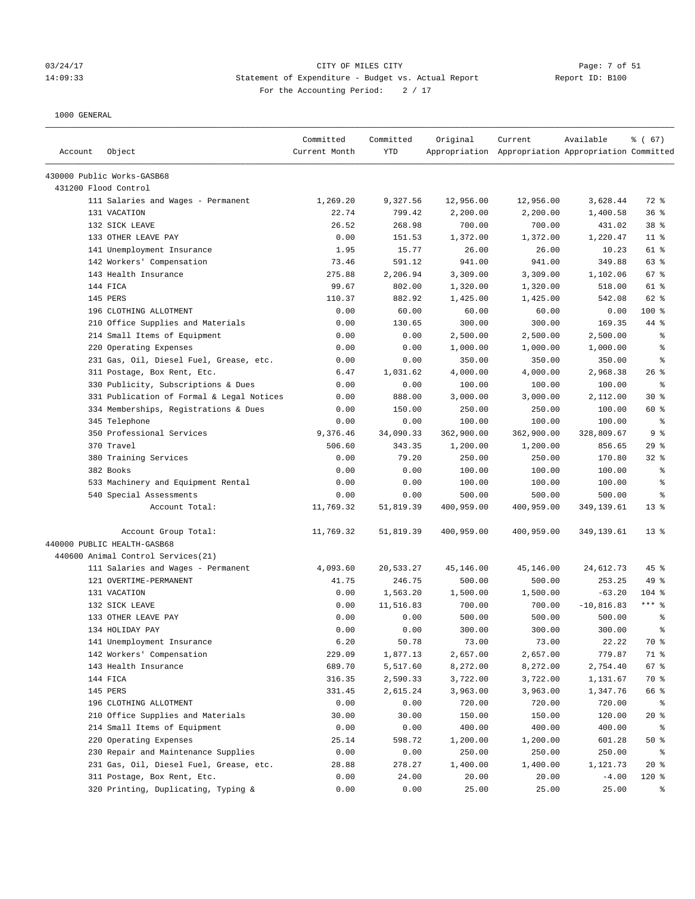#### 03/24/17 Page: 7 of 51 14:09:33 Statement of Expenditure - Budget vs. Actual Report Report ID: B100 For the Accounting Period:  $2 / 17$

| Account | Object                                    | Committed<br>Current Month | Committed<br><b>YTD</b> | Original   | Current<br>Appropriation Appropriation Appropriation Committed | Available    | % (67)          |
|---------|-------------------------------------------|----------------------------|-------------------------|------------|----------------------------------------------------------------|--------------|-----------------|
|         | 430000 Public Works-GASB68                |                            |                         |            |                                                                |              |                 |
|         | 431200 Flood Control                      |                            |                         |            |                                                                |              |                 |
|         | 111 Salaries and Wages - Permanent        | 1,269.20                   | 9,327.56                | 12,956.00  | 12,956.00                                                      | 3,628.44     | 72 %            |
|         | 131 VACATION                              | 22.74                      | 799.42                  | 2,200.00   | 2,200.00                                                       | 1,400.58     | 36%             |
|         | 132 SICK LEAVE                            | 26.52                      | 268.98                  | 700.00     | 700.00                                                         | 431.02       | 38 <sup>8</sup> |
|         | 133 OTHER LEAVE PAY                       | 0.00                       | 151.53                  | 1,372.00   | 1,372.00                                                       | 1,220.47     | $11$ %          |
|         | 141 Unemployment Insurance                | 1.95                       | 15.77                   | 26.00      | 26.00                                                          | 10.23        | 61 %            |
|         | 142 Workers' Compensation                 | 73.46                      | 591.12                  | 941.00     | 941.00                                                         | 349.88       | 63 %            |
|         | 143 Health Insurance                      | 275.88                     | 2,206.94                | 3,309.00   | 3,309.00                                                       | 1,102.06     | 67%             |
|         | 144 FICA                                  | 99.67                      | 802.00                  | 1,320.00   | 1,320.00                                                       | 518.00       | 61 %            |
|         | 145 PERS                                  | 110.37                     | 882.92                  | 1,425.00   | 1,425.00                                                       | 542.08       | 62 %            |
|         | 196 CLOTHING ALLOTMENT                    | 0.00                       | 60.00                   | 60.00      | 60.00                                                          | 0.00         | $100*$          |
|         | 210 Office Supplies and Materials         | 0.00                       | 130.65                  | 300.00     | 300.00                                                         | 169.35       | 44 %            |
|         | 214 Small Items of Equipment              | 0.00                       | 0.00                    | 2,500.00   | 2,500.00                                                       | 2,500.00     | る               |
|         | 220 Operating Expenses                    | 0.00                       | 0.00                    | 1,000.00   | 1,000.00                                                       | 1,000.00     | နွ              |
|         | 231 Gas, Oil, Diesel Fuel, Grease, etc.   | 0.00                       | 0.00                    | 350.00     | 350.00                                                         | 350.00       | る               |
|         | 311 Postage, Box Rent, Etc.               | 6.47                       | 1,031.62                | 4,000.00   | 4,000.00                                                       | 2,968.38     | $26$ %          |
|         | 330 Publicity, Subscriptions & Dues       | 0.00                       | 0.00                    | 100.00     | 100.00                                                         | 100.00       | နွ              |
|         | 331 Publication of Formal & Legal Notices | 0.00                       | 888.00                  | 3,000.00   | 3,000.00                                                       | 2,112.00     | $30*$           |
|         | 334 Memberships, Registrations & Dues     | 0.00                       | 150.00                  | 250.00     | 250.00                                                         | 100.00       | 60 %            |
|         | 345 Telephone                             | 0.00                       | 0.00                    | 100.00     | 100.00                                                         | 100.00       | ႜ               |
|         | 350 Professional Services                 | 9,376.46                   | 34,090.33               | 362,900.00 | 362,900.00                                                     | 328,809.67   | 9 <sub>8</sub>  |
|         | 370 Travel                                | 506.60                     | 343.35                  | 1,200.00   | 1,200.00                                                       | 856.65       | 29%             |
|         | 380 Training Services                     | 0.00                       | 79.20                   | 250.00     | 250.00                                                         | 170.80       | $32$ $%$        |
|         | 382 Books                                 | 0.00                       | 0.00                    | 100.00     | 100.00                                                         | 100.00       | る               |
|         | 533 Machinery and Equipment Rental        | 0.00                       | 0.00                    | 100.00     | 100.00                                                         | 100.00       | နွ              |
|         | 540 Special Assessments                   | 0.00                       | 0.00                    | 500.00     | 500.00                                                         | 500.00       | နွ              |
|         | Account Total:                            | 11,769.32                  | 51,819.39               | 400,959.00 | 400,959.00                                                     | 349,139.61   | $13*$           |
|         | Account Group Total:                      | 11,769.32                  | 51,819.39               | 400,959.00 | 400,959.00                                                     | 349,139.61   | $13*$           |
|         | 440000 PUBLIC HEALTH-GASB68               |                            |                         |            |                                                                |              |                 |
|         | 440600 Animal Control Services(21)        |                            |                         |            |                                                                |              |                 |
|         | 111 Salaries and Wages - Permanent        | 4,093.60                   | 20,533.27               | 45,146.00  | 45,146.00                                                      | 24,612.73    | 45 %            |
|         | 121 OVERTIME-PERMANENT                    | 41.75                      | 246.75                  | 500.00     | 500.00                                                         | 253.25       | 49 %            |
|         | 131 VACATION                              | 0.00                       | 1,563.20                | 1,500.00   | 1,500.00                                                       | $-63.20$     | $104$ %         |
|         | 132 SICK LEAVE                            | 0.00                       | 11,516.83               | 700.00     | 700.00                                                         | $-10,816.83$ | $***$ 8         |
|         | 133 OTHER LEAVE PAY                       | 0.00                       | 0.00                    | 500.00     | 500.00                                                         | 500.00       | နွ              |
|         | 134 HOLIDAY PAY                           | 0.00                       | 0.00                    | 300.00     | 300.00                                                         | 300.00       | 昙               |
|         | 141 Unemployment Insurance                | 6.20                       | 50.78                   | 73.00      | 73.00                                                          | 22.22        | 70 %            |
|         | 142 Workers' Compensation                 | 229.09                     | 1,877.13                | 2,657.00   | 2,657.00                                                       | 779.87       | 71 %            |
|         | 143 Health Insurance                      | 689.70                     | 5,517.60                | 8,272.00   | 8,272.00                                                       | 2,754.40     | 67 %            |
|         | 144 FICA                                  | 316.35                     | 2,590.33                | 3,722.00   | 3,722.00                                                       | 1,131.67     | 70 %            |
|         | 145 PERS                                  | 331.45                     | 2,615.24                | 3,963.00   | 3,963.00                                                       | 1,347.76     | 66 %            |
|         | 196 CLOTHING ALLOTMENT                    | 0.00                       | 0.00                    | 720.00     | 720.00                                                         | 720.00       | ႜ               |
|         | 210 Office Supplies and Materials         | 30.00                      | 30.00                   | 150.00     | 150.00                                                         | 120.00       | $20*$           |
|         | 214 Small Items of Equipment              | 0.00                       | 0.00                    | 400.00     | 400.00                                                         | 400.00       | ႜ               |
|         | 220 Operating Expenses                    | 25.14                      | 598.72                  | 1,200.00   | 1,200.00                                                       | 601.28       | 50%             |
|         | 230 Repair and Maintenance Supplies       | 0.00                       | 0.00                    | 250.00     | 250.00                                                         | 250.00       | ႜ               |
|         | 231 Gas, Oil, Diesel Fuel, Grease, etc.   | 28.88                      | 278.27                  | 1,400.00   | 1,400.00                                                       | 1,121.73     | $20*$           |
|         | 311 Postage, Box Rent, Etc.               | 0.00                       | 24.00                   | 20.00      | 20.00                                                          | $-4.00$      | 120 %           |
|         | 320 Printing, Duplicating, Typing &       | 0.00                       | 0.00                    | 25.00      | 25.00                                                          | 25.00        | နွ              |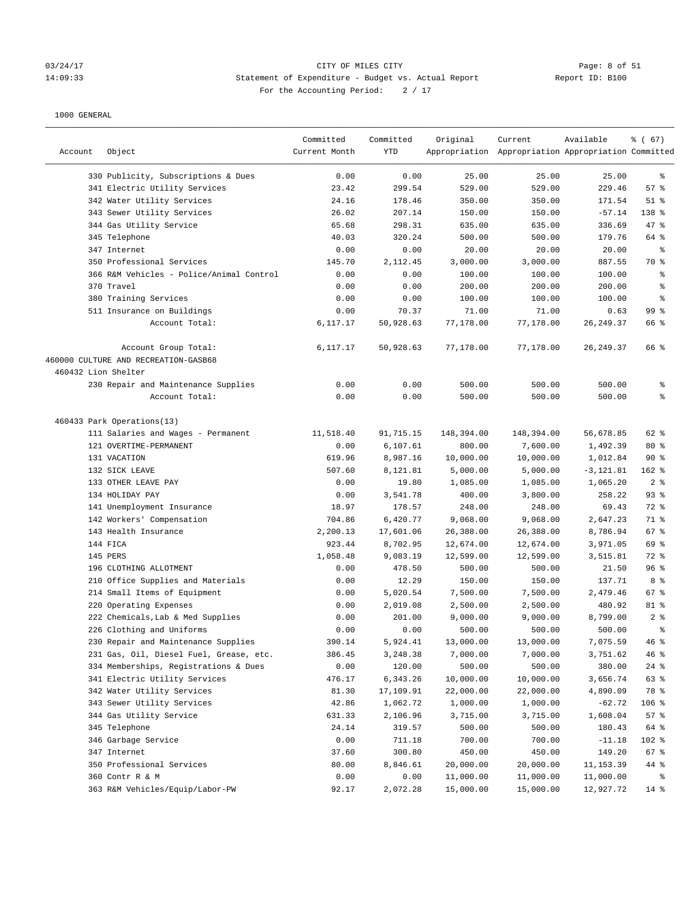#### 03/24/17 CITY OF MILES CITY Page: 8 of 51 14:09:33 Statement of Expenditure - Budget vs. Actual Report Report ID: B100 For the Accounting Period:  $2 / 17$

| Account             | Object                                   | Committed<br>Current Month | Committed<br><b>YTD</b> | Original   | Current<br>Appropriation Appropriation Appropriation Committed | Available    | % (67)          |
|---------------------|------------------------------------------|----------------------------|-------------------------|------------|----------------------------------------------------------------|--------------|-----------------|
|                     | 330 Publicity, Subscriptions & Dues      | 0.00                       | 0.00                    | 25.00      | 25.00                                                          | 25.00        | ႜ               |
|                     | 341 Electric Utility Services            | 23.42                      | 299.54                  | 529.00     | 529.00                                                         | 229.46       | 57%             |
|                     | 342 Water Utility Services               | 24.16                      | 178.46                  | 350.00     | 350.00                                                         | 171.54       | $51$ %          |
|                     | 343 Sewer Utility Services               | 26.02                      | 207.14                  | 150.00     | 150.00                                                         | $-57.14$     | 138 %           |
|                     | 344 Gas Utility Service                  | 65.68                      | 298.31                  | 635.00     | 635.00                                                         | 336.69       | 47 %            |
|                     | 345 Telephone                            | 40.03                      | 320.24                  | 500.00     | 500.00                                                         | 179.76       | 64 %            |
|                     | 347 Internet                             | 0.00                       | 0.00                    | 20.00      | 20.00                                                          | 20.00        | ႜ               |
|                     | 350 Professional Services                | 145.70                     | 2,112.45                | 3,000.00   | 3,000.00                                                       | 887.55       | 70 %            |
|                     | 366 R&M Vehicles - Police/Animal Control | 0.00                       | 0.00                    | 100.00     | 100.00                                                         | 100.00       | ್ಠಿ             |
|                     | 370 Travel                               | 0.00                       | 0.00                    | 200.00     | 200.00                                                         | 200.00       | ್ಠಿ             |
|                     | 380 Training Services                    | 0.00                       | 0.00                    | 100.00     | 100.00                                                         | 100.00       | နွ              |
|                     | 511 Insurance on Buildings               | 0.00                       | 70.37                   | 71.00      | 71.00                                                          | 0.63         | 99 <sup>8</sup> |
|                     | Account Total:                           | 6,117.17                   | 50,928.63               | 77,178.00  | 77,178.00                                                      | 26, 249.37   | 66 %            |
|                     | Account Group Total:                     | 6,117.17                   | 50,928.63               | 77,178.00  | 77,178.00                                                      | 26,249.37    | 66 %            |
|                     | 460000 CULTURE AND RECREATION-GASB68     |                            |                         |            |                                                                |              |                 |
| 460432 Lion Shelter |                                          |                            |                         |            |                                                                |              |                 |
|                     | 230 Repair and Maintenance Supplies      | 0.00                       | 0.00                    | 500.00     | 500.00                                                         | 500.00       | နွ              |
|                     | Account Total:                           | 0.00                       | 0.00                    | 500.00     | 500.00                                                         | 500.00       | နွ              |
|                     | 460433 Park Operations(13)               |                            |                         |            |                                                                |              |                 |
|                     | 111 Salaries and Wages - Permanent       | 11,518.40                  | 91,715.15               | 148,394.00 | 148,394.00                                                     | 56,678.85    | 62 %            |
|                     | 121 OVERTIME-PERMANENT                   | 0.00                       | 6,107.61                | 800.00     | 7,600.00                                                       | 1,492.39     | $80*$           |
|                     | 131 VACATION                             | 619.96                     | 8,987.16                | 10,000.00  | 10,000.00                                                      | 1,012.84     | 90%             |
|                     | 132 SICK LEAVE                           | 507.60                     | 8,121.81                | 5,000.00   | 5,000.00                                                       | $-3, 121.81$ | $162$ %         |
|                     | 133 OTHER LEAVE PAY                      | 0.00                       | 19.80                   | 1,085.00   | 1,085.00                                                       | 1,065.20     | 2%              |
|                     | 134 HOLIDAY PAY                          | 0.00                       | 3,541.78                | 400.00     | 3,800.00                                                       | 258.22       | 93%             |
|                     | 141 Unemployment Insurance               | 18.97                      | 178.57                  | 248.00     | 248.00                                                         | 69.43        | 72 %            |
|                     | 142 Workers' Compensation                | 704.86                     | 6,420.77                | 9,068.00   | 9,068.00                                                       | 2,647.23     | 71 %            |
|                     | 143 Health Insurance                     | 2,200.13                   | 17,601.06               | 26,388.00  | 26,388.00                                                      | 8,786.94     | 67%             |
|                     | 144 FICA                                 | 923.44                     | 8,702.95                | 12,674.00  | 12,674.00                                                      | 3,971.05     | 69 %            |
|                     | 145 PERS                                 | 1,058.48                   | 9,083.19                | 12,599.00  | 12,599.00                                                      | 3,515.81     | 72 %            |
|                     | 196 CLOTHING ALLOTMENT                   | 0.00                       | 478.50                  | 500.00     | 500.00                                                         | 21.50        | 96%             |
|                     | 210 Office Supplies and Materials        | 0.00                       | 12.29                   | 150.00     | 150.00                                                         | 137.71       | 8%              |
|                     | 214 Small Items of Equipment             | 0.00                       | 5,020.54                | 7,500.00   | 7,500.00                                                       | 2,479.46     | 67%             |
|                     | 220 Operating Expenses                   | 0.00                       | 2,019.08                | 2,500.00   | 2,500.00                                                       | 480.92       | 81 %            |
|                     | 222 Chemicals, Lab & Med Supplies        | 0.00                       | 201.00                  | 9,000.00   | 9,000.00                                                       | 8,799.00     | 2%              |
|                     | 226 Clothing and Uniforms                | 0.00                       | 0.00                    | 500.00     | 500.00                                                         | 500.00       | ÷.              |
|                     | 230 Repair and Maintenance Supplies      | 390.14                     | 5,924.41                | 13,000.00  | 13,000.00                                                      | 7,075.59     | 46%             |
|                     | 231 Gas, Oil, Diesel Fuel, Grease, etc.  | 386.45                     | 3,248.38                | 7,000.00   | 7,000.00                                                       | 3,751.62     | 46%             |
|                     | 334 Memberships, Registrations & Dues    | 0.00                       | 120.00                  | 500.00     | 500.00                                                         | 380.00       | $24$ %          |
|                     | 341 Electric Utility Services            | 476.17                     | 6,343.26                | 10,000.00  | 10,000.00                                                      | 3,656.74     | 63 %            |
|                     | 342 Water Utility Services               | 81.30                      | 17,109.91               | 22,000.00  | 22,000.00                                                      | 4,890.09     | 78 %            |
|                     | 343 Sewer Utility Services               | 42.86                      | 1,062.72                | 1,000.00   | 1,000.00                                                       | $-62.72$     | 106 %           |
|                     | 344 Gas Utility Service                  | 631.33                     | 2,106.96                | 3,715.00   | 3,715.00                                                       | 1,608.04     | 57%             |
|                     | 345 Telephone                            | 24.14                      | 319.57                  | 500.00     | 500.00                                                         | 180.43       | 64 %            |
|                     | 346 Garbage Service                      | 0.00                       | 711.18                  | 700.00     | 700.00                                                         | $-11.18$     | 102 %           |
|                     | 347 Internet                             | 37.60                      | 300.80                  | 450.00     | 450.00                                                         | 149.20       | 67%             |
|                     | 350 Professional Services                | 80.00                      | 8,846.61                | 20,000.00  | 20,000.00                                                      | 11, 153.39   | 44 %            |
|                     | 360 Contr R & M                          | 0.00                       | 0.00                    | 11,000.00  | 11,000.00                                                      | 11,000.00    | နွ              |
|                     | 363 R&M Vehicles/Equip/Labor-PW          | 92.17                      | 2,072.28                | 15,000.00  | 15,000.00                                                      | 12,927.72    | $14$ %          |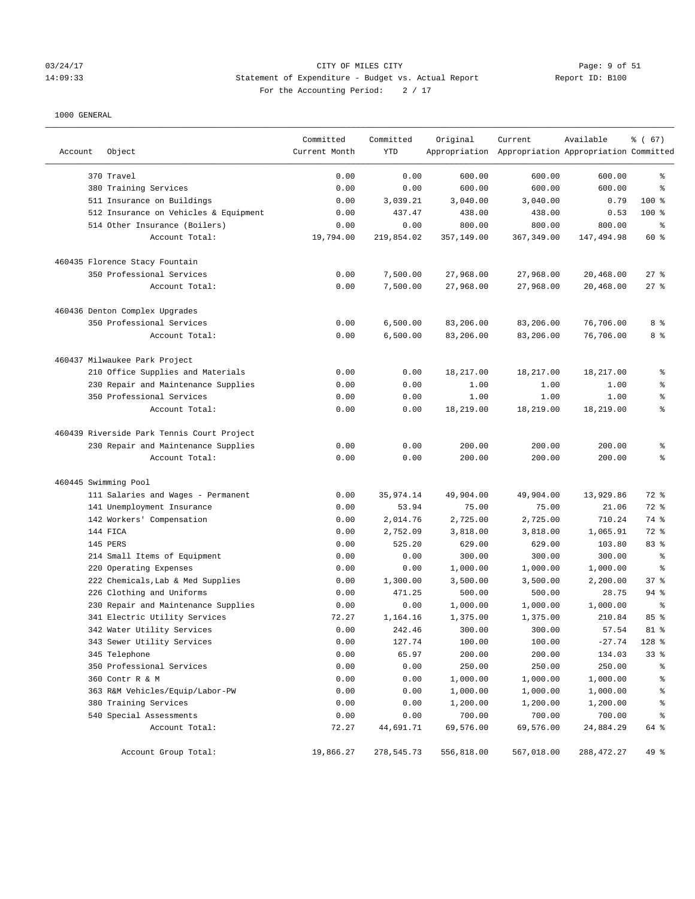# 03/24/17 CITY OF MILES CITY<br>14:09:33 Statement of Expenditure - Budget vs. Actual Report 11: Deport ID: B100 14:09:33 Statement of Expenditure - Budget vs. Actual Report Report ID: B100 For the Accounting Period:  $2 / 17$

| Account              | Object                                                              | Committed<br>Current Month | Committed<br>YTD | Original             | Current<br>Appropriation Appropriation Appropriation Committed | Available          | % (67)                   |
|----------------------|---------------------------------------------------------------------|----------------------------|------------------|----------------------|----------------------------------------------------------------|--------------------|--------------------------|
|                      |                                                                     |                            |                  |                      |                                                                |                    | နွ                       |
|                      | 370 Travel                                                          | 0.00<br>0.00               | 0.00<br>0.00     | 600.00<br>600.00     | 600.00<br>600.00                                               | 600.00<br>600.00   | ి                        |
|                      | 380 Training Services                                               | 0.00                       | 3,039.21         | 3,040.00             | 3,040.00                                                       | 0.79               | $100$ %                  |
|                      | 511 Insurance on Buildings<br>512 Insurance on Vehicles & Equipment | 0.00                       | 437.47           | 438.00               | 438.00                                                         | 0.53               | $100$ %                  |
|                      | 514 Other Insurance (Boilers)                                       | 0.00                       | 0.00             | 800.00               | 800.00                                                         | 800.00             | ್ಠಿ                      |
|                      | Account Total:                                                      | 19,794.00                  | 219,854.02       | 357,149.00           | 367,349.00                                                     | 147,494.98         | 60 %                     |
|                      | 460435 Florence Stacy Fountain                                      |                            |                  |                      |                                                                |                    |                          |
|                      | 350 Professional Services                                           | 0.00                       | 7,500.00         | 27,968.00            | 27,968.00                                                      | 20,468.00          | $27$ %                   |
|                      | Account Total:                                                      | 0.00                       | 7,500.00         | 27,968.00            | 27,968.00                                                      | 20,468.00          | 27%                      |
|                      | 460436 Denton Complex Upgrades                                      |                            |                  |                      |                                                                |                    |                          |
|                      | 350 Professional Services                                           | 0.00                       | 6,500.00         | 83,206.00            | 83,206.00                                                      | 76,706.00          | 8 %                      |
|                      | Account Total:                                                      | 0.00                       | 6,500.00         | 83,206.00            | 83,206.00                                                      | 76,706.00          | 8 %                      |
|                      | 460437 Milwaukee Park Project                                       |                            |                  |                      |                                                                |                    |                          |
|                      | 210 Office Supplies and Materials                                   | 0.00                       | 0.00             | 18,217.00            | 18,217.00                                                      | 18,217.00          | ್ಠಿ                      |
|                      | 230 Repair and Maintenance Supplies                                 | 0.00                       | 0.00             | 1.00                 | 1.00                                                           | 1.00               | န့                       |
|                      | 350 Professional Services                                           | 0.00                       | 0.00             | 1.00                 | 1.00                                                           | 1.00               | န့                       |
|                      | Account Total:                                                      | 0.00                       | 0.00             | 18,219.00            | 18,219.00                                                      | 18,219.00          | $\epsilon$               |
|                      | 460439 Riverside Park Tennis Court Project                          |                            |                  |                      |                                                                |                    |                          |
|                      | 230 Repair and Maintenance Supplies                                 | 0.00                       | 0.00             | 200.00               | 200.00                                                         | 200.00             | န့                       |
|                      | Account Total:                                                      | 0.00                       | 0.00             | 200.00               | 200.00                                                         | 200.00             | နွ                       |
| 460445 Swimming Pool |                                                                     |                            |                  |                      |                                                                |                    |                          |
|                      | 111 Salaries and Wages - Permanent                                  | 0.00                       | 35,974.14        | 49,904.00            | 49,904.00                                                      | 13,929.86          | 72 %                     |
|                      | 141 Unemployment Insurance                                          | 0.00                       | 53.94            | 75.00                | 75.00                                                          | 21.06              | 72 %                     |
|                      | 142 Workers' Compensation                                           | 0.00                       | 2,014.76         | 2,725.00             | 2,725.00                                                       | 710.24             | 74 %                     |
|                      | 144 FICA                                                            | 0.00                       | 2,752.09         | 3,818.00             | 3,818.00                                                       | 1,065.91           | 72 %                     |
|                      | 145 PERS                                                            | 0.00                       | 525.20           | 629.00               | 629.00                                                         | 103.80             | 83 %                     |
|                      | 214 Small Items of Equipment                                        | 0.00                       | 0.00             | 300.00               | 300.00                                                         | 300.00             | နွ                       |
|                      | 220 Operating Expenses                                              | 0.00                       | 0.00             | 1,000.00             | 1,000.00                                                       | 1,000.00           | ి                        |
|                      | 222 Chemicals, Lab & Med Supplies                                   | 0.00                       | 1,300.00         | 3,500.00             | 3,500.00                                                       | 2,200.00           | 37%                      |
|                      | 226 Clothing and Uniforms                                           | 0.00                       | 471.25           | 500.00               | 500.00                                                         | 28.75              | $94$ %                   |
|                      | 230 Repair and Maintenance Supplies                                 | 0.00                       | 0.00             | 1,000.00             | 1,000.00                                                       | 1,000.00           | ి                        |
|                      | 341 Electric Utility Services                                       | 72.27                      | 1,164.16         | 1,375.00             | 1,375.00                                                       | 210.84             | 85 %                     |
|                      | 342 Water Utility Services                                          | 0.00                       | 242.46           | 300.00               | 300.00                                                         | 57.54              | $81$ %                   |
|                      | 343 Sewer Utility Services                                          | 0.00                       | 127.74           | 100.00               | 100.00                                                         | $-27.74$           | 128 %                    |
|                      | 345 Telephone                                                       | 0.00                       | 65.97            | 200.00               | 200.00                                                         | 134.03             | 33%                      |
|                      | 350 Professional Services<br>360 Contr R & M                        | 0.00                       | 0.00             | 250.00               | 250.00                                                         | 250.00             | န့                       |
|                      |                                                                     | 0.00                       | 0.00             | 1,000.00             | 1,000.00                                                       | 1,000.00           | န့                       |
|                      | 363 R&M Vehicles/Equip/Labor-PW<br>380 Training Services            | 0.00<br>0.00               | 0.00<br>0.00     | 1,000.00<br>1,200.00 | 1,000.00<br>1,200.00                                           | 1,000.00           | န့<br>န့                 |
|                      | 540 Special Assessments                                             | 0.00                       | 0.00             | 700.00               | 700.00                                                         | 1,200.00<br>700.00 | $\,{}^{\circ}\!\!\delta$ |
|                      | Account Total:                                                      | 72.27                      | 44,691.71        | 69,576.00            | 69,576.00                                                      | 24,884.29          | 64 %                     |
|                      | Account Group Total:                                                | 19,866.27                  | 278,545.73       | 556,818.00           | 567,018.00                                                     | 288, 472.27        | 49 %                     |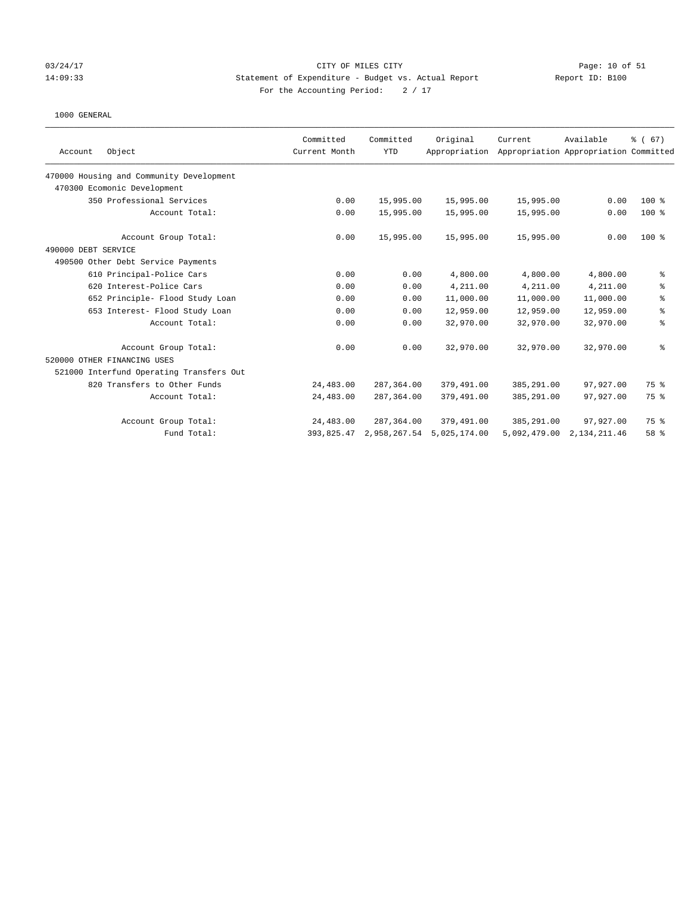### 03/24/17 Page: 10 of 51 CITY OF MILES CITY CHANGES COMPANY Page: 10 of 51 14:09:33 Statement of Expenditure - Budget vs. Actual Report Report ID: B100 For the Accounting Period:  $2 / 17$

|                                          | Committed     | Committed    | Original      | Current      | Available                             | % (67)         |
|------------------------------------------|---------------|--------------|---------------|--------------|---------------------------------------|----------------|
| Object<br>Account                        | Current Month | <b>YTD</b>   | Appropriation |              | Appropriation Appropriation Committed |                |
| 470000 Housing and Community Development |               |              |               |              |                                       |                |
| 470300 Ecomonic Development              |               |              |               |              |                                       |                |
| 350 Professional Services                | 0.00          | 15,995.00    | 15,995.00     | 15,995.00    | 0.00                                  | $100*$         |
| Account Total:                           | 0.00          | 15,995.00    | 15,995.00     | 15,995.00    | 0.00                                  | $100$ %        |
| Account Group Total:                     | 0.00          | 15,995.00    | 15,995.00     | 15,995.00    | 0.00                                  | $100$ %        |
| 490000 DEBT SERVICE                      |               |              |               |              |                                       |                |
| 490500 Other Debt Service Payments       |               |              |               |              |                                       |                |
| 610 Principal-Police Cars                | 0.00          | 0.00         | 4,800.00      | 4,800.00     | 4,800.00                              | ್ಠಿ            |
| 620 Interest-Police Cars                 | 0.00          | 0.00         | 4,211.00      | 4,211.00     | 4,211.00                              | ి              |
| 652 Principle- Flood Study Loan          | 0.00          | 0.00         | 11,000.00     | 11,000.00    | 11,000.00                             | နွ             |
| 653 Interest- Flood Study Loan           | 0.00          | 0.00         | 12,959.00     | 12,959.00    | 12,959.00                             | $\,$ $\,$ $\,$ |
| Account Total:                           | 0.00          | 0.00         | 32,970.00     | 32,970.00    | 32,970.00                             | နွ             |
| Account Group Total:                     | 0.00          | 0.00         | 32,970.00     | 32,970.00    | 32,970.00                             | ి              |
| 520000 OTHER FINANCING USES              |               |              |               |              |                                       |                |
| 521000 Interfund Operating Transfers Out |               |              |               |              |                                       |                |
| 820 Transfers to Other Funds             | 24,483.00     | 287,364.00   | 379,491.00    | 385,291.00   | 97,927.00                             | 75 %           |
| Account Total:                           | 24,483.00     | 287,364.00   | 379,491.00    | 385,291.00   | 97,927.00                             | 75 %           |
| Account Group Total:                     | 24,483.00     | 287,364.00   | 379,491.00    | 385,291.00   | 97,927.00                             | 75 %           |
| Fund Total:                              | 393,825.47    | 2,958,267.54 | 5,025,174.00  | 5,092,479.00 | 2, 134, 211.46                        | 58 %           |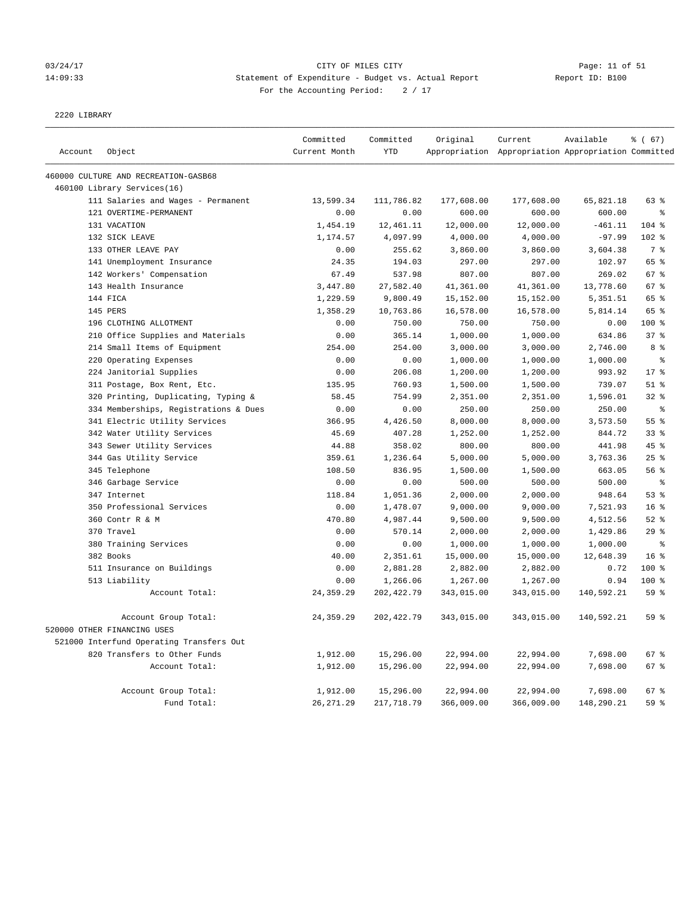# 03/24/17 Page: 11 of 51 14:09:33 Statement of Expenditure - Budget vs. Actual Report Changer Report ID: B100 For the Accounting Period: 2 / 17

2220 LIBRARY

|         |                                          | Committed     | Committed   | Original   | Current                                             | Available  | % (67)          |
|---------|------------------------------------------|---------------|-------------|------------|-----------------------------------------------------|------------|-----------------|
| Account | Object                                   | Current Month | <b>YTD</b>  |            | Appropriation Appropriation Appropriation Committed |            |                 |
|         | 460000 CULTURE AND RECREATION-GASB68     |               |             |            |                                                     |            |                 |
|         | 460100 Library Services(16)              |               |             |            |                                                     |            |                 |
|         | 111 Salaries and Wages - Permanent       | 13,599.34     | 111,786.82  | 177,608.00 | 177,608.00                                          | 65,821.18  | 63 %            |
|         | 121 OVERTIME-PERMANENT                   | 0.00          | 0.00        | 600.00     | 600.00                                              | 600.00     | $\,$ 8          |
|         | 131 VACATION                             | 1,454.19      | 12,461.11   | 12,000.00  | 12,000.00                                           | $-461.11$  | 104 %           |
|         | 132 SICK LEAVE                           | 1,174.57      | 4,097.99    | 4,000.00   | 4,000.00                                            | $-97.99$   | $102$ %         |
|         | 133 OTHER LEAVE PAY                      | 0.00          | 255.62      | 3,860.00   | 3,860.00                                            | 3,604.38   | 7 <sup>8</sup>  |
|         | 141 Unemployment Insurance               | 24.35         | 194.03      | 297.00     | 297.00                                              | 102.97     | 65 %            |
|         | 142 Workers' Compensation                | 67.49         | 537.98      | 807.00     | 807.00                                              | 269.02     | 67%             |
|         | 143 Health Insurance                     | 3,447.80      | 27,582.40   | 41,361.00  | 41,361.00                                           | 13,778.60  | 67 %            |
|         | 144 FICA                                 | 1,229.59      | 9,800.49    | 15,152.00  | 15,152.00                                           | 5,351.51   | 65 %            |
|         | 145 PERS                                 | 1,358.29      | 10,763.86   | 16,578.00  | 16,578.00                                           | 5,814.14   | 65 %            |
|         | 196 CLOTHING ALLOTMENT                   | 0.00          | 750.00      | 750.00     | 750.00                                              | 0.00       | 100 %           |
|         | 210 Office Supplies and Materials        | 0.00          | 365.14      | 1,000.00   | 1,000.00                                            | 634.86     | 37%             |
|         | 214 Small Items of Equipment             | 254.00        | 254.00      | 3,000.00   | 3,000.00                                            | 2,746.00   | 8 %             |
|         | 220 Operating Expenses                   | 0.00          | 0.00        | 1,000.00   | 1,000.00                                            | 1,000.00   | နွ              |
|         | 224 Janitorial Supplies                  | 0.00          | 206.08      | 1,200.00   | 1,200.00                                            | 993.92     | $17*$           |
|         | 311 Postage, Box Rent, Etc.              | 135.95        | 760.93      | 1,500.00   | 1,500.00                                            | 739.07     | $51$ %          |
|         | 320 Printing, Duplicating, Typing &      | 58.45         | 754.99      | 2,351.00   | 2,351.00                                            | 1,596.01   | $32$ $%$        |
|         | 334 Memberships, Registrations & Dues    | 0.00          | 0.00        | 250.00     | 250.00                                              | 250.00     | $\rm ^{9}$      |
|         | 341 Electric Utility Services            | 366.95        | 4,426.50    | 8,000.00   | 8,000.00                                            | 3,573.50   | 55%             |
|         | 342 Water Utility Services               | 45.69         | 407.28      | 1,252.00   | 1,252.00                                            | 844.72     | 33%             |
|         | 343 Sewer Utility Services               | 44.88         | 358.02      | 800.00     | 800.00                                              | 441.98     | 45 %            |
|         | 344 Gas Utility Service                  | 359.61        | 1,236.64    | 5,000.00   | 5,000.00                                            | 3,763.36   | 25%             |
|         | 345 Telephone                            | 108.50        | 836.95      | 1,500.00   | 1,500.00                                            | 663.05     | 56 %            |
|         | 346 Garbage Service                      | 0.00          | 0.00        | 500.00     | 500.00                                              | 500.00     | $\,$ 8          |
|         | 347 Internet                             | 118.84        | 1,051.36    | 2,000.00   | 2,000.00                                            | 948.64     | 53%             |
|         | 350 Professional Services                | 0.00          | 1,478.07    | 9,000.00   | 9,000.00                                            | 7,521.93   | 16 <sup>8</sup> |
|         | 360 Contr R & M                          | 470.80        | 4,987.44    | 9,500.00   | 9,500.00                                            | 4,512.56   | $52$ $%$        |
|         | 370 Travel                               | 0.00          | 570.14      | 2,000.00   | 2,000.00                                            | 1,429.86   | $29$ %          |
|         | 380 Training Services                    | 0.00          | 0.00        | 1,000.00   | 1,000.00                                            | 1,000.00   | $\epsilon$      |
|         | 382 Books                                | 40.00         | 2,351.61    | 15,000.00  | 15,000.00                                           | 12,648.39  | 16%             |
|         | 511 Insurance on Buildings               | 0.00          | 2,881.28    | 2,882.00   | 2,882.00                                            | 0.72       | 100 %           |
|         | 513 Liability                            | 0.00          | 1,266.06    | 1,267.00   | 1,267.00                                            | 0.94       | $100*$          |
|         | Account Total:                           | 24, 359.29    | 202, 422.79 | 343,015.00 | 343,015.00                                          | 140,592.21 | 59 %            |
|         | Account Group Total:                     | 24, 359.29    | 202, 422.79 | 343,015.00 | 343,015.00                                          | 140,592.21 | 59 %            |
|         | 520000 OTHER FINANCING USES              |               |             |            |                                                     |            |                 |
|         | 521000 Interfund Operating Transfers Out |               |             |            |                                                     |            |                 |
|         | 820 Transfers to Other Funds             | 1,912.00      | 15,296.00   | 22,994.00  | 22,994.00                                           | 7,698.00   | 67 %            |
|         | Account Total:                           | 1,912.00      | 15,296.00   | 22,994.00  | 22,994.00                                           | 7,698.00   | 67%             |
|         | Account Group Total:                     | 1,912.00      | 15,296.00   | 22,994.00  | 22,994.00                                           | 7,698.00   | 67 %            |
|         | Fund Total:                              | 26, 271.29    | 217,718.79  | 366,009.00 | 366,009.00                                          | 148,290.21 | 59 %            |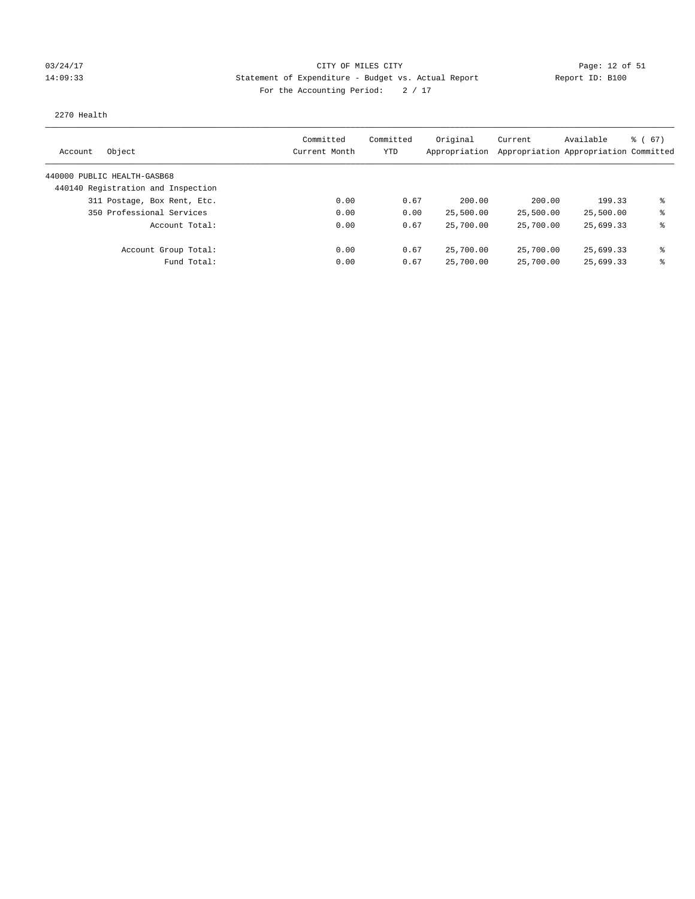### 03/24/17 Page: 12 of 51 Page: 12 of 51 14:09:33 Statement of Expenditure - Budget vs. Actual Report Report ID: B100 For the Accounting Period:  $2 / 17$

#### 2270 Health

| Object<br>Account                  | Committed<br>Current Month | Committed<br>YTD | Original<br>Appropriation | Current<br>Appropriation Appropriation Committed | Available | $\frac{1}{6}$ (67) |
|------------------------------------|----------------------------|------------------|---------------------------|--------------------------------------------------|-----------|--------------------|
| 440000 PUBLIC HEALTH-GASB68        |                            |                  |                           |                                                  |           |                    |
| 440140 Registration and Inspection |                            |                  |                           |                                                  |           |                    |
| 311 Postage, Box Rent, Etc.        | 0.00                       | 0.67             | 200.00                    | 200.00                                           | 199.33    | ⊱                  |
| 350 Professional Services          | 0.00                       | 0.00             | 25,500.00                 | 25,500.00                                        | 25,500.00 | နွ                 |
| Account Total:                     | 0.00                       | 0.67             | 25,700.00                 | 25,700.00                                        | 25,699.33 | ⊱                  |
| Account Group Total:               | 0.00                       | 0.67             | 25,700.00                 | 25,700.00                                        | 25,699.33 | နွ                 |
| Fund Total:                        | 0.00                       | 0.67             | 25,700.00                 | 25,700.00                                        | 25,699.33 | ⊱                  |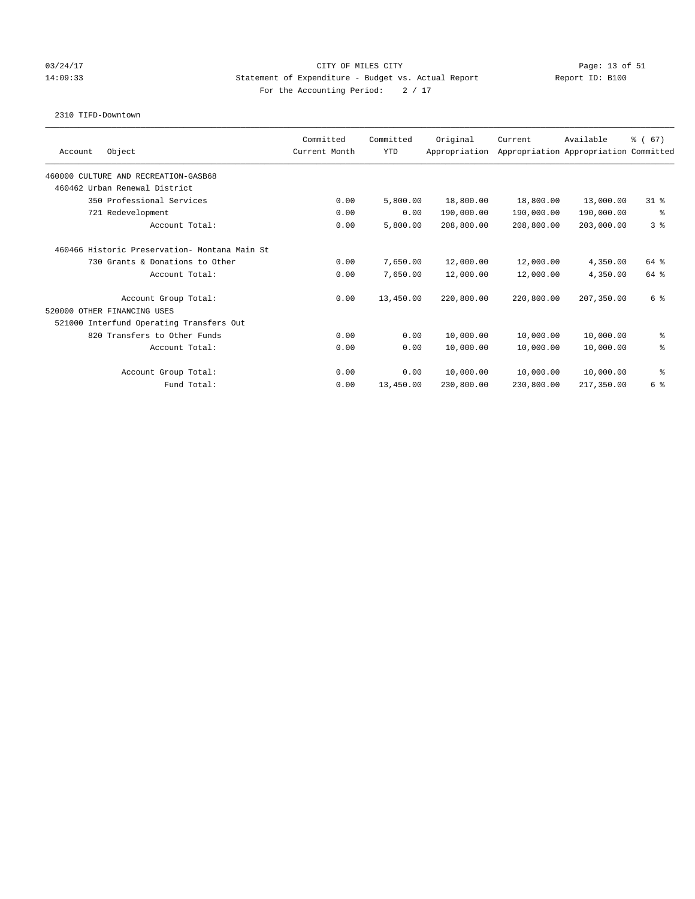### 03/24/17 Page: 13 of 51 and 2012 CITY OF MILES CITY 14:09:33 Statement of Expenditure - Budget vs. Actual Report Report ID: B100 For the Accounting Period:  $2 / 17$

#### 2310 TIFD-Downtown

| Object<br>Account                             | Committed<br>Current Month | Committed<br><b>YTD</b> | Original<br>Appropriation | Current    | Available<br>Appropriation Appropriation Committed | % (67)         |
|-----------------------------------------------|----------------------------|-------------------------|---------------------------|------------|----------------------------------------------------|----------------|
| 460000 CULTURE AND RECREATION-GASB68          |                            |                         |                           |            |                                                    |                |
| 460462 Urban Renewal District                 |                            |                         |                           |            |                                                    |                |
| 350 Professional Services                     | 0.00                       | 5,800.00                | 18,800.00                 | 18,800.00  | 13,000.00                                          | $31*$          |
| 721 Redevelopment                             | 0.00                       | 0.00                    | 190,000.00                | 190,000.00 | 190,000.00                                         | နွ             |
| Account Total:                                | 0.00                       | 5,800.00                | 208,800.00                | 208,800.00 | 203,000.00                                         | 3 <sup>8</sup> |
| 460466 Historic Preservation- Montana Main St |                            |                         |                           |            |                                                    |                |
| 730 Grants & Donations to Other               | 0.00                       | 7,650.00                | 12,000.00                 | 12,000.00  | 4,350.00                                           | 64 %           |
| Account Total:                                | 0.00                       | 7,650.00                | 12,000.00                 | 12,000.00  | 4,350.00                                           | 64 %           |
| Account Group Total:                          | 0.00                       | 13,450.00               | 220,800.00                | 220,800.00 | 207,350.00                                         | 6 %            |
| 520000 OTHER FINANCING USES                   |                            |                         |                           |            |                                                    |                |
| 521000 Interfund Operating Transfers Out      |                            |                         |                           |            |                                                    |                |
| 820 Transfers to Other Funds                  | 0.00                       | 0.00                    | 10,000.00                 | 10,000.00  | 10,000.00                                          | နွ             |
| Account Total:                                | 0.00                       | 0.00                    | 10,000.00                 | 10,000.00  | 10,000.00                                          | る              |
| Account Group Total:                          | 0.00                       | 0.00                    | 10,000.00                 | 10,000.00  | 10,000.00                                          | နွ             |
| Fund Total:                                   | 0.00                       | 13,450.00               | 230,800.00                | 230,800.00 | 217,350.00                                         | 6 %            |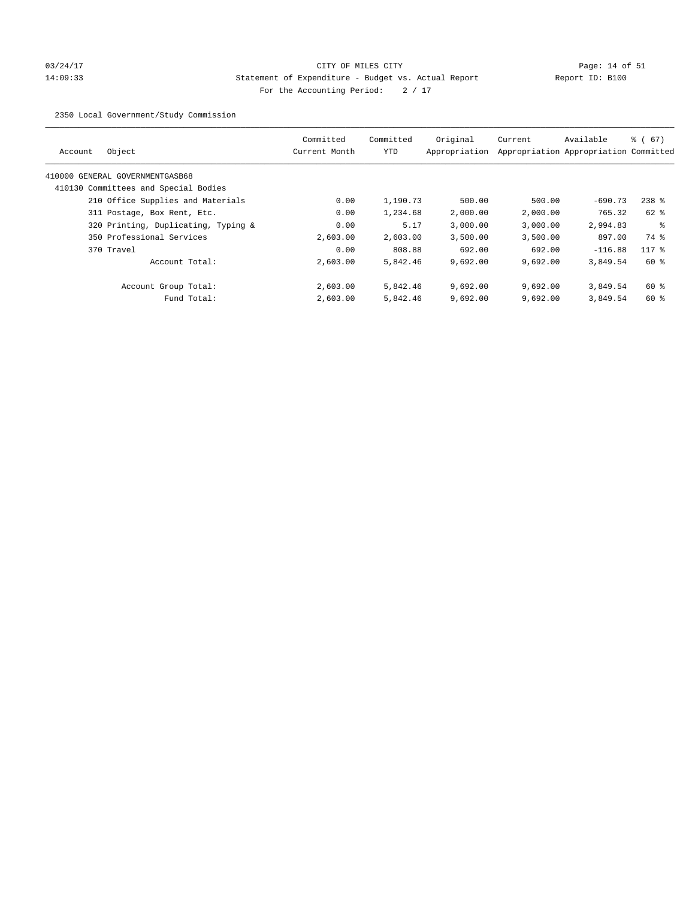# 03/24/17 Page: 14 of 51 14:09:33 Statement of Expenditure - Budget vs. Actual Report Report ID: B100 For the Accounting Period:  $2 / 17$

2350 Local Government/Study Commission

| Object<br>Account                    | Committed<br>Current Month | Committed<br>YTD | Original<br>Appropriation | Current  | Available<br>Appropriation Appropriation Committed | $\frac{6}{6}$ (67) |
|--------------------------------------|----------------------------|------------------|---------------------------|----------|----------------------------------------------------|--------------------|
|                                      |                            |                  |                           |          |                                                    |                    |
| 410000 GENERAL GOVERNMENTGASB68      |                            |                  |                           |          |                                                    |                    |
| 410130 Committees and Special Bodies |                            |                  |                           |          |                                                    |                    |
| 210 Office Supplies and Materials    | 0.00                       | 1,190.73         | 500.00                    | 500.00   | $-690.73$                                          | $238$ %            |
| 311 Postage, Box Rent, Etc.          | 0.00                       | 1,234.68         | 2,000.00                  | 2,000.00 | 765.32                                             | $62$ $%$           |
| 320 Printing, Duplicating, Typing &  | 0.00                       | 5.17             | 3,000.00                  | 3,000.00 | 2,994.83                                           | ႜ                  |
| 350 Professional Services            | 2,603.00                   | 2,603.00         | 3,500.00                  | 3,500.00 | 897.00                                             | 74 %               |
| 370 Travel                           | 0.00                       | 808.88           | 692.00                    | 692.00   | $-116.88$                                          | $117$ %            |
| Account Total:                       | 2,603.00                   | 5,842.46         | 9,692.00                  | 9,692.00 | 3,849.54                                           | $60*$              |
| Account Group Total:                 | 2,603.00                   | 5,842.46         | 9,692.00                  | 9.692.00 | 3,849.54                                           | 60 %               |
| Fund Total:                          | 2,603.00                   | 5,842.46         | 9,692.00                  | 9.692.00 | 3,849.54                                           | 60 %               |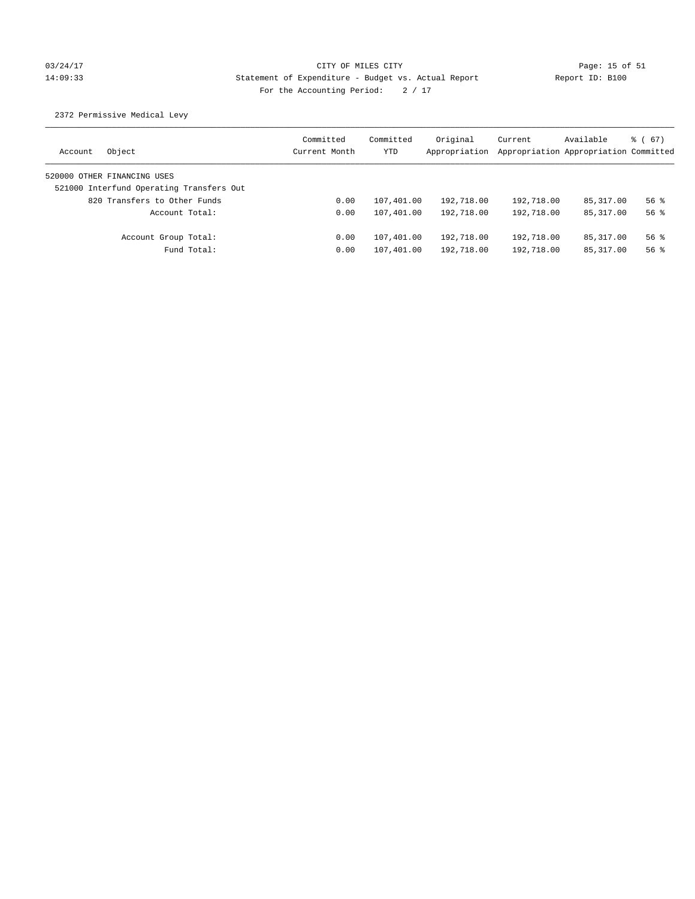# 03/24/17 Page: 15 of 51 14:09:33 Statement of Expenditure - Budget vs. Actual Report Report ID: B100 For the Accounting Period:  $2 / 17$

2372 Permissive Medical Levy

| Object<br>Account                        | Committed<br>Current Month | Committed<br>YTD | Original<br>Appropriation | Current    | Available<br>Appropriation Appropriation Committed | 8 ( 67 ) |
|------------------------------------------|----------------------------|------------------|---------------------------|------------|----------------------------------------------------|----------|
| 520000 OTHER FINANCING USES              |                            |                  |                           |            |                                                    |          |
| 521000 Interfund Operating Transfers Out |                            |                  |                           |            |                                                    |          |
| 820 Transfers to Other Funds             | 0.00                       | 107,401.00       | 192,718.00                | 192,718.00 | 85,317.00                                          | $56$ $%$ |
| Account Total:                           | 0.00                       | 107,401.00       | 192,718.00                | 192,718.00 | 85, 317, 00                                        | $56$ $%$ |
| Account Group Total:                     | 0.00                       | 107,401.00       | 192,718.00                | 192,718.00 | 85,317.00                                          | $56$ $%$ |
| Fund Total:                              | 0.00                       | 107,401.00       | 192,718.00                | 192,718.00 | 85,317.00                                          | $56$ $%$ |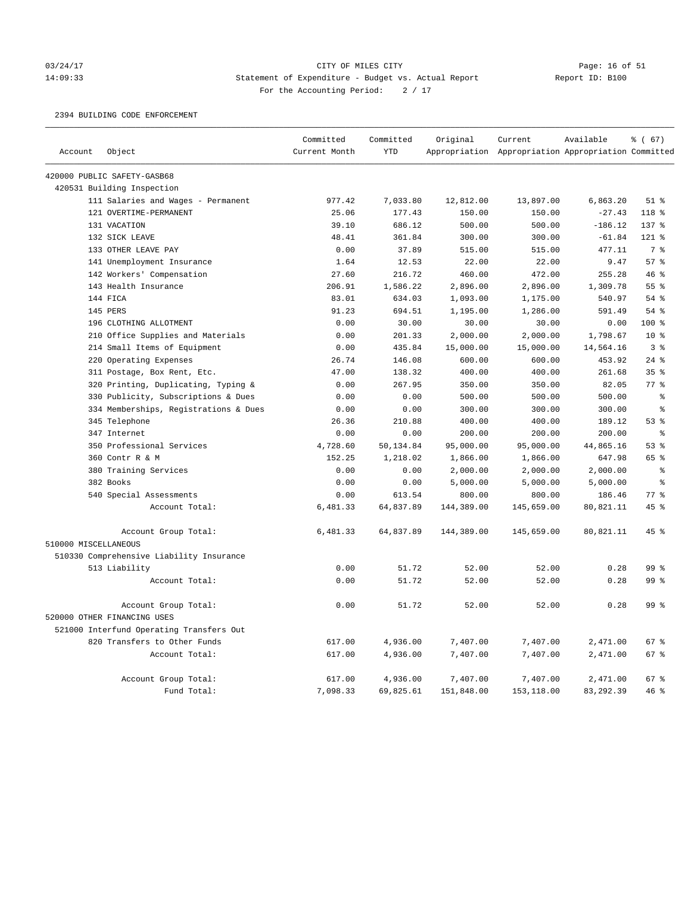### 03/24/17 Page: 16 of 51 14:09:33 Statement of Expenditure - Budget vs. Actual Report Report ID: B100 For the Accounting Period:  $2 / 17$

2394 BUILDING CODE ENFORCEMENT

|                      |                                          | Committed     | Committed  | Original   | Current                                             | Available | % (67)          |
|----------------------|------------------------------------------|---------------|------------|------------|-----------------------------------------------------|-----------|-----------------|
| Account              | Object                                   | Current Month | <b>YTD</b> |            | Appropriation Appropriation Appropriation Committed |           |                 |
|                      | 420000 PUBLIC SAFETY-GASB68              |               |            |            |                                                     |           |                 |
|                      | 420531 Building Inspection               |               |            |            |                                                     |           |                 |
|                      | 111 Salaries and Wages - Permanent       | 977.42        | 7,033.80   | 12,812.00  | 13,897.00                                           | 6,863.20  | $51$ %          |
|                      | 121 OVERTIME-PERMANENT                   | 25.06         | 177.43     | 150.00     | 150.00                                              | $-27.43$  | 118 %           |
|                      | 131 VACATION                             | 39.10         | 686.12     | 500.00     | 500.00                                              | $-186.12$ | 137 %           |
|                      | 132 SICK LEAVE                           | 48.41         | 361.84     | 300.00     | 300.00                                              | $-61.84$  | 121 %           |
|                      | 133 OTHER LEAVE PAY                      | 0.00          | 37.89      | 515.00     | 515.00                                              | 477.11    | 7 <sup>°</sup>  |
|                      | 141 Unemployment Insurance               | 1.64          | 12.53      | 22.00      | 22.00                                               | 9.47      | 57%             |
|                      | 142 Workers' Compensation                | 27.60         | 216.72     | 460.00     | 472.00                                              | 255.28    | 46%             |
|                      | 143 Health Insurance                     | 206.91        | 1,586.22   | 2,896.00   | 2,896.00                                            | 1,309.78  | 55 %            |
|                      | 144 FICA                                 | 83.01         | 634.03     | 1,093.00   | 1,175.00                                            | 540.97    | 54 %            |
|                      | 145 PERS                                 | 91.23         | 694.51     | 1,195.00   | 1,286.00                                            | 591.49    | 54 %            |
|                      | 196 CLOTHING ALLOTMENT                   | 0.00          | 30.00      | 30.00      | 30.00                                               | 0.00      | 100 %           |
|                      | 210 Office Supplies and Materials        | 0.00          | 201.33     | 2,000.00   | 2,000.00                                            | 1,798.67  | 10 <sup>8</sup> |
|                      | 214 Small Items of Equipment             | 0.00          | 435.84     | 15,000.00  | 15,000.00                                           | 14,564.16 | 3%              |
|                      | 220 Operating Expenses                   | 26.74         | 146.08     | 600.00     | 600.00                                              | 453.92    | $24$ %          |
|                      | 311 Postage, Box Rent, Etc.              | 47.00         | 138.32     | 400.00     | 400.00                                              | 261.68    | 35%             |
|                      | 320 Printing, Duplicating, Typing &      | 0.00          | 267.95     | 350.00     | 350.00                                              | 82.05     | $77$ $%$        |
|                      | 330 Publicity, Subscriptions & Dues      | 0.00          | 0.00       | 500.00     | 500.00                                              | 500.00    | $\rm ^{9}$      |
|                      | 334 Memberships, Registrations & Dues    | 0.00          | 0.00       | 300.00     | 300.00                                              | 300.00    | $\rm ^{9}$      |
|                      | 345 Telephone                            | 26.36         | 210.88     | 400.00     | 400.00                                              | 189.12    | 53%             |
|                      | 347 Internet                             | 0.00          | 0.00       | 200.00     | 200.00                                              | 200.00    | $\epsilon$      |
|                      | 350 Professional Services                | 4,728.60      | 50,134.84  | 95,000.00  | 95,000.00                                           | 44,865.16 | 53%             |
|                      | 360 Contr R & M                          | 152.25        | 1,218.02   | 1,866.00   | 1,866.00                                            | 647.98    | 65 %            |
|                      | 380 Training Services                    | 0.00          | 0.00       | 2,000.00   | 2,000.00                                            | 2,000.00  | နွ              |
|                      | 382 Books                                | 0.00          | 0.00       | 5,000.00   | 5,000.00                                            | 5,000.00  | နွ              |
|                      | 540 Special Assessments                  | 0.00          | 613.54     | 800.00     | 800.00                                              | 186.46    | $77*$           |
|                      | Account Total:                           | 6,481.33      | 64,837.89  | 144,389.00 | 145,659.00                                          | 80,821.11 | $45$ %          |
|                      | Account Group Total:                     | 6,481.33      | 64,837.89  | 144,389.00 | 145,659.00                                          | 80,821.11 | 45%             |
| 510000 MISCELLANEOUS |                                          |               |            |            |                                                     |           |                 |
|                      | 510330 Comprehensive Liability Insurance |               |            |            |                                                     |           |                 |
|                      | 513 Liability                            | 0.00          | 51.72      | 52.00      | 52.00                                               | 0.28      | 99 %            |
|                      | Account Total:                           | 0.00          | 51.72      | 52.00      | 52.00                                               | 0.28      | 99 <sup>8</sup> |
|                      | Account Group Total:                     | 0.00          | 51.72      | 52.00      | 52.00                                               | 0.28      | 99 <sup>8</sup> |
|                      | 520000 OTHER FINANCING USES              |               |            |            |                                                     |           |                 |
|                      | 521000 Interfund Operating Transfers Out |               |            |            |                                                     |           |                 |
|                      | 820 Transfers to Other Funds             | 617.00        | 4,936.00   | 7,407.00   | 7,407.00                                            | 2,471.00  | 67%             |
|                      | Account Total:                           | 617.00        | 4,936.00   | 7,407.00   | 7,407.00                                            | 2,471.00  | 67 %            |
|                      | Account Group Total:                     | 617.00        | 4,936.00   | 7,407.00   | 7,407.00                                            | 2,471.00  | 67%             |
|                      | Fund Total:                              | 7,098.33      | 69,825.61  | 151,848.00 | 153,118.00                                          | 83,292.39 | 46%             |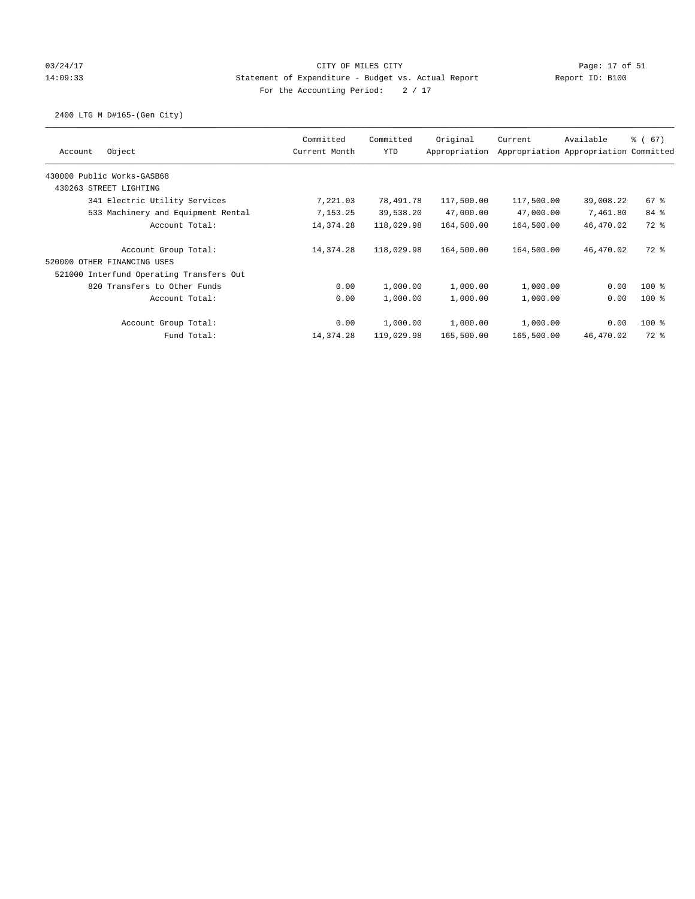## 03/24/17 Page: 17 of 51 14:09:33 Statement of Expenditure - Budget vs. Actual Report Report ID: B100 For the Accounting Period:  $2 / 17$

# 2400 LTG M D#165-(Gen City)

| Object<br>Account                        | Committed<br>Current Month | Committed<br><b>YTD</b> | Original<br>Appropriation | Current    | Available<br>Appropriation Appropriation Committed | <sub>ර</sub> ි (67) |
|------------------------------------------|----------------------------|-------------------------|---------------------------|------------|----------------------------------------------------|---------------------|
| 430000 Public Works-GASB68               |                            |                         |                           |            |                                                    |                     |
| 430263 STREET LIGHTING                   |                            |                         |                           |            |                                                    |                     |
| 341 Electric Utility Services            | 7,221.03                   | 78,491.78               | 117,500.00                | 117,500.00 | 39,008.22                                          | 67%                 |
| 533 Machinery and Equipment Rental       | 7,153.25                   | 39,538.20               | 47,000.00                 | 47,000.00  | 7,461.80                                           | 84 %                |
| Account Total:                           | 14,374.28                  | 118,029.98              | 164,500.00                | 164,500.00 | 46,470.02                                          | 72 %                |
| Account Group Total:                     | 14,374.28                  | 118,029.98              | 164,500.00                | 164,500.00 | 46,470.02                                          | 72 %                |
| 520000 OTHER FINANCING USES              |                            |                         |                           |            |                                                    |                     |
| 521000 Interfund Operating Transfers Out |                            |                         |                           |            |                                                    |                     |
| 820 Transfers to Other Funds             | 0.00                       | 1,000.00                | 1,000.00                  | 1,000.00   | 0.00                                               | $100$ %             |
| Account Total:                           | 0.00                       | 1,000.00                | 1,000.00                  | 1,000.00   | 0.00                                               | $100*$              |
| Account Group Total:                     | 0.00                       | 1,000.00                | 1,000.00                  | 1,000.00   | 0.00                                               | $100*$              |
| Fund Total:                              | 14,374.28                  | 119,029.98              | 165,500.00                | 165,500.00 | 46,470.02                                          | 72 %                |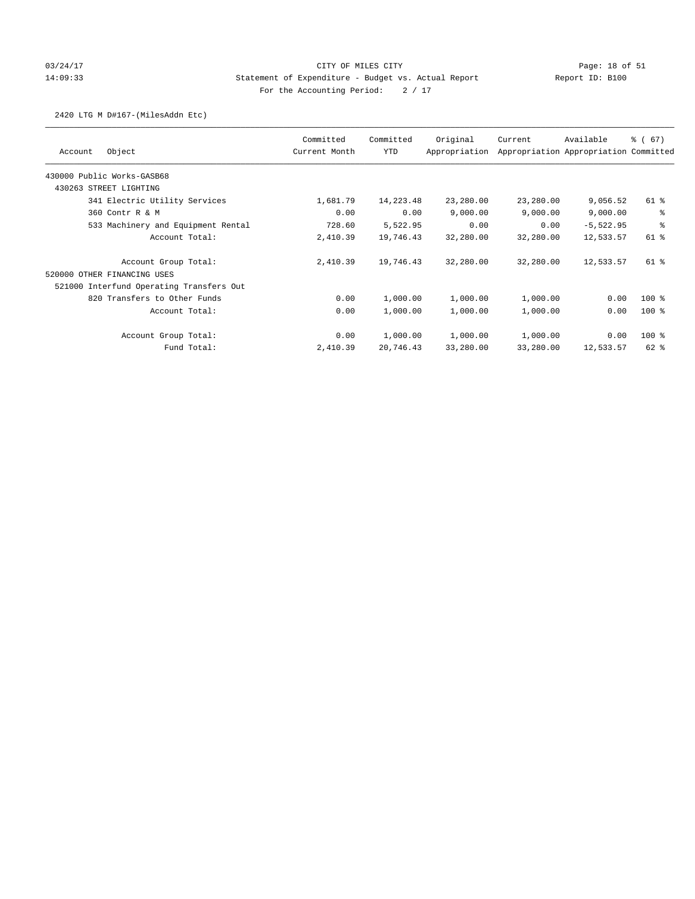## 03/24/17 Page: 18 of 51 14:09:33 Statement of Expenditure - Budget vs. Actual Report Report ID: B100 For the Accounting Period:  $2 / 17$

### 2420 LTG M D#167-(MilesAddn Etc)

|                                          | Committed     | Committed | Original      | Current   | Available                             | % (67)  |
|------------------------------------------|---------------|-----------|---------------|-----------|---------------------------------------|---------|
| Object<br>Account                        | Current Month | YTD       | Appropriation |           | Appropriation Appropriation Committed |         |
| 430000 Public Works-GASB68               |               |           |               |           |                                       |         |
| 430263 STREET LIGHTING                   |               |           |               |           |                                       |         |
| 341 Electric Utility Services            | 1,681.79      | 14,223.48 | 23,280.00     | 23,280.00 | 9,056.52                              | 61 %    |
| 360 Contr R & M                          | 0.00          | 0.00      | 9,000.00      | 9,000.00  | 9,000.00                              | နွ      |
| 533 Machinery and Equipment Rental       | 728.60        | 5,522.95  | 0.00          | 0.00      | $-5,522.95$                           | る       |
| Account Total:                           | 2,410.39      | 19,746.43 | 32,280.00     | 32,280.00 | 12,533.57                             | 61 %    |
| Account Group Total:                     | 2,410.39      | 19,746.43 | 32,280.00     | 32,280.00 | 12,533.57                             | 61 %    |
| 520000 OTHER FINANCING USES              |               |           |               |           |                                       |         |
| 521000 Interfund Operating Transfers Out |               |           |               |           |                                       |         |
| 820 Transfers to Other Funds             | 0.00          | 1,000.00  | 1,000.00      | 1,000.00  | 0.00                                  | $100$ % |
| Account Total:                           | 0.00          | 1,000.00  | 1,000.00      | 1,000.00  | 0.00                                  | $100$ % |
| Account Group Total:                     | 0.00          | 1,000.00  | 1,000.00      | 1,000.00  | 0.00                                  | 100 %   |
| Fund Total:                              | 2,410.39      | 20,746.43 | 33,280.00     | 33,280.00 | 12,533.57                             | 62 %    |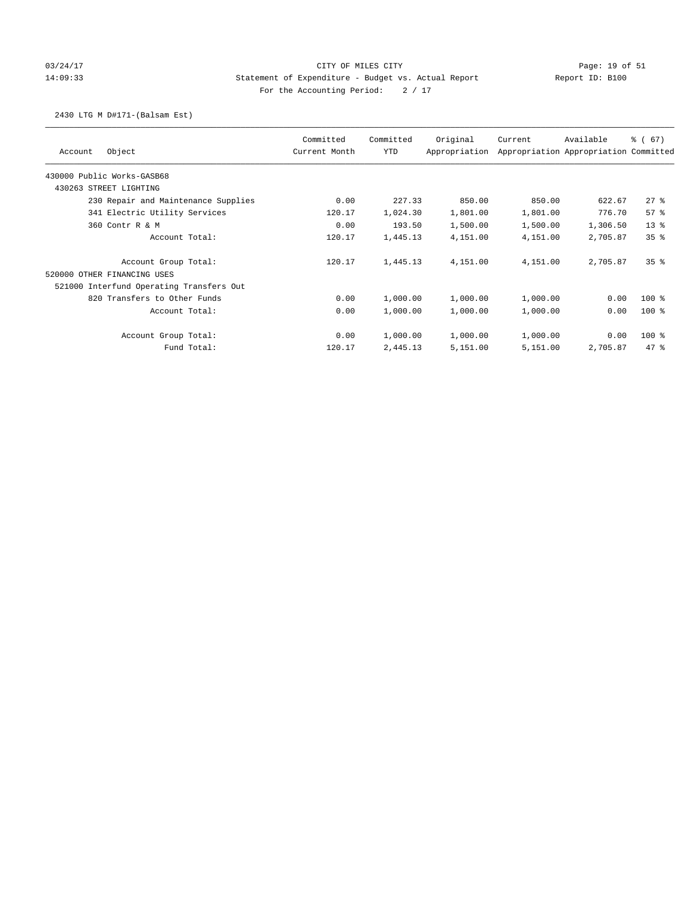## 03/24/17 Page: 19 of 51 CITY OF MILES CITY CONTROL PAGE: 19 of 51 14:09:33 Statement of Expenditure - Budget vs. Actual Report Report ID: B100 For the Accounting Period:  $2 / 17$

### 2430 LTG M D#171-(Balsam Est)

| Object<br>Account                        | Committed<br>Current Month | Committed<br>YTD | Original<br>Appropriation | Current  | Available<br>Appropriation Appropriation Committed | % (67)          |
|------------------------------------------|----------------------------|------------------|---------------------------|----------|----------------------------------------------------|-----------------|
|                                          |                            |                  |                           |          |                                                    |                 |
| 430000 Public Works-GASB68               |                            |                  |                           |          |                                                    |                 |
| 430263 STREET LIGHTING                   |                            |                  |                           |          |                                                    |                 |
| 230 Repair and Maintenance Supplies      | 0.00                       | 227.33           | 850.00                    | 850.00   | 622.67                                             | $27$ %          |
| 341 Electric Utility Services            | 120.17                     | 1,024.30         | 1,801.00                  | 1,801.00 | 776.70                                             | 57%             |
| 360 Contr R & M                          | 0.00                       | 193.50           | 1,500.00                  | 1,500.00 | 1,306.50                                           | $13*$           |
| Account Total:                           | 120.17                     | 1,445.13         | 4,151.00                  | 4,151.00 | 2,705.87                                           | 35 <sup>8</sup> |
| Account Group Total:                     | 120.17                     | 1,445.13         | 4,151.00                  | 4,151.00 | 2,705.87                                           | 35 <sup>8</sup> |
| 520000 OTHER FINANCING USES              |                            |                  |                           |          |                                                    |                 |
| 521000 Interfund Operating Transfers Out |                            |                  |                           |          |                                                    |                 |
| 820 Transfers to Other Funds             | 0.00                       | 1,000.00         | 1,000.00                  | 1,000.00 | 0.00                                               | $100*$          |
| Account Total:                           | 0.00                       | 1,000.00         | 1,000.00                  | 1,000.00 | 0.00                                               | $100$ %         |
| Account Group Total:                     | 0.00                       | 1,000.00         | 1,000.00                  | 1,000.00 | 0.00                                               | $100$ %         |
| Fund Total:                              | 120.17                     | 2,445.13         | 5,151.00                  | 5,151.00 | 2,705.87                                           | 47.8            |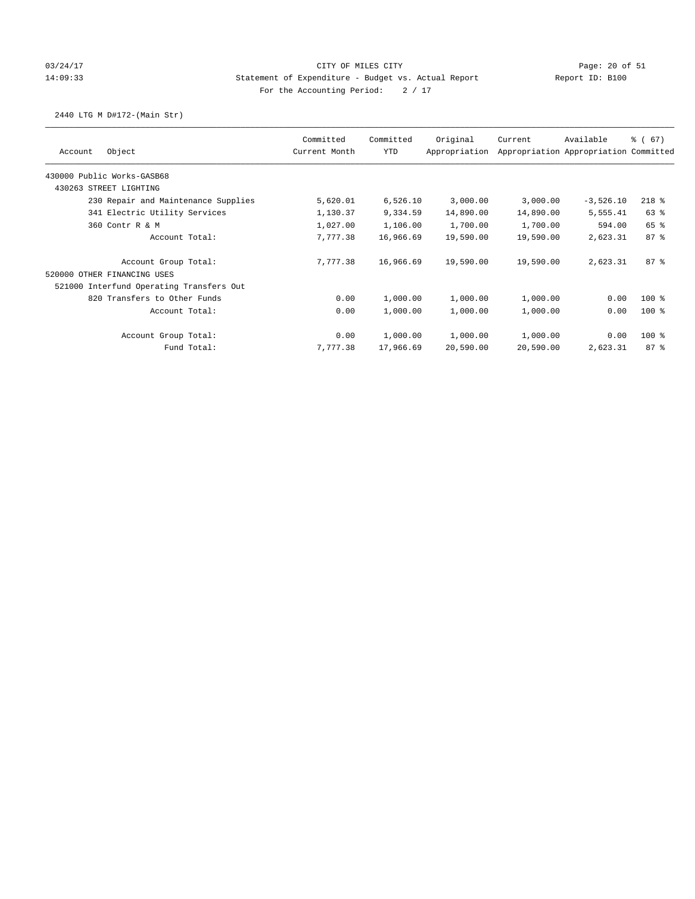## 03/24/17 Page: 20 of 51 14:09:33 Statement of Expenditure - Budget vs. Actual Report Report ID: B100 For the Accounting Period:  $2 / 17$

# 2440 LTG M D#172-(Main Str)

|                                          | Committed     | Committed | Original      | Current   | Available                             | % (67)          |
|------------------------------------------|---------------|-----------|---------------|-----------|---------------------------------------|-----------------|
| Object<br>Account                        | Current Month | YTD       | Appropriation |           | Appropriation Appropriation Committed |                 |
| 430000 Public Works-GASB68               |               |           |               |           |                                       |                 |
| 430263 STREET LIGHTING                   |               |           |               |           |                                       |                 |
| 230 Repair and Maintenance Supplies      | 5,620.01      | 6,526.10  | 3,000.00      | 3,000.00  | $-3,526.10$                           | $218$ %         |
| 341 Electric Utility Services            | 1,130.37      | 9,334.59  | 14,890.00     | 14,890.00 | 5,555.41                              | 63 %            |
| 360 Contr R & M                          | 1,027.00      | 1,106.00  | 1,700.00      | 1,700.00  | 594.00                                | 65 %            |
| Account Total:                           | 7,777.38      | 16,966.69 | 19,590.00     | 19,590.00 | 2,623.31                              | 87 <sup>8</sup> |
| Account Group Total:                     | 7.777.38      | 16,966.69 | 19,590.00     | 19,590.00 | 2,623.31                              | 87%             |
| 520000 OTHER FINANCING USES              |               |           |               |           |                                       |                 |
| 521000 Interfund Operating Transfers Out |               |           |               |           |                                       |                 |
| 820 Transfers to Other Funds             | 0.00          | 1,000.00  | 1,000.00      | 1,000.00  | 0.00                                  | $100$ %         |
| Account Total:                           | 0.00          | 1,000.00  | 1,000.00      | 1,000.00  | 0.00                                  | $100$ %         |
| Account Group Total:                     | 0.00          | 1,000.00  | 1,000.00      | 1,000.00  | 0.00                                  | $100$ %         |
| Fund Total:                              | 7,777.38      | 17,966.69 | 20,590.00     | 20,590.00 | 2,623.31                              | 87%             |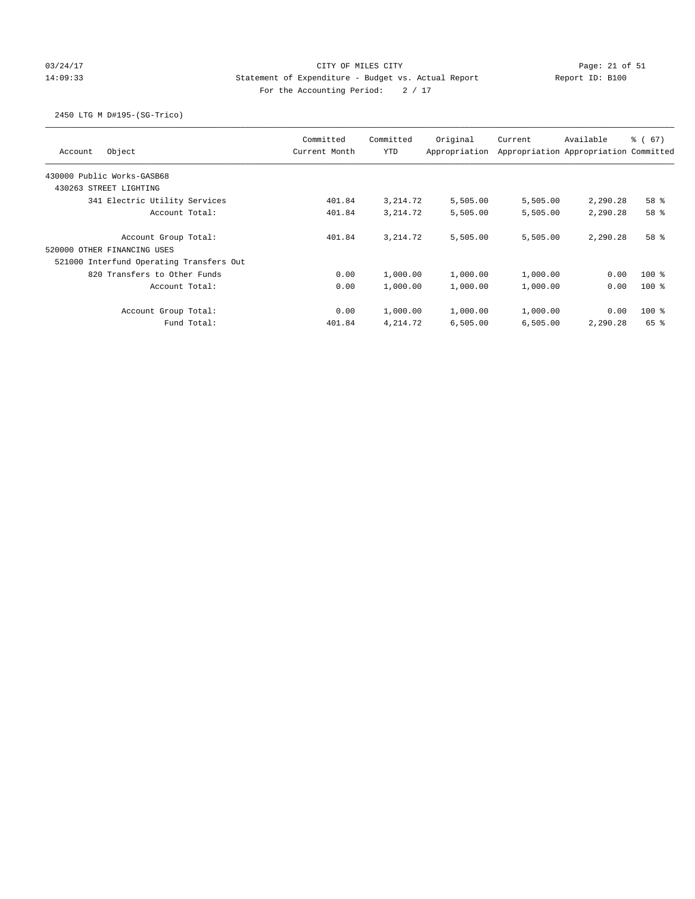# 03/24/17 Page: 21 of 51 Page: 21 of 51 14:09:33 Statement of Expenditure - Budget vs. Actual Report Report ID: B100 For the Accounting Period:  $2 / 17$

# 2450 LTG M D#195-(SG-Trico)

| Object<br>Account                        | Committed<br>Current Month | Committed<br><b>YTD</b> | Original<br>Appropriation | Current  | Available<br>Appropriation Appropriation Committed | 8 ( 67)         |
|------------------------------------------|----------------------------|-------------------------|---------------------------|----------|----------------------------------------------------|-----------------|
| 430000 Public Works-GASB68               |                            |                         |                           |          |                                                    |                 |
| 430263 STREET LIGHTING                   |                            |                         |                           |          |                                                    |                 |
| 341 Electric Utility Services            | 401.84                     | 3, 214.72               | 5,505.00                  | 5,505.00 | 2,290.28                                           | 58 %            |
| Account Total:                           | 401.84                     | 3, 214.72               | 5,505.00                  | 5,505.00 | 2,290.28                                           | 58 <sup>8</sup> |
| Account Group Total:                     | 401.84                     | 3, 214.72               | 5,505.00                  | 5,505.00 | 2,290.28                                           | 58 <sup>8</sup> |
| 520000 OTHER FINANCING USES              |                            |                         |                           |          |                                                    |                 |
| 521000 Interfund Operating Transfers Out |                            |                         |                           |          |                                                    |                 |
| 820 Transfers to Other Funds             | 0.00                       | 1,000.00                | 1,000.00                  | 1,000.00 | 0.00                                               | $100$ %         |
| Account Total:                           | 0.00                       | 1,000.00                | 1,000.00                  | 1,000.00 | 0.00                                               | $100*$          |
| Account Group Total:                     | 0.00                       | 1,000.00                | 1,000.00                  | 1,000.00 | 0.00                                               | $100*$          |
| Fund Total:                              | 401.84                     | 4,214.72                | 6,505.00                  | 6,505.00 | 2,290.28                                           | 65 %            |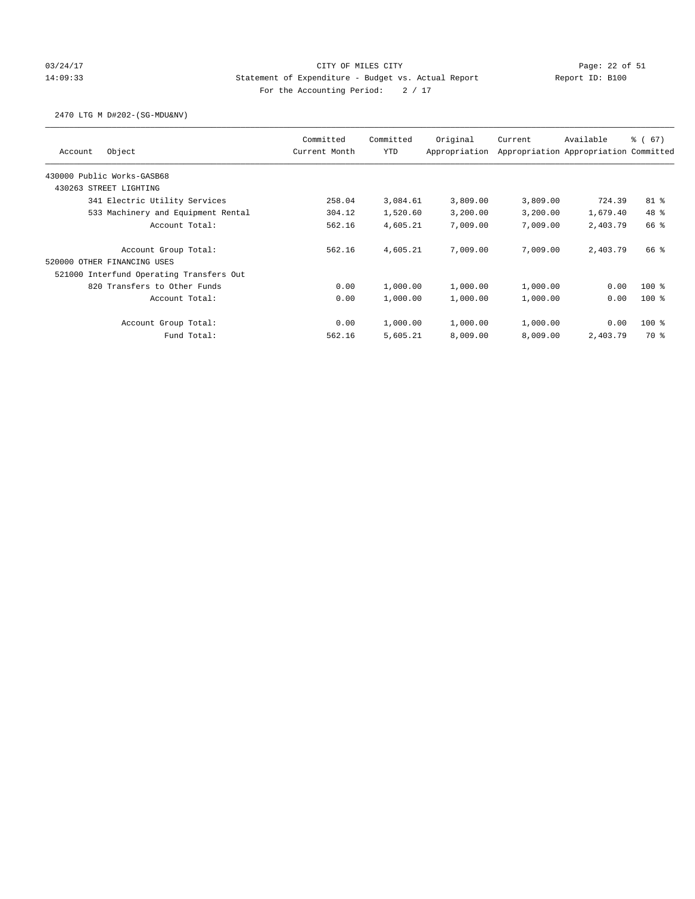# 03/24/17 Page: 22 of 51 14:09:33 Statement of Expenditure - Budget vs. Actual Report Report ID: B100 For the Accounting Period:  $2 / 17$

#### 2470 LTG M D#202-(SG-MDU&NV)

| Object<br>Account                        | Committed<br>Current Month | Committed<br><b>YTD</b> | Original<br>Appropriation | Current  | Available<br>Appropriation Appropriation Committed | $\frac{3}{6}$ (67) |
|------------------------------------------|----------------------------|-------------------------|---------------------------|----------|----------------------------------------------------|--------------------|
| 430000 Public Works-GASB68               |                            |                         |                           |          |                                                    |                    |
| 430263 STREET LIGHTING                   |                            |                         |                           |          |                                                    |                    |
| 341 Electric Utility Services            | 258.04                     | 3,084.61                | 3,809.00                  | 3,809.00 | 724.39                                             | $81$ %             |
| 533 Machinery and Equipment Rental       | 304.12                     | 1,520.60                | 3,200.00                  | 3,200.00 | 1,679.40                                           | 48 %               |
| Account Total:                           | 562.16                     | 4,605.21                | 7,009.00                  | 7,009.00 | 2,403.79                                           | 66 %               |
| Account Group Total:                     | 562.16                     | 4,605.21                | 7,009.00                  | 7,009.00 | 2,403.79                                           | 66 %               |
| 520000 OTHER FINANCING USES              |                            |                         |                           |          |                                                    |                    |
| 521000 Interfund Operating Transfers Out |                            |                         |                           |          |                                                    |                    |
| 820 Transfers to Other Funds             | 0.00                       | 1,000.00                | 1,000.00                  | 1,000.00 | 0.00                                               | $100*$             |
| Account Total:                           | 0.00                       | 1,000.00                | 1,000.00                  | 1,000.00 | 0.00                                               | $100*$             |
| Account Group Total:                     | 0.00                       | 1,000.00                | 1,000.00                  | 1,000.00 | 0.00                                               | $100$ %            |
| Fund Total:                              | 562.16                     | 5,605.21                | 8,009.00                  | 8,009.00 | 2,403.79                                           | 70 %               |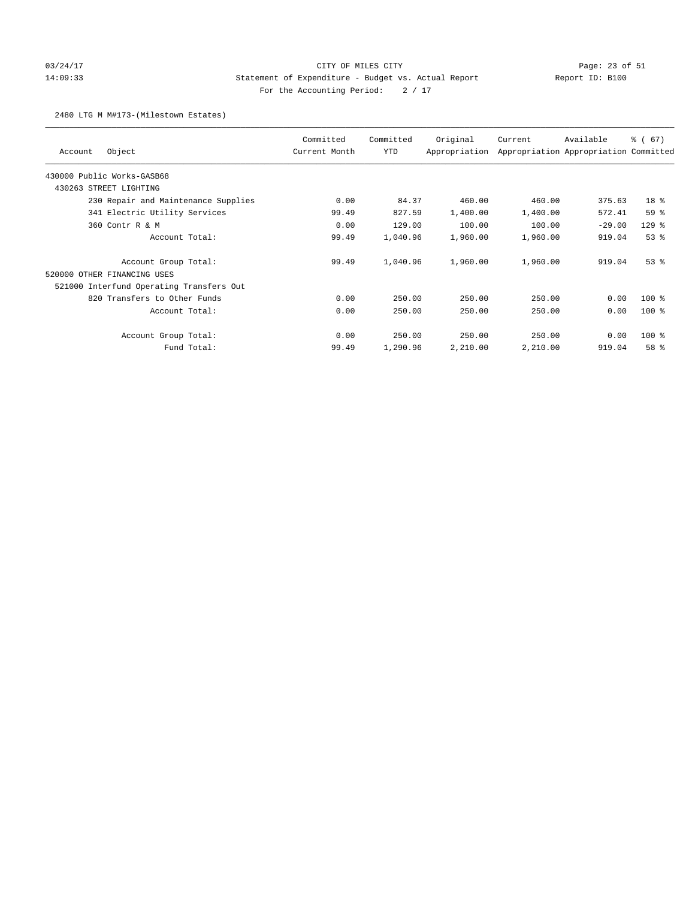# 03/24/17 Page: 23 of 51 14:09:33 Statement of Expenditure - Budget vs. Actual Report Report ID: B100 For the Accounting Period:  $2 / 17$

#### 2480 LTG M M#173-(Milestown Estates)

| Object<br>Account                        | Committed<br>Current Month | Committed<br>YTD | Original<br>Appropriation | Current  | Available<br>Appropriation Appropriation Committed | % (67)          |
|------------------------------------------|----------------------------|------------------|---------------------------|----------|----------------------------------------------------|-----------------|
| 430000 Public Works-GASB68               |                            |                  |                           |          |                                                    |                 |
| 430263 STREET LIGHTING                   |                            |                  |                           |          |                                                    |                 |
| 230 Repair and Maintenance Supplies      | 0.00                       | 84.37            | 460.00                    | 460.00   | 375.63                                             | 18 <sup>8</sup> |
| 341 Electric Utility Services            | 99.49                      | 827.59           | 1,400.00                  | 1,400.00 | 572.41                                             | 59 %            |
| 360 Contr R & M                          | 0.00                       | 129.00           | 100.00                    | 100.00   | $-29.00$                                           | $129$ %         |
| Account Total:                           | 99.49                      | 1,040.96         | 1,960.00                  | 1,960.00 | 919.04                                             | 53%             |
| Account Group Total:                     | 99.49                      | 1,040.96         | 1,960.00                  | 1,960.00 | 919.04                                             | $53$ $%$        |
| 520000 OTHER FINANCING USES              |                            |                  |                           |          |                                                    |                 |
| 521000 Interfund Operating Transfers Out |                            |                  |                           |          |                                                    |                 |
| 820 Transfers to Other Funds             | 0.00                       | 250.00           | 250.00                    | 250.00   | 0.00                                               | $100*$          |
| Account Total:                           | 0.00                       | 250.00           | 250.00                    | 250.00   | 0.00                                               | $100$ %         |
| Account Group Total:                     | 0.00                       | 250.00           | 250.00                    | 250.00   | 0.00                                               | $100$ %         |
| Fund Total:                              | 99.49                      | 1,290.96         | 2,210.00                  | 2,210.00 | 919.04                                             | 58 %            |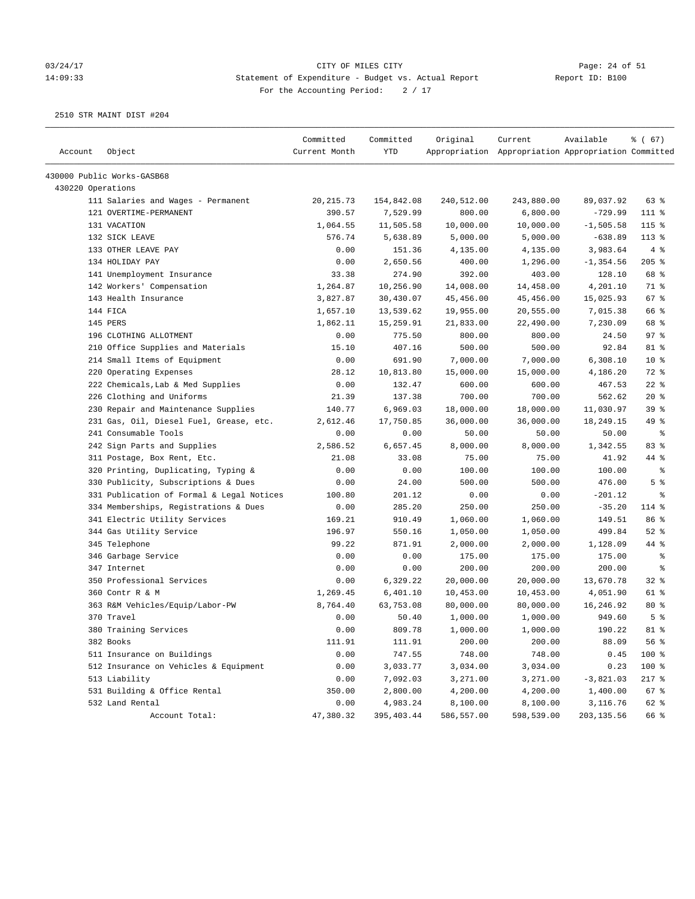#### 03/24/17 Page: 24 of 51 14:09:33 Statement of Expenditure - Budget vs. Actual Report Report ID: B100 For the Accounting Period:  $2 / 17$

| Account           | Object                                    | Committed<br>Current Month | Committed<br>YTD | Original   | Current<br>Appropriation Appropriation Appropriation Committed | Available    | % (67)          |
|-------------------|-------------------------------------------|----------------------------|------------------|------------|----------------------------------------------------------------|--------------|-----------------|
|                   |                                           |                            |                  |            |                                                                |              |                 |
|                   | 430000 Public Works-GASB68                |                            |                  |            |                                                                |              |                 |
| 430220 Operations |                                           |                            |                  |            |                                                                |              |                 |
|                   | 111 Salaries and Wages - Permanent        | 20, 215.73                 | 154,842.08       | 240,512.00 | 243,880.00                                                     | 89,037.92    | 63%             |
|                   | 121 OVERTIME-PERMANENT                    | 390.57                     | 7,529.99         | 800.00     | 6,800.00                                                       | $-729.99$    | 111 %           |
|                   | 131 VACATION                              | 1,064.55                   | 11,505.58        | 10,000.00  | 10,000.00                                                      | $-1,505.58$  | 115 %           |
|                   | 132 SICK LEAVE                            | 576.74                     | 5,638.89         | 5,000.00   | 5,000.00                                                       | $-638.89$    | $113*$          |
|                   | 133 OTHER LEAVE PAY                       | 0.00                       | 151.36           | 4,135.00   | 4,135.00                                                       | 3,983.64     | 4%              |
|                   | 134 HOLIDAY PAY                           | 0.00                       | 2,650.56         | 400.00     | 1,296.00                                                       | $-1, 354.56$ | 205%            |
|                   | 141 Unemployment Insurance                | 33.38                      | 274.90           | 392.00     | 403.00                                                         | 128.10       | 68 %            |
|                   | 142 Workers' Compensation                 | 1,264.87                   | 10,256.90        | 14,008.00  | 14,458.00                                                      | 4,201.10     | 71 %            |
|                   | 143 Health Insurance                      | 3,827.87                   | 30,430.07        | 45,456.00  | 45,456.00                                                      | 15,025.93    | 67%             |
|                   | 144 FICA                                  | 1,657.10                   | 13,539.62        | 19,955.00  | 20,555.00                                                      | 7,015.38     | 66 %            |
|                   | 145 PERS                                  | 1,862.11                   | 15,259.91        | 21,833.00  | 22,490.00                                                      | 7,230.09     | 68 %            |
|                   | 196 CLOTHING ALLOTMENT                    | 0.00                       | 775.50           | 800.00     | 800.00                                                         | 24.50        | 97%             |
|                   | 210 Office Supplies and Materials         | 15.10                      | 407.16           | 500.00     | 500.00                                                         | 92.84        | 81 %            |
|                   | 214 Small Items of Equipment              | 0.00                       | 691.90           | 7,000.00   | 7,000.00                                                       | 6,308.10     | 10 <sup>8</sup> |
|                   | 220 Operating Expenses                    | 28.12                      | 10,813.80        | 15,000.00  | 15,000.00                                                      | 4,186.20     | 72 %            |
|                   | 222 Chemicals, Lab & Med Supplies         | 0.00                       | 132.47           | 600.00     | 600.00                                                         | 467.53       | $22$ %          |
|                   | 226 Clothing and Uniforms                 | 21.39                      | 137.38           | 700.00     | 700.00                                                         | 562.62       | $20*$           |
|                   | 230 Repair and Maintenance Supplies       | 140.77                     | 6,969.03         | 18,000.00  | 18,000.00                                                      | 11,030.97    | 39%             |
|                   | 231 Gas, Oil, Diesel Fuel, Grease, etc.   | 2,612.46                   | 17,750.85        | 36,000.00  | 36,000.00                                                      | 18,249.15    | 49 %            |
|                   | 241 Consumable Tools                      | 0.00                       | 0.00             | 50.00      | 50.00                                                          | 50.00        | နွ              |
|                   | 242 Sign Parts and Supplies               | 2,586.52                   | 6,657.45         | 8,000.00   | 8,000.00                                                       | 1,342.55     | 83%             |
|                   | 311 Postage, Box Rent, Etc.               | 21.08                      | 33.08            | 75.00      | 75.00                                                          | 41.92        | 44 %            |
|                   | 320 Printing, Duplicating, Typing &       | 0.00                       | 0.00             | 100.00     | 100.00                                                         | 100.00       | ್ಠಿ             |
|                   | 330 Publicity, Subscriptions & Dues       | 0.00                       | 24.00            | 500.00     | 500.00                                                         | 476.00       | 5 <sup>8</sup>  |
|                   | 331 Publication of Formal & Legal Notices | 100.80                     | 201.12           | 0.00       | 0.00                                                           | $-201.12$    | နွ              |
|                   | 334 Memberships, Registrations & Dues     | 0.00                       | 285.20           | 250.00     | 250.00                                                         | $-35.20$     | 114 %           |
|                   | 341 Electric Utility Services             | 169.21                     | 910.49           | 1,060.00   | 1,060.00                                                       | 149.51       | 86 %            |
|                   | 344 Gas Utility Service                   | 196.97                     | 550.16           | 1,050.00   | 1,050.00                                                       | 499.84       | $52$ $%$        |
|                   | 345 Telephone                             | 99.22                      | 871.91           | 2,000.00   | 2,000.00                                                       | 1,128.09     | 44 %            |
|                   | 346 Garbage Service                       | 0.00                       | 0.00             | 175.00     | 175.00                                                         | 175.00       | ႜ               |
|                   | 347 Internet                              | 0.00                       | 0.00             | 200.00     | 200.00                                                         | 200.00       | ႜ               |
|                   | 350 Professional Services                 | 0.00                       | 6,329.22         | 20,000.00  | 20,000.00                                                      | 13,670.78    | 32%             |
|                   | 360 Contr R & M                           | 1,269.45                   | 6,401.10         | 10,453.00  | 10,453.00                                                      | 4,051.90     | 61 %            |
|                   | 363 R&M Vehicles/Equip/Labor-PW           | 8,764.40                   | 63,753.08        | 80,000.00  | 80,000.00                                                      | 16,246.92    | $80*$           |
|                   | 370 Travel                                | 0.00                       | 50.40            | 1,000.00   | 1,000.00                                                       | 949.60       | 5 <sup>8</sup>  |
|                   | 380 Training Services                     | 0.00                       | 809.78           | 1,000.00   | 1,000.00                                                       | 190.22       | $81$ %          |
|                   | 382 Books                                 | 111.91                     | 111.91           | 200.00     | 200.00                                                         | 88.09        | 56 %            |
|                   | 511 Insurance on Buildings                | 0.00                       | 747.55           | 748.00     | 748.00                                                         | 0.45         | 100 %           |
|                   | 512 Insurance on Vehicles & Equipment     | 0.00                       | 3,033.77         | 3,034.00   | 3,034.00                                                       | 0.23         | 100 %           |
|                   | 513 Liability                             | 0.00                       | 7,092.03         | 3,271.00   | 3,271.00                                                       | $-3,821.03$  | $217$ %         |
|                   | 531 Building & Office Rental              | 350.00                     | 2,800.00         | 4,200.00   | 4,200.00                                                       | 1,400.00     | 67 %            |
|                   | 532 Land Rental                           | 0.00                       | 4,983.24         | 8,100.00   | 8,100.00                                                       | 3,116.76     | 62 %            |
|                   | Account Total:                            | 47,380.32                  | 395,403.44       | 586,557.00 | 598,539.00                                                     | 203, 135.56  | 66 %            |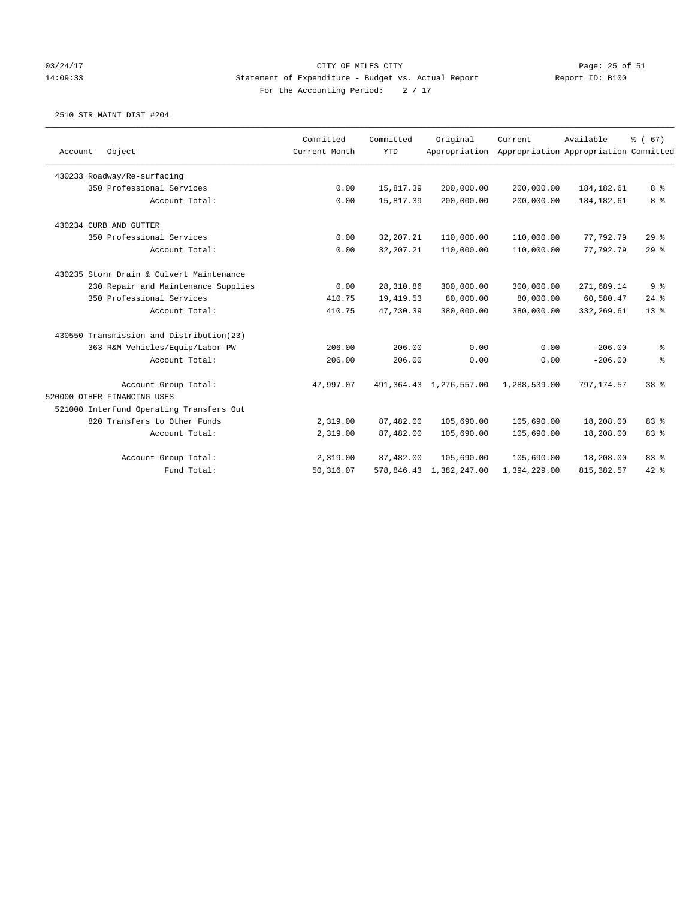### 03/24/17 Page: 25 of 51 14:09:33 Statement of Expenditure - Budget vs. Actual Report Report ID: B100 For the Accounting Period:  $2 / 17$

| Account | Object                                   | Committed<br>Current Month | Committed<br><b>YTD</b> | Original<br>Appropriation  | Current      | Available<br>Appropriation Appropriation Committed | % (67)          |
|---------|------------------------------------------|----------------------------|-------------------------|----------------------------|--------------|----------------------------------------------------|-----------------|
|         |                                          |                            |                         |                            |              |                                                    |                 |
|         | 430233 Roadway/Re-surfacing              |                            |                         |                            |              |                                                    |                 |
|         | 350 Professional Services                | 0.00                       | 15,817.39               | 200,000.00                 | 200,000.00   | 184,182.61                                         | 8 %             |
|         | Account Total:                           | 0.00                       | 15,817.39               | 200,000.00                 | 200,000.00   | 184, 182.61                                        | 8 <sup>°</sup>  |
|         | 430234 CURB AND GUTTER                   |                            |                         |                            |              |                                                    |                 |
|         | 350 Professional Services                | 0.00                       | 32, 207. 21             | 110,000.00                 | 110,000.00   | 77,792.79                                          | 29%             |
|         | Account Total:                           | 0.00                       | 32, 207. 21             | 110,000.00                 | 110,000.00   | 77,792.79                                          | 29%             |
|         | 430235 Storm Drain & Culvert Maintenance |                            |                         |                            |              |                                                    |                 |
|         | 230 Repair and Maintenance Supplies      | 0.00                       | 28, 310.86              | 300,000.00                 | 300,000.00   | 271,689.14                                         | 9%              |
|         | 350 Professional Services                | 410.75                     | 19,419.53               | 80,000.00                  | 80,000.00    | 60,580.47                                          | $24$ %          |
|         | Account Total:                           | 410.75                     | 47,730.39               | 380,000.00                 | 380,000.00   | 332, 269.61                                        | $13*$           |
|         | 430550 Transmission and Distribution(23) |                            |                         |                            |              |                                                    |                 |
|         | 363 R&M Vehicles/Equip/Labor-PW          | 206.00                     | 206.00                  | 0.00                       | 0.00         | $-206.00$                                          | ႜ               |
|         | Account Total:                           | 206.00                     | 206.00                  | 0.00                       | 0.00         | $-206.00$                                          | န့              |
|         | Account Group Total:                     | 47.997.07                  |                         | 491, 364.43 1, 276, 557.00 | 1,288,539.00 | 797,174.57                                         | 38 <sup>8</sup> |
|         | 520000 OTHER FINANCING USES              |                            |                         |                            |              |                                                    |                 |
|         | 521000 Interfund Operating Transfers Out |                            |                         |                            |              |                                                    |                 |
|         | 820 Transfers to Other Funds             | 2,319.00                   | 87,482.00               | 105,690.00                 | 105,690.00   | 18,208.00                                          | 83 %            |
|         | Account Total:                           | 2,319.00                   | 87,482.00               | 105,690.00                 | 105,690.00   | 18,208.00                                          | 83 %            |
|         | Account Group Total:                     | 2,319.00                   | 87,482.00               | 105,690.00                 | 105,690.00   | 18,208.00                                          | 83 %            |
|         | Fund Total:                              | 50, 316.07                 |                         | 578,846.43 1,382,247.00    | 1,394,229.00 | 815, 382.57                                        | $42$ %          |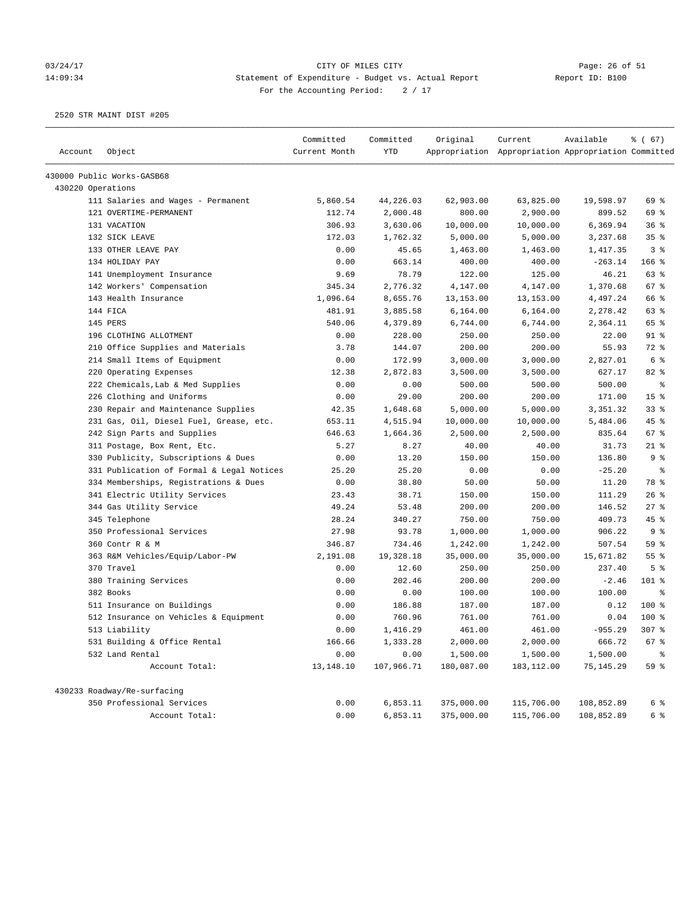#### 03/24/17 Page: 26 of 51 14:09:34 Statement of Expenditure - Budget vs. Actual Report Report ID: B100 For the Accounting Period:  $2 / 17$

|                   |                                           | Committed     | Committed  | Original   | Current                                             | Available  | $\frac{3}{6}$ (67) |
|-------------------|-------------------------------------------|---------------|------------|------------|-----------------------------------------------------|------------|--------------------|
| Account           | Object                                    | Current Month | <b>YTD</b> |            | Appropriation Appropriation Appropriation Committed |            |                    |
|                   | 430000 Public Works-GASB68                |               |            |            |                                                     |            |                    |
| 430220 Operations |                                           |               |            |            |                                                     |            |                    |
|                   | 111 Salaries and Wages - Permanent        | 5,860.54      | 44,226.03  | 62,903.00  | 63,825.00                                           | 19,598.97  | 69 %               |
|                   | 121 OVERTIME-PERMANENT                    | 112.74        | 2,000.48   | 800.00     | 2,900.00                                            | 899.52     | 69 %               |
|                   | 131 VACATION                              | 306.93        | 3,630.06   | 10,000.00  | 10,000.00                                           | 6,369.94   | 36%                |
|                   | 132 SICK LEAVE                            | 172.03        | 1,762.32   | 5,000.00   | 5,000.00                                            | 3,237.68   | 35%                |
|                   | 133 OTHER LEAVE PAY                       | 0.00          | 45.65      | 1,463.00   | 1,463.00                                            | 1,417.35   | 3 <sup>8</sup>     |
|                   | 134 HOLIDAY PAY                           | 0.00          | 663.14     | 400.00     | 400.00                                              | $-263.14$  | $166$ %            |
|                   | 141 Unemployment Insurance                | 9.69          | 78.79      | 122.00     | 125.00                                              | 46.21      | 63 %               |
|                   | 142 Workers' Compensation                 | 345.34        | 2,776.32   | 4,147.00   | 4,147.00                                            | 1,370.68   | 67 %               |
|                   | 143 Health Insurance                      | 1,096.64      | 8,655.76   | 13, 153.00 | 13,153.00                                           | 4,497.24   | 66 %               |
|                   | 144 FICA                                  | 481.91        | 3,885.58   | 6, 164.00  | 6,164.00                                            | 2,278.42   | 63 %               |
|                   | 145 PERS                                  | 540.06        | 4,379.89   | 6,744.00   | 6,744.00                                            | 2,364.11   | 65 %               |
|                   | 196 CLOTHING ALLOTMENT                    | 0.00          | 228.00     | 250.00     | 250.00                                              | 22.00      | 91 %               |
|                   | 210 Office Supplies and Materials         | 3.78          | 144.07     | 200.00     | 200.00                                              | 55.93      | 72 %               |
|                   | 214 Small Items of Equipment              | 0.00          | 172.99     | 3,000.00   | 3,000.00                                            | 2,827.01   | 6 %                |
|                   | 220 Operating Expenses                    | 12.38         | 2,872.83   | 3,500.00   | 3,500.00                                            | 627.17     | 82 %               |
|                   | 222 Chemicals, Lab & Med Supplies         | 0.00          | 0.00       | 500.00     | 500.00                                              | 500.00     | $\epsilon$         |
|                   | 226 Clothing and Uniforms                 | 0.00          | 29.00      | 200.00     | 200.00                                              | 171.00     | 15 <sup>°</sup>    |
|                   | 230 Repair and Maintenance Supplies       | 42.35         | 1,648.68   | 5,000.00   | 5,000.00                                            | 3,351.32   | 33%                |
|                   | 231 Gas, Oil, Diesel Fuel, Grease, etc.   | 653.11        | 4,515.94   | 10,000.00  | 10,000.00                                           | 5,484.06   | 45 %               |
|                   | 242 Sign Parts and Supplies               | 646.63        | 1,664.36   | 2,500.00   | 2,500.00                                            | 835.64     | 67%                |
|                   | 311 Postage, Box Rent, Etc.               | 5.27          | 8.27       | 40.00      | 40.00                                               | 31.73      | $21$ %             |
|                   | 330 Publicity, Subscriptions & Dues       | 0.00          | 13.20      | 150.00     | 150.00                                              | 136.80     | 9 <sup>8</sup>     |
|                   | 331 Publication of Formal & Legal Notices | 25.20         | 25.20      | 0.00       | 0.00                                                | $-25.20$   | နွ                 |
|                   | 334 Memberships, Registrations & Dues     | 0.00          | 38.80      | 50.00      | 50.00                                               | 11.20      | 78 %               |
|                   | 341 Electric Utility Services             | 23.43         | 38.71      | 150.00     | 150.00                                              | 111.29     | 26%                |
|                   | 344 Gas Utility Service                   | 49.24         | 53.48      | 200.00     | 200.00                                              | 146.52     | $27$ %             |
|                   | 345 Telephone                             | 28.24         | 340.27     | 750.00     | 750.00                                              | 409.73     | 45 %               |
|                   | 350 Professional Services                 | 27.98         | 93.78      | 1,000.00   | 1,000.00                                            | 906.22     | 9%                 |
|                   | 360 Contr R & M                           | 346.87        | 734.46     | 1,242.00   | 1,242.00                                            | 507.54     | 59 %               |
|                   | 363 R&M Vehicles/Equip/Labor-PW           | 2,191.08      | 19,328.18  | 35,000.00  | 35,000.00                                           | 15,671.82  | 55%                |
|                   | 370 Travel                                | 0.00          | 12.60      | 250.00     | 250.00                                              | 237.40     | 5 <sup>8</sup>     |
|                   | 380 Training Services                     | 0.00          | 202.46     | 200.00     | 200.00                                              | $-2.46$    | 101 %              |
|                   | 382 Books                                 | 0.00          | 0.00       | 100.00     | 100.00                                              | 100.00     | $\epsilon$         |
|                   | 511 Insurance on Buildings                | 0.00          | 186.88     | 187.00     | 187.00                                              | 0.12       | 100%               |
|                   | 512 Insurance on Vehicles & Equipment     | 0.00          | 760.96     | 761.00     | 761.00                                              | 0.04       | $100$ %            |
|                   | 513 Liability                             | 0.00          | 1,416.29   | 461.00     | 461.00                                              | $-955.29$  | 307 <sub>8</sub>   |
|                   | 531 Building & Office Rental              | 166.66        | 1,333.28   | 2,000.00   | 2,000.00                                            | 666.72     | 67 %               |
|                   | 532 Land Rental                           | 0.00          | 0.00       | 1,500.00   | 1,500.00                                            | 1,500.00   | $\,$ %             |
|                   | Account Total:                            | 13, 148. 10   | 107,966.71 | 180,087.00 | 183, 112.00                                         | 75,145.29  | 59 %               |
|                   | 430233 Roadway/Re-surfacing               |               |            |            |                                                     |            |                    |
|                   | 350 Professional Services                 | 0.00          | 6,853.11   | 375,000.00 | 115,706.00                                          | 108,852.89 | 6 %                |
|                   | Account Total:                            | 0.00          | 6,853.11   | 375,000.00 | 115,706.00                                          | 108,852.89 | 6 %                |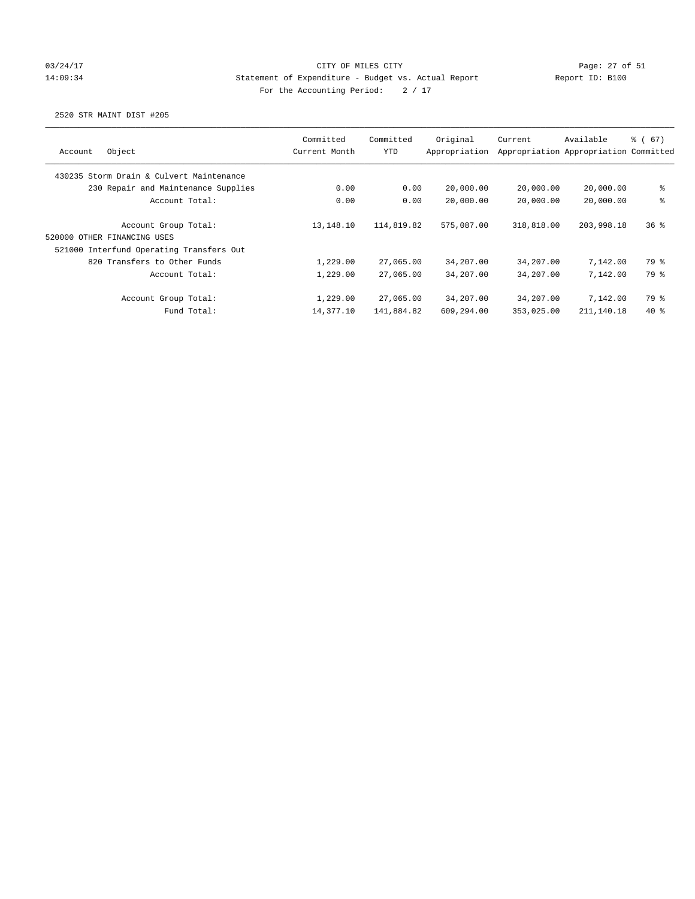# 03/24/17 Page: 27 of 51 14:09:34 Statement of Expenditure - Budget vs. Actual Report Report ID: B100 For the Accounting Period:  $2 / 17$

| Object<br>Account                                   | Committed<br>Current Month | Committed<br>YTD | Original<br>Appropriation | Current    | Available<br>Appropriation Appropriation Committed | $\frac{3}{6}$ (67) |
|-----------------------------------------------------|----------------------------|------------------|---------------------------|------------|----------------------------------------------------|--------------------|
| 430235 Storm Drain & Culvert Maintenance            |                            |                  |                           |            |                                                    |                    |
| 230 Repair and Maintenance Supplies                 | 0.00                       | 0.00             | 20,000.00                 | 20,000.00  | 20,000.00                                          | ి                  |
| Account Total:                                      | 0.00                       | 0.00             | 20,000.00                 | 20,000.00  | 20,000.00                                          | ి                  |
| Account Group Total:<br>520000 OTHER FINANCING USES | 13,148.10                  | 114,819.82       | 575,087.00                | 318,818.00 | 203,998.18                                         | 36%                |
| 521000 Interfund Operating Transfers Out            |                            |                  |                           |            |                                                    |                    |
| 820 Transfers to Other Funds                        | 1,229.00                   | 27,065.00        | 34,207.00                 | 34,207.00  | 7,142.00                                           | 79 %               |
| Account Total:                                      | 1,229.00                   | 27,065,00        | 34,207.00                 | 34,207.00  | 7,142.00                                           | 79 %               |
| Account Group Total:                                | 1,229.00                   | 27,065.00        | 34,207.00                 | 34,207.00  | 7,142.00                                           | 79 %               |
| Fund Total:                                         | 14,377.10                  | 141,884.82       | 609,294.00                | 353,025.00 | 211,140.18                                         | $40*$              |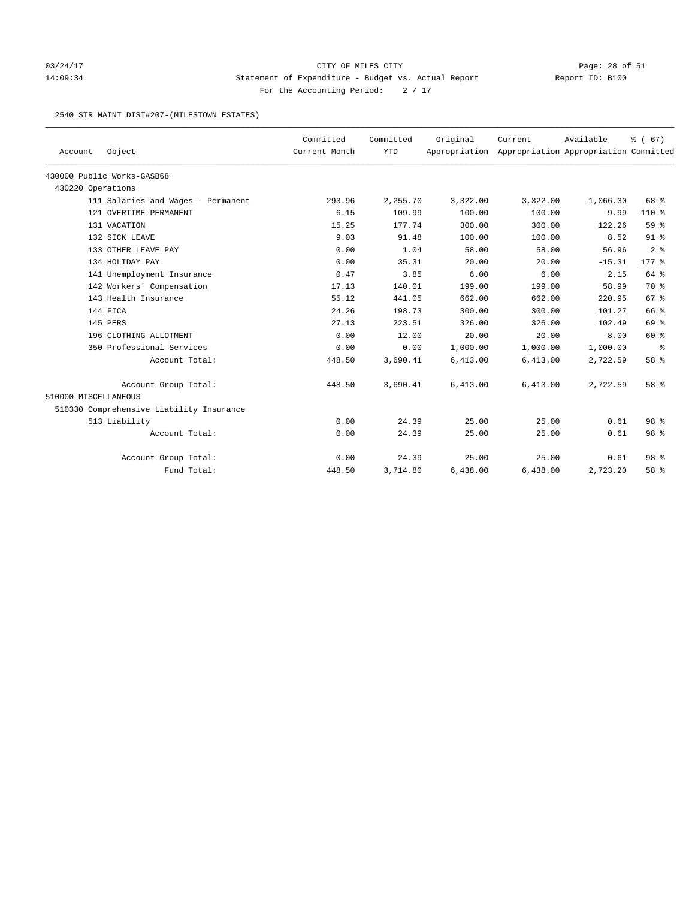# 03/24/17 Page: 28 of 51 14:09:34 Statement of Expenditure - Budget vs. Actual Report Report ID: B100 For the Accounting Period:  $2 / 17$

#### 2540 STR MAINT DIST#207-(MILESTOWN ESTATES)

|                      |                                          | Committed     | Committed  | Original | Current                                             | Available | % (67)          |
|----------------------|------------------------------------------|---------------|------------|----------|-----------------------------------------------------|-----------|-----------------|
| Account              | Object                                   | Current Month | <b>YTD</b> |          | Appropriation Appropriation Appropriation Committed |           |                 |
|                      | 430000 Public Works-GASB68               |               |            |          |                                                     |           |                 |
| 430220 Operations    |                                          |               |            |          |                                                     |           |                 |
|                      | 111 Salaries and Wages - Permanent       | 293.96        | 2,255.70   | 3,322.00 | 3,322.00                                            | 1,066.30  | 68 %            |
|                      | 121 OVERTIME-PERMANENT                   | 6.15          | 109.99     | 100.00   | 100.00                                              | $-9.99$   | $110*$          |
|                      | 131 VACATION                             | 15.25         | 177.74     | 300.00   | 300.00                                              | 122.26    | 59 %            |
|                      | 132 SICK LEAVE                           | 9.03          | 91.48      | 100.00   | 100.00                                              | 8.52      | $91$ %          |
|                      | 133 OTHER LEAVE PAY                      | 0.00          | 1.04       | 58.00    | 58.00                                               | 56.96     | 2 <sup>8</sup>  |
|                      | 134 HOLIDAY PAY                          | 0.00          | 35.31      | 20.00    | 20.00                                               | $-15.31$  | $177$ $*$       |
|                      | 141 Unemployment Insurance               | 0.47          | 3.85       | 6.00     | 6.00                                                | 2.15      | 64 %            |
|                      | 142 Workers' Compensation                | 17.13         | 140.01     | 199.00   | 199.00                                              | 58.99     | 70 %            |
|                      | 143 Health Insurance                     | 55.12         | 441.05     | 662.00   | 662.00                                              | 220.95    | 67 <sup>8</sup> |
|                      | 144 FICA                                 | 24.26         | 198.73     | 300.00   | 300.00                                              | 101.27    | 66 %            |
|                      | 145 PERS                                 | 27.13         | 223.51     | 326.00   | 326.00                                              | 102.49    | 69 %            |
|                      | 196 CLOTHING ALLOTMENT                   | 0.00          | 12.00      | 20.00    | 20.00                                               | 8.00      | 60 %            |
|                      | 350 Professional Services                | 0.00          | 0.00       | 1,000.00 | 1,000.00                                            | 1,000.00  | နွ              |
|                      | Account Total:                           | 448.50        | 3,690.41   | 6,413.00 | 6,413.00                                            | 2,722.59  | 58 %            |
|                      | Account Group Total:                     | 448.50        | 3,690.41   | 6,413.00 | 6,413.00                                            | 2,722.59  | 58 %            |
| 510000 MISCELLANEOUS |                                          |               |            |          |                                                     |           |                 |
|                      | 510330 Comprehensive Liability Insurance |               |            |          |                                                     |           |                 |
|                      | 513 Liability                            | 0.00          | 24.39      | 25.00    | 25.00                                               | 0.61      | 98 %            |
|                      | Account Total:                           | 0.00          | 24.39      | 25.00    | 25.00                                               | 0.61      | 98 %            |
|                      | Account Group Total:                     | 0.00          | 24.39      | 25.00    | 25.00                                               | 0.61      | 98 <sup>8</sup> |
|                      | Fund Total:                              | 448.50        | 3,714.80   | 6,438.00 | 6,438.00                                            | 2,723.20  | 58 %            |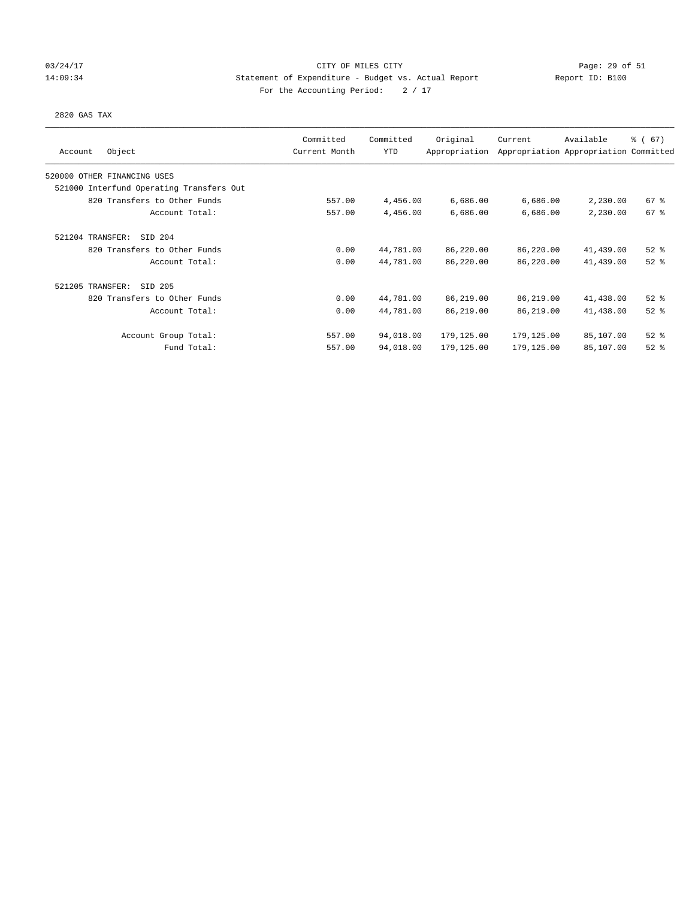### 03/24/17 Page: 29 of 51 14:09:34 Statement of Expenditure - Budget vs. Actual Report Report ID: B100 For the Accounting Period:  $2 / 17$

#### 2820 GAS TAX

| Object<br>Account                        | Committed<br>Current Month | Committed<br><b>YTD</b> | Original<br>Appropriation | Current    | Available<br>Appropriation Appropriation Committed | $\frac{3}{6}$ (67) |
|------------------------------------------|----------------------------|-------------------------|---------------------------|------------|----------------------------------------------------|--------------------|
| 520000 OTHER FINANCING USES              |                            |                         |                           |            |                                                    |                    |
| 521000 Interfund Operating Transfers Out |                            |                         |                           |            |                                                    |                    |
| 820 Transfers to Other Funds             | 557.00                     | 4,456.00                | 6,686.00                  | 6,686.00   | 2,230.00                                           | 67%                |
| Account Total:                           | 557.00                     | 4,456.00                | 6,686.00                  | 6,686.00   | 2,230.00                                           | 67 %               |
| 521204 TRANSFER:<br>SID 204              |                            |                         |                           |            |                                                    |                    |
| 820 Transfers to Other Funds             | 0.00                       | 44,781.00               | 86,220.00                 | 86,220.00  | 41,439.00                                          | $52$ $%$           |
| Account Total:                           | 0.00                       | 44,781.00               | 86,220.00                 | 86,220.00  | 41,439.00                                          | $52$ $%$           |
| 521205 TRANSFER:<br>SID 205              |                            |                         |                           |            |                                                    |                    |
| 820 Transfers to Other Funds             | 0.00                       | 44,781.00               | 86,219.00                 | 86,219.00  | 41,438.00                                          | $52$ $%$           |
| Account Total:                           | 0.00                       | 44,781.00               | 86,219.00                 | 86,219.00  | 41,438.00                                          | $52$ $%$           |
| Account Group Total:                     | 557.00                     | 94,018.00               | 179,125.00                | 179,125.00 | 85,107.00                                          | $52$ $%$           |
| Fund Total:                              | 557.00                     | 94,018.00               | 179,125.00                | 179,125.00 | 85,107.00                                          | $52$ $%$           |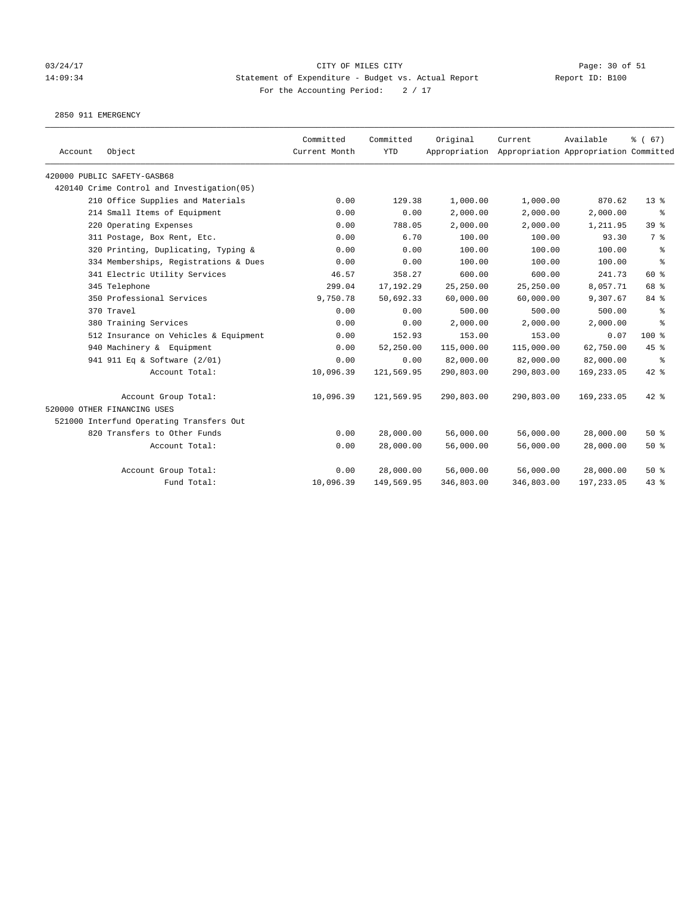# 03/24/17 Page: 30 of 51 14:09:34 Statement of Expenditure - Budget vs. Actual Report Report ID: B100 For the Accounting Period:  $2 / 17$

2850 911 EMERGENCY

| Account | Object                                     | Committed<br>Current Month | Committed<br><b>YTD</b> | Original   | Current<br>Appropriation Appropriation Appropriation Committed | Available  | % (67)          |
|---------|--------------------------------------------|----------------------------|-------------------------|------------|----------------------------------------------------------------|------------|-----------------|
|         | 420000 PUBLIC SAFETY-GASB68                |                            |                         |            |                                                                |            |                 |
|         | 420140 Crime Control and Investigation(05) |                            |                         |            |                                                                |            |                 |
|         | 210 Office Supplies and Materials          | 0.00                       | 129.38                  | 1,000.00   | 1,000.00                                                       | 870.62     | $13*$           |
|         | 214 Small Items of Equipment               | 0.00                       | 0.00                    | 2,000.00   | 2,000.00                                                       | 2,000.00   | ႜ               |
|         | 220 Operating Expenses                     | 0.00                       | 788.05                  | 2,000.00   | 2,000.00                                                       | 1,211.95   | 39 <sup>8</sup> |
|         | 311 Postage, Box Rent, Etc.                | 0.00                       | 6.70                    | 100.00     | 100.00                                                         | 93.30      | 7 %             |
|         | 320 Printing, Duplicating, Typing &        | 0.00                       | 0.00                    | 100.00     | 100.00                                                         | 100.00     | နွ              |
|         | 334 Memberships, Registrations & Dues      | 0.00                       | 0.00                    | 100.00     | 100.00                                                         | 100.00     | နွ              |
|         | 341 Electric Utility Services              | 46.57                      | 358.27                  | 600.00     | 600.00                                                         | 241.73     | 60 %            |
|         | 345 Telephone                              | 299.04                     | 17,192.29               | 25,250.00  | 25,250.00                                                      | 8,057.71   | 68 %            |
|         | 350 Professional Services                  | 9,750.78                   | 50,692.33               | 60,000.00  | 60,000.00                                                      | 9,307.67   | 84 %            |
|         | 370 Travel                                 | 0.00                       | 0.00                    | 500.00     | 500.00                                                         | 500.00     | ి               |
|         | 380 Training Services                      | 0.00                       | 0.00                    | 2,000.00   | 2,000.00                                                       | 2,000.00   | $\approx$       |
|         | 512 Insurance on Vehicles & Equipment      | 0.00                       | 152.93                  | 153.00     | 153.00                                                         | 0.07       | $100$ %         |
|         | 940 Machinery & Equipment                  | 0.00                       | 52,250.00               | 115,000.00 | 115,000.00                                                     | 62,750.00  | 45 %            |
|         | 941 911 Eq & Software (2/01)               | 0.00                       | 0.00                    | 82,000.00  | 82,000.00                                                      | 82,000.00  | ႜ               |
|         | Account Total:                             | 10,096.39                  | 121,569.95              | 290,803.00 | 290,803.00                                                     | 169,233.05 | $42$ %          |
|         | Account Group Total:                       | 10,096.39                  | 121,569.95              | 290,803.00 | 290,803.00                                                     | 169,233.05 | $42$ %          |
|         | 520000 OTHER FINANCING USES                |                            |                         |            |                                                                |            |                 |
|         | 521000 Interfund Operating Transfers Out   |                            |                         |            |                                                                |            |                 |
|         | 820 Transfers to Other Funds               | 0.00                       | 28,000.00               | 56,000.00  | 56,000.00                                                      | 28,000.00  | $50*$           |
|         | Account Total:                             | 0.00                       | 28,000.00               | 56,000.00  | 56,000.00                                                      | 28,000.00  | 50%             |
|         | Account Group Total:                       | 0.00                       | 28,000.00               | 56,000.00  | 56,000.00                                                      | 28,000.00  | 50%             |
|         | Fund Total:                                | 10,096.39                  | 149,569.95              | 346,803.00 | 346,803.00                                                     | 197,233.05 | 43.8            |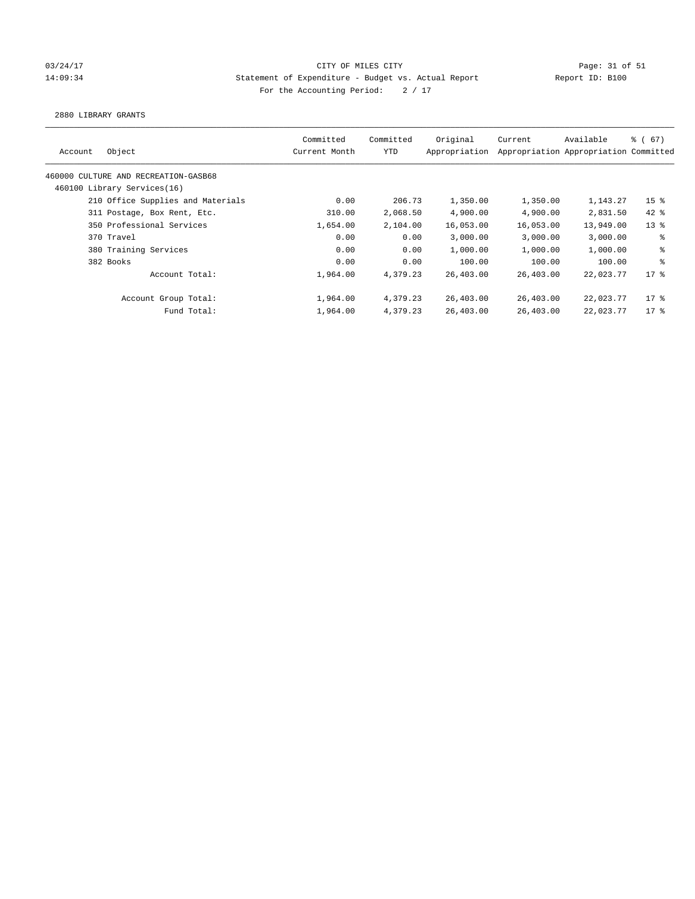## 03/24/17 Page: 31 of 51 and 03/24/17 Page: 31 of 51 14:09:34 Statement of Expenditure - Budget vs. Actual Report Report ID: B100 For the Accounting Period:  $2 / 17$

2880 LIBRARY GRANTS

| Committed<br>Current Month | Committed<br>YTD | Original<br>Appropriation | Current                                                                                    | Available | 8 ( 67)                                                                                                                                             |
|----------------------------|------------------|---------------------------|--------------------------------------------------------------------------------------------|-----------|-----------------------------------------------------------------------------------------------------------------------------------------------------|
|                            |                  |                           |                                                                                            |           |                                                                                                                                                     |
|                            |                  |                           |                                                                                            |           |                                                                                                                                                     |
| 0.00                       |                  | 1,350.00                  |                                                                                            | 1,143.27  | 15 <sup>8</sup>                                                                                                                                     |
| 310.00                     |                  | 4,900.00                  |                                                                                            | 2,831.50  | $42*$                                                                                                                                               |
| 1,654.00                   |                  | 16,053.00                 |                                                                                            | 13,949.00 | $13*$                                                                                                                                               |
| 0.00                       |                  | 3,000.00                  |                                                                                            | 3,000.00  | ႜ                                                                                                                                                   |
| 0.00                       |                  | 1,000.00                  |                                                                                            | 1,000.00  | နွ                                                                                                                                                  |
| 0.00                       |                  | 100.00                    |                                                                                            | 100.00    | ి                                                                                                                                                   |
| 1,964.00                   |                  | 26,403.00                 |                                                                                            | 22,023.77 | $17$ %                                                                                                                                              |
| 1,964.00                   |                  | 26,403.00                 |                                                                                            | 22,023.77 | $17$ %                                                                                                                                              |
| 1,964.00                   |                  | 26,403.00                 |                                                                                            | 22,023.77 | $17*$                                                                                                                                               |
|                            |                  |                           | 206.73<br>2,068.50<br>2,104.00<br>0.00<br>0.00<br>0.00<br>4,379.23<br>4,379.23<br>4,379.23 |           | Appropriation Appropriation Committed<br>1,350.00<br>4,900.00<br>16,053.00<br>3,000.00<br>1,000.00<br>100.00<br>26,403.00<br>26,403.00<br>26,403.00 |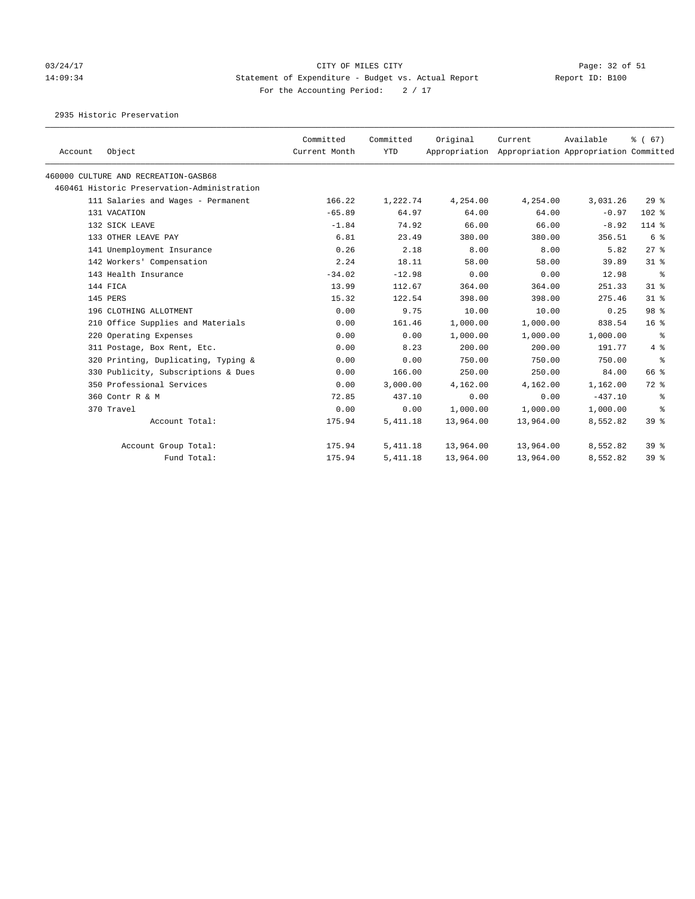# 03/24/17 Page: 32 of 51 14:09:34 Statement of Expenditure - Budget vs. Actual Report Report ID: B100 For the Accounting Period:  $2 / 17$

2935 Historic Preservation

| Account | Object                                      | Committed<br>Current Month | Committed<br><b>YTD</b> | Original<br>Appropriation | Current   | Available<br>Appropriation Appropriation Committed | % (67)          |
|---------|---------------------------------------------|----------------------------|-------------------------|---------------------------|-----------|----------------------------------------------------|-----------------|
|         | 460000 CULTURE AND RECREATION-GASB68        |                            |                         |                           |           |                                                    |                 |
|         | 460461 Historic Preservation-Administration |                            |                         |                           |           |                                                    |                 |
|         | 111 Salaries and Wages - Permanent          | 166.22                     | 1,222.74                | 4,254.00                  | 4,254.00  | 3,031.26                                           | 29%             |
|         | 131 VACATION                                | $-65.89$                   | 64.97                   | 64.00                     | 64.00     | $-0.97$                                            | $102$ %         |
|         | 132 SICK LEAVE                              | $-1.84$                    | 74.92                   | 66.00                     | 66.00     | $-8.92$                                            | 114 %           |
|         | 133 OTHER LEAVE PAY                         | 6.81                       | 23.49                   | 380.00                    | 380.00    | 356.51                                             | 6 %             |
|         | 141 Unemployment Insurance                  | 0.26                       | 2.18                    | 8.00                      | 8.00      | 5.82                                               | $27$ %          |
|         | 142 Workers' Compensation                   | 2.24                       | 18.11                   | 58.00                     | 58.00     | 39.89                                              | $31*$           |
|         | 143 Health Insurance                        | $-34.02$                   | $-12.98$                | 0.00                      | 0.00      | 12.98                                              | ႜ               |
|         | 144 FICA                                    | 13.99                      | 112.67                  | 364.00                    | 364.00    | 251.33                                             | $31$ %          |
|         | 145 PERS                                    | 15.32                      | 122.54                  | 398.00                    | 398.00    | 275.46                                             | $31$ %          |
|         | 196 CLOTHING ALLOTMENT                      | 0.00                       | 9.75                    | 10.00                     | 10.00     | 0.25                                               | 98 %            |
|         | 210 Office Supplies and Materials           | 0.00                       | 161.46                  | 1,000.00                  | 1,000.00  | 838.54                                             | 16 <sup>8</sup> |
|         | 220 Operating Expenses                      | 0.00                       | 0.00                    | 1,000.00                  | 1,000.00  | 1,000.00                                           | ႜ               |
|         | 311 Postage, Box Rent, Etc.                 | 0.00                       | 8.23                    | 200.00                    | 200.00    | 191.77                                             | 4%              |
|         | 320 Printing, Duplicating, Typing &         | 0.00                       | 0.00                    | 750.00                    | 750.00    | 750.00                                             | ႜ               |
|         | 330 Publicity, Subscriptions & Dues         | 0.00                       | 166.00                  | 250.00                    | 250.00    | 84.00                                              | 66 %            |
|         | 350 Professional Services                   | 0.00                       | 3,000.00                | 4,162.00                  | 4,162.00  | 1,162.00                                           | 72 %            |
|         | 360 Contr R & M                             | 72.85                      | 437.10                  | 0.00                      | 0.00      | $-437.10$                                          | ႜ               |
|         | 370 Travel                                  | 0.00                       | 0.00                    | 1,000.00                  | 1,000.00  | 1,000.00                                           | နွ              |
|         | Account Total:                              | 175.94                     | 5, 411.18               | 13,964.00                 | 13,964.00 | 8,552.82                                           | 39 <sup>8</sup> |
|         | Account Group Total:                        | 175.94                     | 5, 411.18               | 13,964.00                 | 13,964.00 | 8,552.82                                           | 39 <sup>8</sup> |
|         | Fund Total:                                 | 175.94                     | 5, 411.18               | 13,964.00                 | 13,964.00 | 8,552.82                                           | 39 <sup>8</sup> |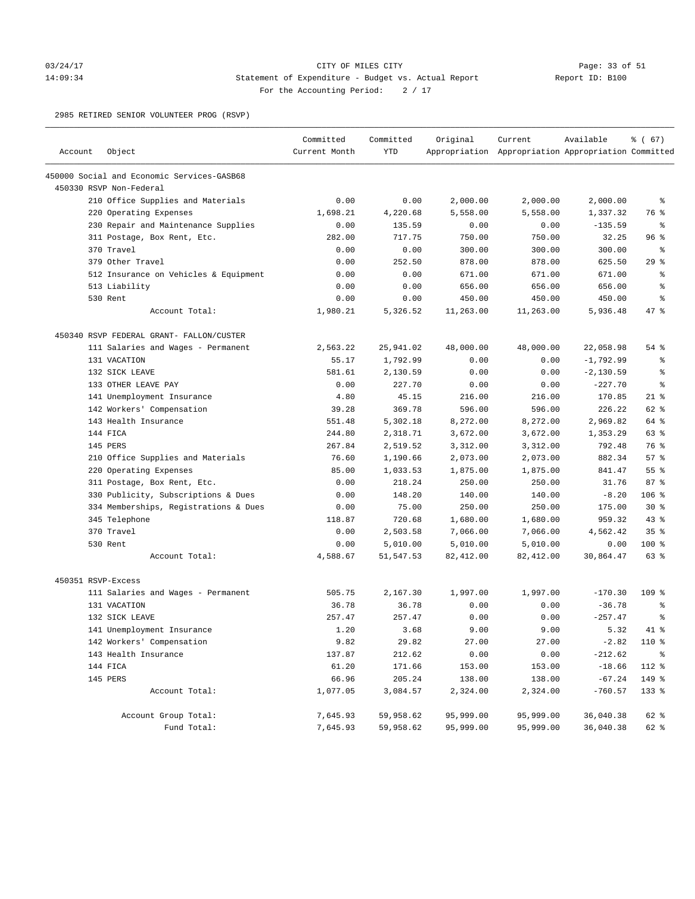### 03/24/17 Page: 33 of 51 14:09:34 Statement of Expenditure - Budget vs. Actual Report Report ID: B100 For the Accounting Period:  $2 / 17$

2985 RETIRED SENIOR VOLUNTEER PROG (RSVP)

| Account            | Object                                     | Committed<br>Current Month | Committed<br><b>YTD</b> | Original  | Current<br>Appropriation Appropriation Appropriation Committed | Available    | % (67)          |
|--------------------|--------------------------------------------|----------------------------|-------------------------|-----------|----------------------------------------------------------------|--------------|-----------------|
|                    |                                            |                            |                         |           |                                                                |              |                 |
|                    | 450000 Social and Economic Services-GASB68 |                            |                         |           |                                                                |              |                 |
|                    | 450330 RSVP Non-Federal                    |                            |                         |           |                                                                |              |                 |
|                    | 210 Office Supplies and Materials          | 0.00                       | 0.00                    | 2,000.00  | 2,000.00                                                       | 2,000.00     | ႜ               |
|                    | 220 Operating Expenses                     | 1,698.21                   | 4,220.68                | 5,558.00  | 5,558.00                                                       | 1,337.32     | 76 %            |
|                    | 230 Repair and Maintenance Supplies        | 0.00                       | 135.59                  | 0.00      | 0.00                                                           | $-135.59$    | ್ಠಿ             |
|                    | 311 Postage, Box Rent, Etc.                | 282.00                     | 717.75                  | 750.00    | 750.00                                                         | 32.25        | 96%             |
|                    | 370 Travel                                 | 0.00                       | 0.00                    | 300.00    | 300.00                                                         | 300.00       | နွ              |
|                    | 379 Other Travel                           | 0.00                       | 252.50                  | 878.00    | 878.00                                                         | 625.50       | 29%             |
|                    | 512 Insurance on Vehicles & Equipment      | 0.00                       | 0.00                    | 671.00    | 671.00                                                         | 671.00       | နွ              |
|                    | 513 Liability                              | 0.00                       | 0.00                    | 656.00    | 656.00                                                         | 656.00       | ್ಠಿ             |
|                    | 530 Rent                                   | 0.00                       | 0.00                    | 450.00    | 450.00                                                         | 450.00       | နွ              |
|                    | Account Total:                             | 1,980.21                   | 5,326.52                | 11,263.00 | 11,263.00                                                      | 5,936.48     | $47$ %          |
|                    | 450340 RSVP FEDERAL GRANT- FALLON/CUSTER   |                            |                         |           |                                                                |              |                 |
|                    | 111 Salaries and Wages - Permanent         | 2,563.22                   | 25,941.02               | 48,000.00 | 48,000.00                                                      | 22,058.98    | $54$ %          |
|                    | 131 VACATION                               | 55.17                      | 1,792.99                | 0.00      | 0.00                                                           | $-1,792.99$  | နွ              |
|                    | 132 SICK LEAVE                             | 581.61                     | 2,130.59                | 0.00      | 0.00                                                           | $-2, 130.59$ | နွ              |
|                    | 133 OTHER LEAVE PAY                        | 0.00                       | 227.70                  | 0.00      | 0.00                                                           | $-227.70$    | နွ              |
|                    | 141 Unemployment Insurance                 | 4.80                       | 45.15                   | 216.00    | 216.00                                                         | 170.85       | $21$ %          |
|                    | 142 Workers' Compensation                  | 39.28                      | 369.78                  | 596.00    | 596.00                                                         | 226.22       | 62 %            |
|                    | 143 Health Insurance                       | 551.48                     | 5,302.18                | 8,272.00  | 8,272.00                                                       | 2,969.82     | 64 %            |
|                    | 144 FICA                                   | 244.80                     | 2,318.71                | 3,672.00  | 3,672.00                                                       | 1,353.29     | 63 %            |
|                    | 145 PERS                                   | 267.84                     | 2,519.52                | 3,312.00  | 3,312.00                                                       | 792.48       | 76 %            |
|                    | 210 Office Supplies and Materials          | 76.60                      | 1,190.66                | 2,073.00  | 2,073.00                                                       | 882.34       | 57%             |
|                    | 220 Operating Expenses                     | 85.00                      | 1,033.53                | 1,875.00  | 1,875.00                                                       | 841.47       | 55%             |
|                    | 311 Postage, Box Rent, Etc.                | 0.00                       | 218.24                  | 250.00    | 250.00                                                         | 31.76        | 87%             |
|                    | 330 Publicity, Subscriptions & Dues        | 0.00                       | 148.20                  | 140.00    | 140.00                                                         | $-8.20$      | $106$ %         |
|                    | 334 Memberships, Registrations & Dues      | 0.00                       | 75.00                   | 250.00    | 250.00                                                         | 175.00       | $30*$           |
|                    | 345 Telephone                              | 118.87                     | 720.68                  | 1,680.00  | 1,680.00                                                       | 959.32       | $43$ %          |
|                    | 370 Travel                                 | 0.00                       | 2,503.58                | 7,066.00  | 7,066.00                                                       | 4,562.42     | 35 <sup>8</sup> |
|                    | 530 Rent                                   | 0.00                       | 5,010.00                | 5,010.00  | 5,010.00                                                       | 0.00         | $100$ %         |
|                    | Account Total:                             | 4,588.67                   | 51,547.53               | 82,412.00 | 82,412.00                                                      | 30,864.47    | 63 %            |
| 450351 RSVP-Excess |                                            |                            |                         |           |                                                                |              |                 |
|                    | 111 Salaries and Wages - Permanent         | 505.75                     | 2,167.30                | 1,997.00  | 1,997.00                                                       | $-170.30$    | $109$ %         |
|                    | 131 VACATION                               | 36.78                      | 36.78                   | 0.00      | 0.00                                                           | $-36.78$     | နွ              |
|                    | 132 SICK LEAVE                             | 257.47                     | 257.47                  | 0.00      | 0.00                                                           | $-257.47$    | နွ              |
|                    | 141 Unemployment Insurance                 | 1.20                       | 3.68                    | 9.00      | 9.00                                                           | 5.32         | $41*$           |
|                    | 142 Workers' Compensation                  | 9.82                       | 29.82                   | 27.00     | 27.00                                                          | $-2.82$      | 110 %           |
|                    | 143 Health Insurance                       | 137.87                     | 212.62                  | 0.00      | 0.00                                                           | $-212.62$    | နွ              |
|                    | 144 FICA                                   | 61.20                      | 171.66                  | 153.00    | 153.00                                                         | $-18.66$     | 112 %           |
|                    | 145 PERS                                   | 66.96                      | 205.24                  | 138.00    | 138.00                                                         | $-67.24$     | 149 %           |
|                    | Account Total:                             | 1,077.05                   | 3,084.57                | 2,324.00  | 2,324.00                                                       | $-760.57$    | 133 %           |
|                    |                                            |                            |                         |           |                                                                |              |                 |
|                    | Account Group Total:                       | 7,645.93                   | 59,958.62               | 95,999.00 | 95,999.00                                                      | 36,040.38    | 62 %            |
|                    | Fund Total:                                | 7,645.93                   | 59,958.62               | 95,999.00 | 95,999.00                                                      | 36,040.38    | 62 %            |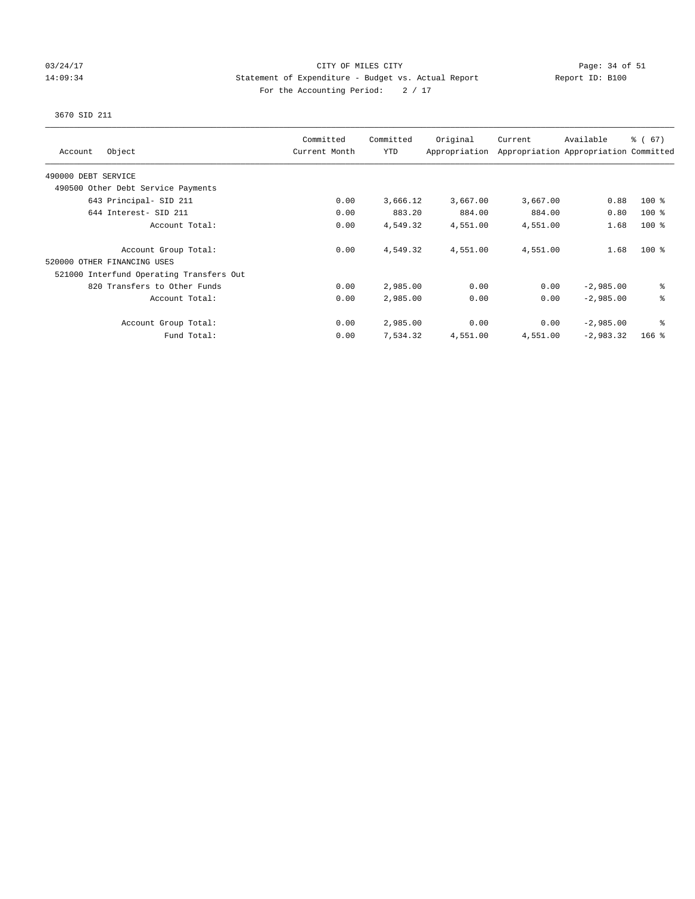### 03/24/17 Page: 34 of 51 14:09:34 Statement of Expenditure - Budget vs. Actual Report Report ID: B100 For the Accounting Period:  $2 / 17$

# 3670 SID 211

| Object<br>Account                        | Committed<br>Current Month | Committed<br><b>YTD</b> | Original<br>Appropriation | Current  | Available<br>Appropriation Appropriation Committed | $\frac{3}{6}$ (67) |
|------------------------------------------|----------------------------|-------------------------|---------------------------|----------|----------------------------------------------------|--------------------|
| 490000 DEBT SERVICE                      |                            |                         |                           |          |                                                    |                    |
| 490500 Other Debt Service Payments       |                            |                         |                           |          |                                                    |                    |
| 643 Principal- SID 211                   | 0.00                       | 3,666.12                | 3,667.00                  | 3,667.00 | 0.88                                               | $100$ %            |
| 644 Interest- SID 211                    | 0.00                       | 883.20                  | 884.00                    | 884.00   | 0.80                                               | $100$ %            |
| Account Total:                           | 0.00                       | 4,549.32                | 4,551.00                  | 4,551.00 | 1.68                                               | $100$ %            |
| Account Group Total:                     | 0.00                       | 4,549.32                | 4,551.00                  | 4,551.00 | 1.68                                               | $100*$             |
| 520000 OTHER FINANCING USES              |                            |                         |                           |          |                                                    |                    |
| 521000 Interfund Operating Transfers Out |                            |                         |                           |          |                                                    |                    |
| 820 Transfers to Other Funds             | 0.00                       | 2,985.00                | 0.00                      | 0.00     | $-2,985.00$                                        | ి                  |
| Account Total:                           | 0.00                       | 2,985.00                | 0.00                      | 0.00     | $-2,985.00$                                        | る                  |
| Account Group Total:                     | 0.00                       | 2,985.00                | 0.00                      | 0.00     | $-2,985.00$                                        | နွ                 |
| Fund Total:                              | 0.00                       | 7,534.32                | 4,551.00                  | 4,551.00 | $-2,983.32$                                        | $166$ %            |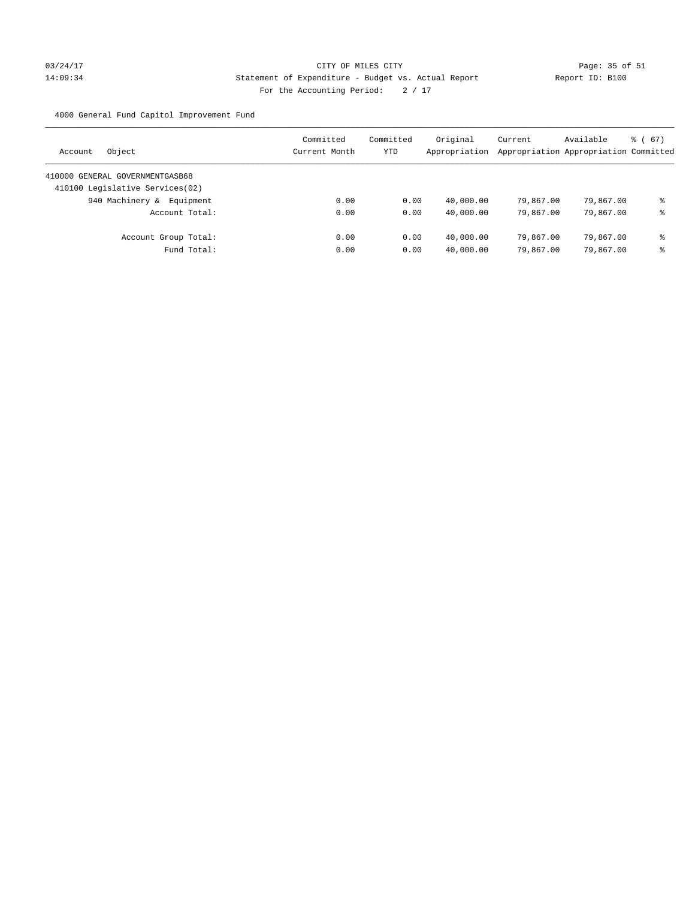# 03/24/17 Page: 35 of 51 14:09:34 Statement of Expenditure - Budget vs. Actual Report Report ID: B100 For the Accounting Period:  $2 / 17$

4000 General Fund Capitol Improvement Fund

| Object<br>Account                | Committed<br>Current Month | Committed<br>YTD | Original<br>Appropriation | Current<br>Appropriation Appropriation Committed | Available | $\frac{1}{6}$ (67) |
|----------------------------------|----------------------------|------------------|---------------------------|--------------------------------------------------|-----------|--------------------|
| 410000 GENERAL GOVERNMENTGASB68  |                            |                  |                           |                                                  |           |                    |
| 410100 Legislative Services (02) |                            |                  |                           |                                                  |           |                    |
| 940 Machinery & Equipment        | 0.00                       | 0.00             | 40,000.00                 | 79,867.00                                        | 79,867.00 | နွ                 |
| Account Total:                   | 0.00                       | 0.00             | 40,000.00                 | 79,867.00                                        | 79,867.00 | နွ                 |
| Account Group Total:             | 0.00                       | 0.00             | 40,000.00                 | 79,867,00                                        | 79,867.00 | နွ                 |
| Fund Total:                      | 0.00                       | 0.00             | 40,000.00                 | 79,867.00                                        | 79,867.00 | နွ                 |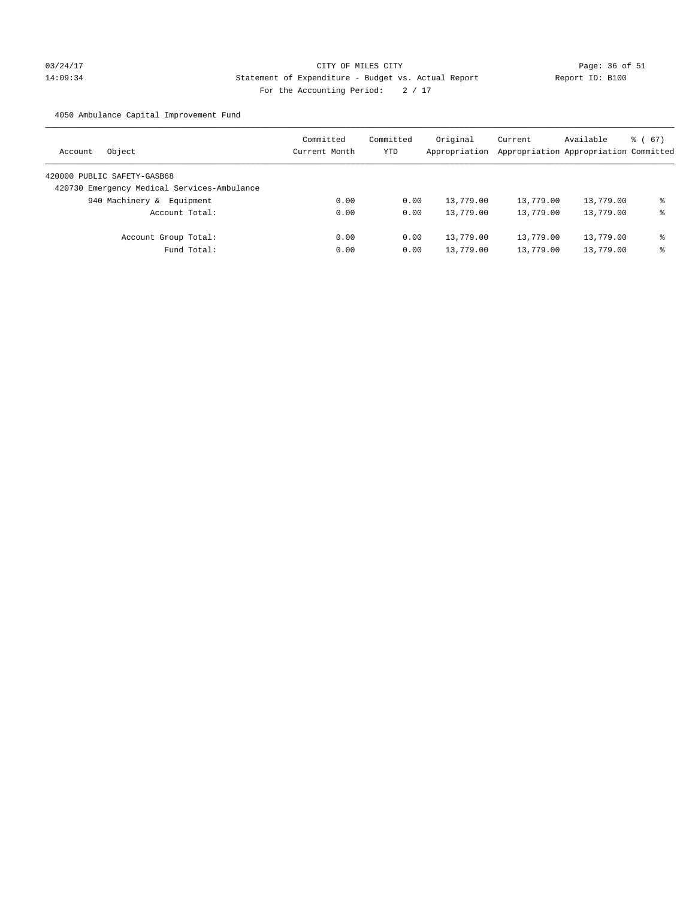# 03/24/17 Page: 36 of 51 14:09:34 Statement of Expenditure - Budget vs. Actual Report Report ID: B100 For the Accounting Period:  $2 / 17$

4050 Ambulance Capital Improvement Fund

| Object<br>Account                           | Committed<br>Current Month | Committed<br>YTD | Original<br>Appropriation | Current   | Available<br>Appropriation Appropriation Committed | $\frac{1}{6}$ (67) |
|---------------------------------------------|----------------------------|------------------|---------------------------|-----------|----------------------------------------------------|--------------------|
| 420000 PUBLIC SAFETY-GASB68                 |                            |                  |                           |           |                                                    |                    |
| 420730 Emergency Medical Services-Ambulance |                            |                  |                           |           |                                                    |                    |
| 940 Machinery &<br>Equipment                | 0.00                       | 0.00             | 13,779.00                 | 13,779.00 | 13,779.00                                          | ి                  |
| Account Total:                              | 0.00                       | 0.00             | 13,779.00                 | 13,779.00 | 13,779.00                                          | နွ                 |
| Account Group Total:                        | 0.00                       | 0.00             | 13,779.00                 | 13,779.00 | 13,779.00                                          | နွ                 |
| Fund Total:                                 | 0.00                       | 0.00             | 13,779.00                 | 13,779.00 | 13,779.00                                          | နွ                 |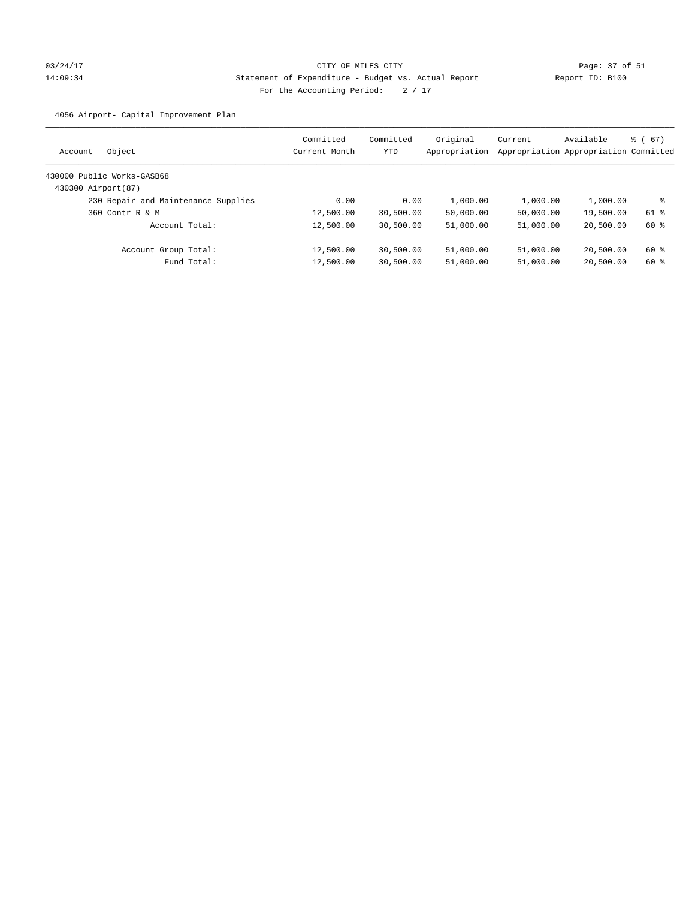# 03/24/17 Page: 37 of 51 14:09:34 Statement of Expenditure - Budget vs. Actual Report Report ID: B100 For the Accounting Period:  $2 / 17$

4056 Airport- Capital Improvement Plan

| Object<br>Account                   | Committed<br>Current Month | Committed<br>YTD | Original<br>Appropriation | Current   | Available<br>Appropriation Appropriation Committed | 8 ( 67 ) |
|-------------------------------------|----------------------------|------------------|---------------------------|-----------|----------------------------------------------------|----------|
| 430000 Public Works-GASB68          |                            |                  |                           |           |                                                    |          |
| 430300 Airport(87)                  |                            |                  |                           |           |                                                    |          |
| 230 Repair and Maintenance Supplies | 0.00                       | 0.00             | 1,000.00                  | 1,000.00  | 1,000.00                                           | ႜ        |
| 360 Contr R & M                     | 12,500.00                  | 30,500.00        | 50,000.00                 | 50,000.00 | 19,500.00                                          | 61 %     |
| Account Total:                      | 12,500.00                  | 30,500.00        | 51,000.00                 | 51,000.00 | 20,500.00                                          | 60 %     |
| Account Group Total:                | 12,500.00                  | 30,500.00        | 51,000.00                 | 51,000.00 | 20,500.00                                          | 60 %     |
| Fund Total:                         | 12,500.00                  | 30,500.00        | 51,000.00                 | 51,000.00 | 20,500.00                                          | 60 %     |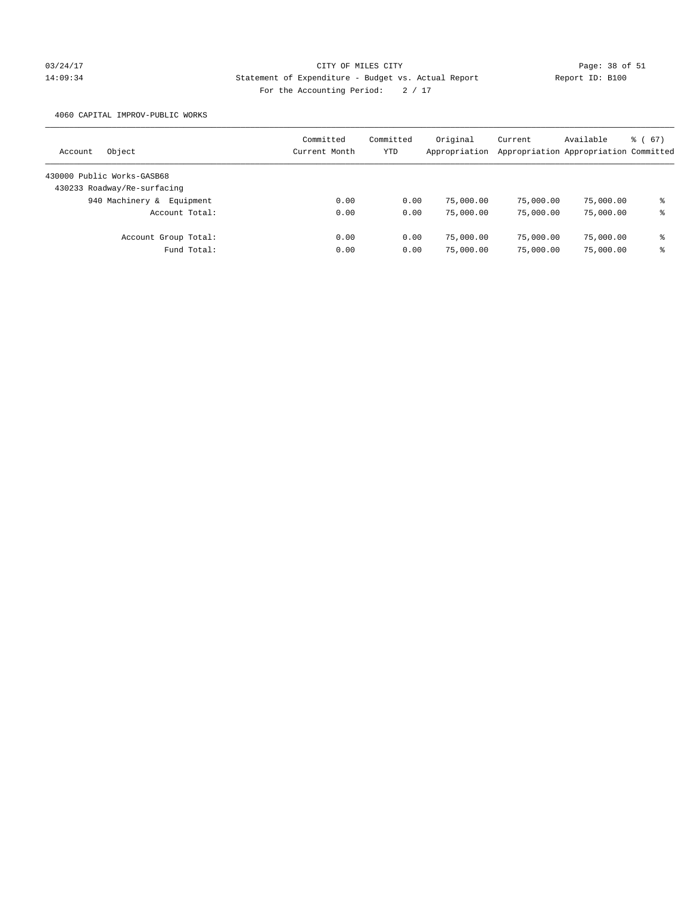# 03/24/17 Page: 38 of 51 14:09:34 Statement of Expenditure - Budget vs. Actual Report Report ID: B100 For the Accounting Period:  $2 / 17$

4060 CAPITAL IMPROV-PUBLIC WORKS

| Object<br>Account            | Committed<br>Current Month | Committed<br>YTD | Original<br>Appropriation | Current   | Available<br>Appropriation Appropriation Committed | $\frac{3}{6}$ (67) |
|------------------------------|----------------------------|------------------|---------------------------|-----------|----------------------------------------------------|--------------------|
| 430000 Public Works-GASB68   |                            |                  |                           |           |                                                    |                    |
| 430233 Roadway/Re-surfacing  |                            |                  |                           |           |                                                    |                    |
| 940 Machinery &<br>Equipment | 0.00                       | 0.00             | 75,000.00                 | 75,000.00 | 75,000.00                                          | နွ                 |
| Account Total:               | 0.00                       | 0.00             | 75,000.00                 | 75,000.00 | 75,000.00                                          | နွ                 |
| Account Group Total:         | 0.00                       | 0.00             | 75,000.00                 | 75,000.00 | 75,000.00                                          | နွ                 |
| Fund Total:                  | 0.00                       | 0.00             | 75,000.00                 | 75,000.00 | 75,000.00                                          | နွ                 |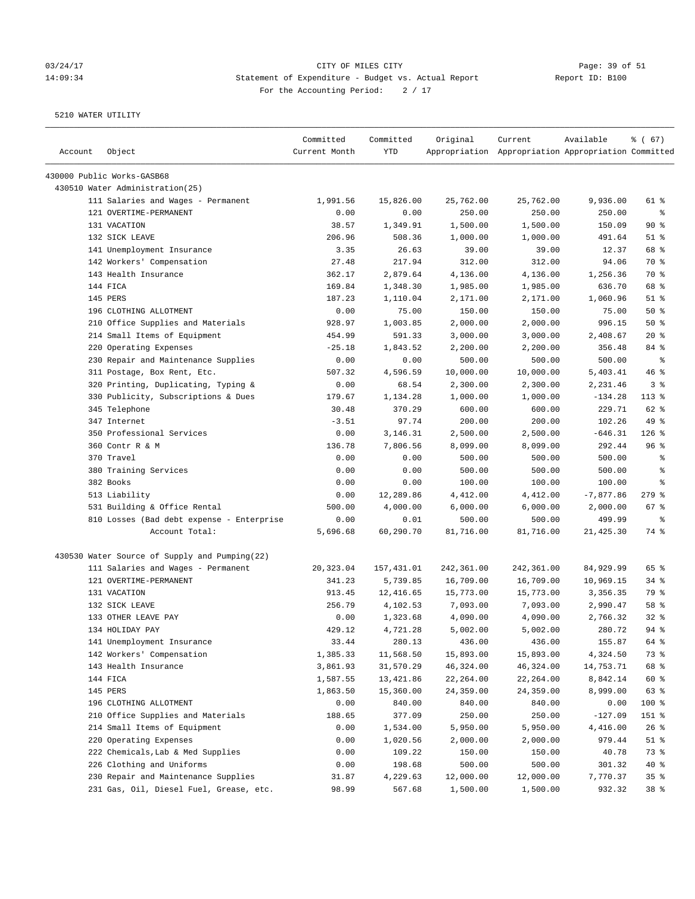# 03/24/17 Page: 39 of 51 14:09:34 Statement of Expenditure - Budget vs. Actual Report Report ID: B100 For the Accounting Period:  $2 / 17$

| Account | Object                                        | Committed<br>Current Month | Committed<br><b>YTD</b> | Original   | Current<br>Appropriation Appropriation Appropriation Committed | Available   | 8 ( 67 )                 |
|---------|-----------------------------------------------|----------------------------|-------------------------|------------|----------------------------------------------------------------|-------------|--------------------------|
|         | 430000 Public Works-GASB68                    |                            |                         |            |                                                                |             |                          |
|         | 430510 Water Administration(25)               |                            |                         |            |                                                                |             |                          |
|         | 111 Salaries and Wages - Permanent            | 1,991.56                   | 15,826.00               | 25,762.00  | 25,762.00                                                      | 9,936.00    | 61 %                     |
|         | 121 OVERTIME-PERMANENT                        | 0.00                       | 0.00                    | 250.00     | 250.00                                                         | 250.00      | နွ                       |
|         | 131 VACATION                                  | 38.57                      | 1,349.91                | 1,500.00   | 1,500.00                                                       | 150.09      | $90*$                    |
|         | 132 SICK LEAVE                                | 206.96                     | 508.36                  | 1,000.00   | 1,000.00                                                       | 491.64      | $51$ %                   |
|         | 141 Unemployment Insurance                    | 3.35                       | 26.63                   | 39.00      | 39.00                                                          | 12.37       | 68 %                     |
|         | 142 Workers' Compensation                     | 27.48                      | 217.94                  | 312.00     | 312.00                                                         | 94.06       | 70 %                     |
|         | 143 Health Insurance                          | 362.17                     | 2,879.64                | 4,136.00   | 4,136.00                                                       | 1,256.36    | 70 %                     |
|         | 144 FICA                                      | 169.84                     | 1,348.30                | 1,985.00   | 1,985.00                                                       | 636.70      | 68 %                     |
|         | 145 PERS                                      | 187.23                     | 1,110.04                | 2,171.00   | 2,171.00                                                       | 1,060.96    | $51$ %                   |
|         | 196 CLOTHING ALLOTMENT                        | 0.00                       | 75.00                   | 150.00     | 150.00                                                         | 75.00       | 50%                      |
|         | 210 Office Supplies and Materials             | 928.97                     | 1,003.85                | 2,000.00   | 2,000.00                                                       | 996.15      | 50%                      |
|         | 214 Small Items of Equipment                  | 454.99                     | 591.33                  | 3,000.00   | 3,000.00                                                       | 2,408.67    | $20*$                    |
|         | 220 Operating Expenses                        | $-25.18$                   | 1,843.52                | 2,200.00   | 2,200.00                                                       | 356.48      | 84 %                     |
|         | 230 Repair and Maintenance Supplies           | 0.00                       | 0.00                    | 500.00     | 500.00                                                         | 500.00      | $\,{}^{\circ}\!\!\delta$ |
|         | 311 Postage, Box Rent, Etc.                   | 507.32                     | 4,596.59                | 10,000.00  | 10,000.00                                                      | 5,403.41    | 46%                      |
|         | 320 Printing, Duplicating, Typing &           | 0.00                       | 68.54                   | 2,300.00   | 2,300.00                                                       | 2,231.46    | 3%                       |
|         | 330 Publicity, Subscriptions & Dues           | 179.67                     | 1,134.28                | 1,000.00   | 1,000.00                                                       | $-134.28$   | $113*$                   |
|         | 345 Telephone                                 | 30.48                      | 370.29                  | 600.00     | 600.00                                                         | 229.71      | 62 %                     |
|         | 347 Internet                                  | $-3.51$                    | 97.74                   | 200.00     | 200.00                                                         | 102.26      | 49 %                     |
|         | 350 Professional Services                     | 0.00                       | 3,146.31                | 2,500.00   | 2,500.00                                                       | $-646.31$   | $126$ %                  |
|         | 360 Contr R & M                               | 136.78                     | 7,806.56                | 8,099.00   | 8,099.00                                                       | 292.44      | 96%                      |
|         | 370 Travel                                    | 0.00                       | 0.00                    | 500.00     | 500.00                                                         | 500.00      | $\epsilon$               |
|         | 380 Training Services                         | 0.00                       | 0.00                    | 500.00     | 500.00                                                         | 500.00      | $\epsilon$               |
|         | 382 Books                                     | 0.00                       | 0.00                    | 100.00     | 100.00                                                         | 100.00      | နွ                       |
|         | 513 Liability                                 | 0.00                       | 12,289.86               | 4,412.00   | 4,412.00                                                       | $-7,877.86$ | $279$ $%$                |
|         | 531 Building & Office Rental                  | 500.00                     | 4,000.00                | 6,000.00   | 6,000.00                                                       | 2,000.00    | 67 %                     |
|         | 810 Losses (Bad debt expense - Enterprise     | 0.00                       | 0.01                    | 500.00     | 500.00                                                         | 499.99      | ႜ                        |
|         | Account Total:                                | 5,696.68                   | 60,290.70               | 81,716.00  | 81,716.00                                                      | 21,425.30   | 74 %                     |
|         | 430530 Water Source of Supply and Pumping(22) |                            |                         |            |                                                                |             |                          |
|         | 111 Salaries and Wages - Permanent            | 20,323.04                  | 157,431.01              | 242,361.00 | 242,361.00                                                     | 84,929.99   | 65 %                     |
|         | 121 OVERTIME-PERMANENT                        | 341.23                     | 5,739.85                | 16,709.00  | 16,709.00                                                      | 10,969.15   | $34$ $%$                 |
|         | 131 VACATION                                  | 913.45                     | 12,416.65               | 15,773.00  | 15,773.00                                                      | 3,356.35    | 79 %                     |
|         | 132 SICK LEAVE                                | 256.79                     | 4,102.53                | 7,093.00   | 7,093.00                                                       | 2,990.47    | 58 %                     |
|         | 133 OTHER LEAVE PAY                           | 0.00                       | 1,323.68                | 4,090.00   | 4,090.00                                                       | 2,766.32    | $32$ $%$                 |
|         | 134 HOLIDAY PAY                               | 429.12                     | 4.721.28                | 5,002.00   | 5,002.00                                                       | 280.72      | $94$ $%$                 |
|         | 141 Unemployment Insurance                    | 33.44                      | 280.13                  | 436.00     | 436.00                                                         | 155.87      | 64 %                     |
|         | 142 Workers' Compensation                     | 1,385.33                   | 11,568.50               | 15,893.00  | 15,893.00                                                      | 4,324.50    | 73 %                     |
|         | 143 Health Insurance                          | 3,861.93                   | 31,570.29               | 46,324.00  | 46,324.00                                                      | 14,753.71   | 68 %                     |
|         | 144 FICA                                      | 1,587.55                   | 13,421.86               | 22,264.00  | 22,264.00                                                      | 8,842.14    | 60 %                     |
|         | 145 PERS                                      | 1,863.50                   | 15,360.00               | 24,359.00  | 24,359.00                                                      | 8,999.00    | 63 %                     |
|         | 196 CLOTHING ALLOTMENT                        | 0.00                       | 840.00                  | 840.00     | 840.00                                                         | 0.00        | 100 %                    |
|         | 210 Office Supplies and Materials             | 188.65                     | 377.09                  | 250.00     | 250.00                                                         | $-127.09$   | 151 %                    |
|         | 214 Small Items of Equipment                  | 0.00                       | 1,534.00                | 5,950.00   | 5,950.00                                                       | 4,416.00    | 26%                      |
|         | 220 Operating Expenses                        | 0.00                       | 1,020.56                | 2,000.00   | 2,000.00                                                       | 979.44      | $51$ %                   |
|         | 222 Chemicals, Lab & Med Supplies             | 0.00                       | 109.22                  | 150.00     | 150.00                                                         | 40.78       | 73 %                     |
|         | 226 Clothing and Uniforms                     | 0.00                       | 198.68                  | 500.00     | 500.00                                                         | 301.32      | 40 %                     |
|         | 230 Repair and Maintenance Supplies           | 31.87                      | 4,229.63                | 12,000.00  | 12,000.00                                                      | 7,770.37    | 35%                      |
|         | 231 Gas, Oil, Diesel Fuel, Grease, etc.       | 98.99                      | 567.68                  | 1,500.00   | 1,500.00                                                       | 932.32      | 38%                      |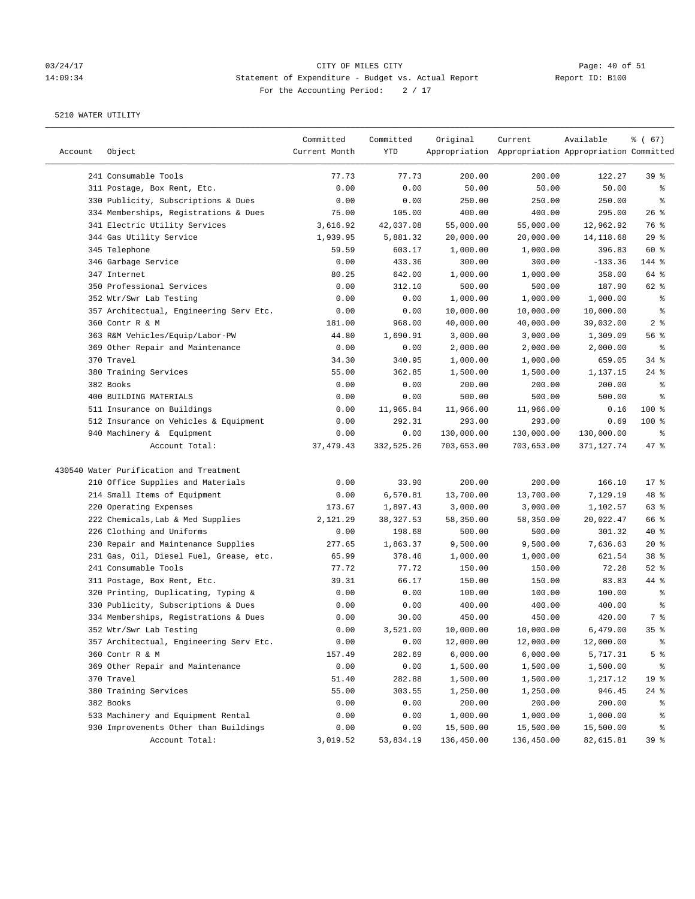# 03/24/17 CITY OF MILES CITY<br>14:09:34 Statement of Expenditure - Budget vs. Actual Report Report ID: B100 14:09:34 Statement of Expenditure - Budget vs. Actual Report For the Accounting Period: 2 / 17

| 241 Consumable Tools<br>77.73<br>77.73<br>200.00<br>200.00<br>122.27<br>39 <sup>8</sup><br>311 Postage, Box Rent, Etc.<br>0.00<br>0.00<br>50.00<br>50.00<br>50.00<br>နွ<br>330 Publicity, Subscriptions & Dues<br>0.00<br>0.00<br>250.00<br>250.00<br>250.00<br>နွ<br>105.00<br>26%<br>334 Memberships, Registrations & Dues<br>75.00<br>400.00<br>400.00<br>295.00<br>341 Electric Utility Services<br>3,616.92<br>42,037.08<br>55,000.00<br>55,000.00<br>12,962.92<br>76 %<br>29%<br>344 Gas Utility Service<br>1,939.95<br>20,000.00<br>20,000.00<br>14, 118.68<br>5,881.32<br>345 Telephone<br>59.59<br>603.17<br>1,000.00<br>1,000.00<br>396.83<br>60 %<br>346 Garbage Service<br>0.00<br>433.36<br>300.00<br>300.00<br>$-133.36$<br>144 %<br>347 Internet<br>80.25<br>642.00<br>1,000.00<br>1,000.00<br>358.00<br>64 %<br>350 Professional Services<br>0.00<br>312.10<br>500.00<br>500.00<br>187.90<br>62 %<br>352 Wtr/Swr Lab Testing<br>0.00<br>0.00<br>1,000.00<br>1,000.00<br>1,000.00<br>್ಠಿ<br>357 Architectual, Engineering Serv Etc.<br>10,000.00<br>10,000.00<br>10,000.00<br>್ಠಿ<br>0.00<br>0.00<br>360 Contr R & M<br>181.00<br>968.00<br>40,000.00<br>40,000.00<br>39,032.00<br>2 <sup>8</sup><br>363 R&M Vehicles/Equip/Labor-PW<br>44.80<br>1,690.91<br>3,000.00<br>3,000.00<br>1,309.09<br>56%<br>369 Other Repair and Maintenance<br>0.00<br>0.00<br>2,000.00<br>2,000.00<br>2,000.00<br>್ಠಿ<br>370 Travel<br>34%<br>34.30<br>340.95<br>1,000.00<br>1,000.00<br>659.05<br>380 Training Services<br>55.00<br>362.85<br>1,500.00<br>$24$ %<br>1,500.00<br>1,137.15<br>382 Books<br>0.00<br>0.00<br>200.00<br>200.00<br>200.00<br>နွ<br>400 BUILDING MATERIALS<br>0.00<br>0.00<br>500.00<br>500.00<br>500.00<br>್ಠಿ<br>511 Insurance on Buildings<br>11,965.84<br>11,966.00<br>11,966.00<br>100 %<br>0.00<br>0.16<br>512 Insurance on Vehicles & Equipment<br>292.31<br>293.00<br>293.00<br>0.69<br>$100$ %<br>0.00<br>940 Machinery & Equipment<br>130,000.00<br>130,000.00<br>0.00<br>0.00<br>130,000.00<br>နွ<br>Account Total:<br>37, 479.43<br>332,525.26<br>703,653.00<br>703,653.00<br>371,127.74<br>$47$ %<br>430540 Water Purification and Treatment<br>210 Office Supplies and Materials<br>0.00<br>33.90<br>200.00<br>200.00<br>166.10<br>$17*$<br>214 Small Items of Equipment<br>6,570.81<br>13,700.00<br>13,700.00<br>7,129.19<br>48 %<br>0.00<br>220 Operating Expenses<br>173.67<br>1,897.43<br>3,000.00<br>3,000.00<br>1,102.57<br>63%<br>222 Chemicals, Lab & Med Supplies<br>2,121.29<br>38, 327.53<br>58,350.00<br>58,350.00<br>20,022.47<br>66 %<br>226 Clothing and Uniforms<br>198.68<br>500.00<br>500.00<br>$40*$<br>0.00<br>301.32<br>230 Repair and Maintenance Supplies<br>1,863.37<br>9,500.00<br>9,500.00<br>7,636.63<br>$20*$<br>277.65<br>231 Gas, Oil, Diesel Fuel, Grease, etc.<br>38 %<br>65.99<br>378.46<br>1,000.00<br>1,000.00<br>621.54<br>241 Consumable Tools<br>77.72<br>77.72<br>150.00<br>150.00<br>72.28<br>$52$ $%$<br>311 Postage, Box Rent, Etc.<br>39.31<br>66.17<br>150.00<br>150.00<br>83.83<br>44 %<br>320 Printing, Duplicating, Typing &<br>0.00<br>0.00<br>100.00<br>100.00<br>100.00<br>್ಠಿ<br>330 Publicity, Subscriptions & Dues<br>0.00<br>0.00<br>400.00<br>400.00<br>400.00<br>್ಠಿ<br>334 Memberships, Registrations & Dues<br>7 %<br>0.00<br>30.00<br>450.00<br>450.00<br>420.00<br>10,000.00<br>352 Wtr/Swr Lab Testing<br>0.00<br>3,521.00<br>10,000.00<br>6,479.00<br>35 <sup>8</sup><br>357 Architectual, Engineering Serv Etc.<br>0.00<br>${\bf 0}$ . ${\bf 0}$<br>12,000.00<br>12,000.00<br>12,000.00<br>ိစ<br>360 Contr R & M<br>282.69<br>6,000.00<br>6,000.00<br>5 %<br>157.49<br>5,717.31<br>369 Other Repair and Maintenance<br>0.00<br>0.00<br>1,500.00<br>1,500.00<br>1,500.00<br>ိင<br>370 Travel<br>282.88<br>51.40<br>1,500.00<br>1,500.00<br>1,217.12<br>19 %<br>380 Training Services<br>55.00<br>303.55<br>1,250.00<br>946.45<br>$24$ %<br>1,250.00<br>382 Books<br>0.00<br>200.00<br>200.00<br>0.00<br>200.00<br>ိစ<br>533 Machinery and Equipment Rental<br>0.00<br>0.00<br>1,000.00<br>1,000.00<br>1,000.00<br>န့<br>930 Improvements Other than Buildings<br>0.00<br>0.00<br>15,500.00<br>15,500.00<br>15,500.00<br>န့<br>Account Total:<br>3,019.52<br>53,834.19<br>136,450.00<br>136,450.00<br>82,615.81<br>39% | Account | Object | Committed<br>Current Month | Committed<br>YTD | Original | Current<br>Appropriation Appropriation Appropriation Committed | Available | % (67) |
|--------------------------------------------------------------------------------------------------------------------------------------------------------------------------------------------------------------------------------------------------------------------------------------------------------------------------------------------------------------------------------------------------------------------------------------------------------------------------------------------------------------------------------------------------------------------------------------------------------------------------------------------------------------------------------------------------------------------------------------------------------------------------------------------------------------------------------------------------------------------------------------------------------------------------------------------------------------------------------------------------------------------------------------------------------------------------------------------------------------------------------------------------------------------------------------------------------------------------------------------------------------------------------------------------------------------------------------------------------------------------------------------------------------------------------------------------------------------------------------------------------------------------------------------------------------------------------------------------------------------------------------------------------------------------------------------------------------------------------------------------------------------------------------------------------------------------------------------------------------------------------------------------------------------------------------------------------------------------------------------------------------------------------------------------------------------------------------------------------------------------------------------------------------------------------------------------------------------------------------------------------------------------------------------------------------------------------------------------------------------------------------------------------------------------------------------------------------------------------------------------------------------------------------------------------------------------------------------------------------------------------------------------------------------------------------------------------------------------------------------------------------------------------------------------------------------------------------------------------------------------------------------------------------------------------------------------------------------------------------------------------------------------------------------------------------------------------------------------------------------------------------------------------------------------------------------------------------------------------------------------------------------------------------------------------------------------------------------------------------------------------------------------------------------------------------------------------------------------------------------------------------------------------------------------------------------------------------------------------------------------------------------------------------------------------------------------------------------------------------------------------------------------------------------------------------------------------------------------------------------------------------------------------------------------------------------------------------------------------------------------------------------------------------------------------------------------------------------------------------------------------------------------------------------------------------------------------------------------------------------------------------------------------------------------------------------------|---------|--------|----------------------------|------------------|----------|----------------------------------------------------------------|-----------|--------|
|                                                                                                                                                                                                                                                                                                                                                                                                                                                                                                                                                                                                                                                                                                                                                                                                                                                                                                                                                                                                                                                                                                                                                                                                                                                                                                                                                                                                                                                                                                                                                                                                                                                                                                                                                                                                                                                                                                                                                                                                                                                                                                                                                                                                                                                                                                                                                                                                                                                                                                                                                                                                                                                                                                                                                                                                                                                                                                                                                                                                                                                                                                                                                                                                                                                                                                                                                                                                                                                                                                                                                                                                                                                                                                                                                                                                                                                                                                                                                                                                                                                                                                                                                                                                                                                                                                                          |         |        |                            |                  |          |                                                                |           |        |
|                                                                                                                                                                                                                                                                                                                                                                                                                                                                                                                                                                                                                                                                                                                                                                                                                                                                                                                                                                                                                                                                                                                                                                                                                                                                                                                                                                                                                                                                                                                                                                                                                                                                                                                                                                                                                                                                                                                                                                                                                                                                                                                                                                                                                                                                                                                                                                                                                                                                                                                                                                                                                                                                                                                                                                                                                                                                                                                                                                                                                                                                                                                                                                                                                                                                                                                                                                                                                                                                                                                                                                                                                                                                                                                                                                                                                                                                                                                                                                                                                                                                                                                                                                                                                                                                                                                          |         |        |                            |                  |          |                                                                |           |        |
|                                                                                                                                                                                                                                                                                                                                                                                                                                                                                                                                                                                                                                                                                                                                                                                                                                                                                                                                                                                                                                                                                                                                                                                                                                                                                                                                                                                                                                                                                                                                                                                                                                                                                                                                                                                                                                                                                                                                                                                                                                                                                                                                                                                                                                                                                                                                                                                                                                                                                                                                                                                                                                                                                                                                                                                                                                                                                                                                                                                                                                                                                                                                                                                                                                                                                                                                                                                                                                                                                                                                                                                                                                                                                                                                                                                                                                                                                                                                                                                                                                                                                                                                                                                                                                                                                                                          |         |        |                            |                  |          |                                                                |           |        |
|                                                                                                                                                                                                                                                                                                                                                                                                                                                                                                                                                                                                                                                                                                                                                                                                                                                                                                                                                                                                                                                                                                                                                                                                                                                                                                                                                                                                                                                                                                                                                                                                                                                                                                                                                                                                                                                                                                                                                                                                                                                                                                                                                                                                                                                                                                                                                                                                                                                                                                                                                                                                                                                                                                                                                                                                                                                                                                                                                                                                                                                                                                                                                                                                                                                                                                                                                                                                                                                                                                                                                                                                                                                                                                                                                                                                                                                                                                                                                                                                                                                                                                                                                                                                                                                                                                                          |         |        |                            |                  |          |                                                                |           |        |
|                                                                                                                                                                                                                                                                                                                                                                                                                                                                                                                                                                                                                                                                                                                                                                                                                                                                                                                                                                                                                                                                                                                                                                                                                                                                                                                                                                                                                                                                                                                                                                                                                                                                                                                                                                                                                                                                                                                                                                                                                                                                                                                                                                                                                                                                                                                                                                                                                                                                                                                                                                                                                                                                                                                                                                                                                                                                                                                                                                                                                                                                                                                                                                                                                                                                                                                                                                                                                                                                                                                                                                                                                                                                                                                                                                                                                                                                                                                                                                                                                                                                                                                                                                                                                                                                                                                          |         |        |                            |                  |          |                                                                |           |        |
|                                                                                                                                                                                                                                                                                                                                                                                                                                                                                                                                                                                                                                                                                                                                                                                                                                                                                                                                                                                                                                                                                                                                                                                                                                                                                                                                                                                                                                                                                                                                                                                                                                                                                                                                                                                                                                                                                                                                                                                                                                                                                                                                                                                                                                                                                                                                                                                                                                                                                                                                                                                                                                                                                                                                                                                                                                                                                                                                                                                                                                                                                                                                                                                                                                                                                                                                                                                                                                                                                                                                                                                                                                                                                                                                                                                                                                                                                                                                                                                                                                                                                                                                                                                                                                                                                                                          |         |        |                            |                  |          |                                                                |           |        |
|                                                                                                                                                                                                                                                                                                                                                                                                                                                                                                                                                                                                                                                                                                                                                                                                                                                                                                                                                                                                                                                                                                                                                                                                                                                                                                                                                                                                                                                                                                                                                                                                                                                                                                                                                                                                                                                                                                                                                                                                                                                                                                                                                                                                                                                                                                                                                                                                                                                                                                                                                                                                                                                                                                                                                                                                                                                                                                                                                                                                                                                                                                                                                                                                                                                                                                                                                                                                                                                                                                                                                                                                                                                                                                                                                                                                                                                                                                                                                                                                                                                                                                                                                                                                                                                                                                                          |         |        |                            |                  |          |                                                                |           |        |
|                                                                                                                                                                                                                                                                                                                                                                                                                                                                                                                                                                                                                                                                                                                                                                                                                                                                                                                                                                                                                                                                                                                                                                                                                                                                                                                                                                                                                                                                                                                                                                                                                                                                                                                                                                                                                                                                                                                                                                                                                                                                                                                                                                                                                                                                                                                                                                                                                                                                                                                                                                                                                                                                                                                                                                                                                                                                                                                                                                                                                                                                                                                                                                                                                                                                                                                                                                                                                                                                                                                                                                                                                                                                                                                                                                                                                                                                                                                                                                                                                                                                                                                                                                                                                                                                                                                          |         |        |                            |                  |          |                                                                |           |        |
|                                                                                                                                                                                                                                                                                                                                                                                                                                                                                                                                                                                                                                                                                                                                                                                                                                                                                                                                                                                                                                                                                                                                                                                                                                                                                                                                                                                                                                                                                                                                                                                                                                                                                                                                                                                                                                                                                                                                                                                                                                                                                                                                                                                                                                                                                                                                                                                                                                                                                                                                                                                                                                                                                                                                                                                                                                                                                                                                                                                                                                                                                                                                                                                                                                                                                                                                                                                                                                                                                                                                                                                                                                                                                                                                                                                                                                                                                                                                                                                                                                                                                                                                                                                                                                                                                                                          |         |        |                            |                  |          |                                                                |           |        |
|                                                                                                                                                                                                                                                                                                                                                                                                                                                                                                                                                                                                                                                                                                                                                                                                                                                                                                                                                                                                                                                                                                                                                                                                                                                                                                                                                                                                                                                                                                                                                                                                                                                                                                                                                                                                                                                                                                                                                                                                                                                                                                                                                                                                                                                                                                                                                                                                                                                                                                                                                                                                                                                                                                                                                                                                                                                                                                                                                                                                                                                                                                                                                                                                                                                                                                                                                                                                                                                                                                                                                                                                                                                                                                                                                                                                                                                                                                                                                                                                                                                                                                                                                                                                                                                                                                                          |         |        |                            |                  |          |                                                                |           |        |
|                                                                                                                                                                                                                                                                                                                                                                                                                                                                                                                                                                                                                                                                                                                                                                                                                                                                                                                                                                                                                                                                                                                                                                                                                                                                                                                                                                                                                                                                                                                                                                                                                                                                                                                                                                                                                                                                                                                                                                                                                                                                                                                                                                                                                                                                                                                                                                                                                                                                                                                                                                                                                                                                                                                                                                                                                                                                                                                                                                                                                                                                                                                                                                                                                                                                                                                                                                                                                                                                                                                                                                                                                                                                                                                                                                                                                                                                                                                                                                                                                                                                                                                                                                                                                                                                                                                          |         |        |                            |                  |          |                                                                |           |        |
|                                                                                                                                                                                                                                                                                                                                                                                                                                                                                                                                                                                                                                                                                                                                                                                                                                                                                                                                                                                                                                                                                                                                                                                                                                                                                                                                                                                                                                                                                                                                                                                                                                                                                                                                                                                                                                                                                                                                                                                                                                                                                                                                                                                                                                                                                                                                                                                                                                                                                                                                                                                                                                                                                                                                                                                                                                                                                                                                                                                                                                                                                                                                                                                                                                                                                                                                                                                                                                                                                                                                                                                                                                                                                                                                                                                                                                                                                                                                                                                                                                                                                                                                                                                                                                                                                                                          |         |        |                            |                  |          |                                                                |           |        |
|                                                                                                                                                                                                                                                                                                                                                                                                                                                                                                                                                                                                                                                                                                                                                                                                                                                                                                                                                                                                                                                                                                                                                                                                                                                                                                                                                                                                                                                                                                                                                                                                                                                                                                                                                                                                                                                                                                                                                                                                                                                                                                                                                                                                                                                                                                                                                                                                                                                                                                                                                                                                                                                                                                                                                                                                                                                                                                                                                                                                                                                                                                                                                                                                                                                                                                                                                                                                                                                                                                                                                                                                                                                                                                                                                                                                                                                                                                                                                                                                                                                                                                                                                                                                                                                                                                                          |         |        |                            |                  |          |                                                                |           |        |
|                                                                                                                                                                                                                                                                                                                                                                                                                                                                                                                                                                                                                                                                                                                                                                                                                                                                                                                                                                                                                                                                                                                                                                                                                                                                                                                                                                                                                                                                                                                                                                                                                                                                                                                                                                                                                                                                                                                                                                                                                                                                                                                                                                                                                                                                                                                                                                                                                                                                                                                                                                                                                                                                                                                                                                                                                                                                                                                                                                                                                                                                                                                                                                                                                                                                                                                                                                                                                                                                                                                                                                                                                                                                                                                                                                                                                                                                                                                                                                                                                                                                                                                                                                                                                                                                                                                          |         |        |                            |                  |          |                                                                |           |        |
|                                                                                                                                                                                                                                                                                                                                                                                                                                                                                                                                                                                                                                                                                                                                                                                                                                                                                                                                                                                                                                                                                                                                                                                                                                                                                                                                                                                                                                                                                                                                                                                                                                                                                                                                                                                                                                                                                                                                                                                                                                                                                                                                                                                                                                                                                                                                                                                                                                                                                                                                                                                                                                                                                                                                                                                                                                                                                                                                                                                                                                                                                                                                                                                                                                                                                                                                                                                                                                                                                                                                                                                                                                                                                                                                                                                                                                                                                                                                                                                                                                                                                                                                                                                                                                                                                                                          |         |        |                            |                  |          |                                                                |           |        |
|                                                                                                                                                                                                                                                                                                                                                                                                                                                                                                                                                                                                                                                                                                                                                                                                                                                                                                                                                                                                                                                                                                                                                                                                                                                                                                                                                                                                                                                                                                                                                                                                                                                                                                                                                                                                                                                                                                                                                                                                                                                                                                                                                                                                                                                                                                                                                                                                                                                                                                                                                                                                                                                                                                                                                                                                                                                                                                                                                                                                                                                                                                                                                                                                                                                                                                                                                                                                                                                                                                                                                                                                                                                                                                                                                                                                                                                                                                                                                                                                                                                                                                                                                                                                                                                                                                                          |         |        |                            |                  |          |                                                                |           |        |
|                                                                                                                                                                                                                                                                                                                                                                                                                                                                                                                                                                                                                                                                                                                                                                                                                                                                                                                                                                                                                                                                                                                                                                                                                                                                                                                                                                                                                                                                                                                                                                                                                                                                                                                                                                                                                                                                                                                                                                                                                                                                                                                                                                                                                                                                                                                                                                                                                                                                                                                                                                                                                                                                                                                                                                                                                                                                                                                                                                                                                                                                                                                                                                                                                                                                                                                                                                                                                                                                                                                                                                                                                                                                                                                                                                                                                                                                                                                                                                                                                                                                                                                                                                                                                                                                                                                          |         |        |                            |                  |          |                                                                |           |        |
|                                                                                                                                                                                                                                                                                                                                                                                                                                                                                                                                                                                                                                                                                                                                                                                                                                                                                                                                                                                                                                                                                                                                                                                                                                                                                                                                                                                                                                                                                                                                                                                                                                                                                                                                                                                                                                                                                                                                                                                                                                                                                                                                                                                                                                                                                                                                                                                                                                                                                                                                                                                                                                                                                                                                                                                                                                                                                                                                                                                                                                                                                                                                                                                                                                                                                                                                                                                                                                                                                                                                                                                                                                                                                                                                                                                                                                                                                                                                                                                                                                                                                                                                                                                                                                                                                                                          |         |        |                            |                  |          |                                                                |           |        |
|                                                                                                                                                                                                                                                                                                                                                                                                                                                                                                                                                                                                                                                                                                                                                                                                                                                                                                                                                                                                                                                                                                                                                                                                                                                                                                                                                                                                                                                                                                                                                                                                                                                                                                                                                                                                                                                                                                                                                                                                                                                                                                                                                                                                                                                                                                                                                                                                                                                                                                                                                                                                                                                                                                                                                                                                                                                                                                                                                                                                                                                                                                                                                                                                                                                                                                                                                                                                                                                                                                                                                                                                                                                                                                                                                                                                                                                                                                                                                                                                                                                                                                                                                                                                                                                                                                                          |         |        |                            |                  |          |                                                                |           |        |
|                                                                                                                                                                                                                                                                                                                                                                                                                                                                                                                                                                                                                                                                                                                                                                                                                                                                                                                                                                                                                                                                                                                                                                                                                                                                                                                                                                                                                                                                                                                                                                                                                                                                                                                                                                                                                                                                                                                                                                                                                                                                                                                                                                                                                                                                                                                                                                                                                                                                                                                                                                                                                                                                                                                                                                                                                                                                                                                                                                                                                                                                                                                                                                                                                                                                                                                                                                                                                                                                                                                                                                                                                                                                                                                                                                                                                                                                                                                                                                                                                                                                                                                                                                                                                                                                                                                          |         |        |                            |                  |          |                                                                |           |        |
|                                                                                                                                                                                                                                                                                                                                                                                                                                                                                                                                                                                                                                                                                                                                                                                                                                                                                                                                                                                                                                                                                                                                                                                                                                                                                                                                                                                                                                                                                                                                                                                                                                                                                                                                                                                                                                                                                                                                                                                                                                                                                                                                                                                                                                                                                                                                                                                                                                                                                                                                                                                                                                                                                                                                                                                                                                                                                                                                                                                                                                                                                                                                                                                                                                                                                                                                                                                                                                                                                                                                                                                                                                                                                                                                                                                                                                                                                                                                                                                                                                                                                                                                                                                                                                                                                                                          |         |        |                            |                  |          |                                                                |           |        |
|                                                                                                                                                                                                                                                                                                                                                                                                                                                                                                                                                                                                                                                                                                                                                                                                                                                                                                                                                                                                                                                                                                                                                                                                                                                                                                                                                                                                                                                                                                                                                                                                                                                                                                                                                                                                                                                                                                                                                                                                                                                                                                                                                                                                                                                                                                                                                                                                                                                                                                                                                                                                                                                                                                                                                                                                                                                                                                                                                                                                                                                                                                                                                                                                                                                                                                                                                                                                                                                                                                                                                                                                                                                                                                                                                                                                                                                                                                                                                                                                                                                                                                                                                                                                                                                                                                                          |         |        |                            |                  |          |                                                                |           |        |
|                                                                                                                                                                                                                                                                                                                                                                                                                                                                                                                                                                                                                                                                                                                                                                                                                                                                                                                                                                                                                                                                                                                                                                                                                                                                                                                                                                                                                                                                                                                                                                                                                                                                                                                                                                                                                                                                                                                                                                                                                                                                                                                                                                                                                                                                                                                                                                                                                                                                                                                                                                                                                                                                                                                                                                                                                                                                                                                                                                                                                                                                                                                                                                                                                                                                                                                                                                                                                                                                                                                                                                                                                                                                                                                                                                                                                                                                                                                                                                                                                                                                                                                                                                                                                                                                                                                          |         |        |                            |                  |          |                                                                |           |        |
|                                                                                                                                                                                                                                                                                                                                                                                                                                                                                                                                                                                                                                                                                                                                                                                                                                                                                                                                                                                                                                                                                                                                                                                                                                                                                                                                                                                                                                                                                                                                                                                                                                                                                                                                                                                                                                                                                                                                                                                                                                                                                                                                                                                                                                                                                                                                                                                                                                                                                                                                                                                                                                                                                                                                                                                                                                                                                                                                                                                                                                                                                                                                                                                                                                                                                                                                                                                                                                                                                                                                                                                                                                                                                                                                                                                                                                                                                                                                                                                                                                                                                                                                                                                                                                                                                                                          |         |        |                            |                  |          |                                                                |           |        |
|                                                                                                                                                                                                                                                                                                                                                                                                                                                                                                                                                                                                                                                                                                                                                                                                                                                                                                                                                                                                                                                                                                                                                                                                                                                                                                                                                                                                                                                                                                                                                                                                                                                                                                                                                                                                                                                                                                                                                                                                                                                                                                                                                                                                                                                                                                                                                                                                                                                                                                                                                                                                                                                                                                                                                                                                                                                                                                                                                                                                                                                                                                                                                                                                                                                                                                                                                                                                                                                                                                                                                                                                                                                                                                                                                                                                                                                                                                                                                                                                                                                                                                                                                                                                                                                                                                                          |         |        |                            |                  |          |                                                                |           |        |
|                                                                                                                                                                                                                                                                                                                                                                                                                                                                                                                                                                                                                                                                                                                                                                                                                                                                                                                                                                                                                                                                                                                                                                                                                                                                                                                                                                                                                                                                                                                                                                                                                                                                                                                                                                                                                                                                                                                                                                                                                                                                                                                                                                                                                                                                                                                                                                                                                                                                                                                                                                                                                                                                                                                                                                                                                                                                                                                                                                                                                                                                                                                                                                                                                                                                                                                                                                                                                                                                                                                                                                                                                                                                                                                                                                                                                                                                                                                                                                                                                                                                                                                                                                                                                                                                                                                          |         |        |                            |                  |          |                                                                |           |        |
|                                                                                                                                                                                                                                                                                                                                                                                                                                                                                                                                                                                                                                                                                                                                                                                                                                                                                                                                                                                                                                                                                                                                                                                                                                                                                                                                                                                                                                                                                                                                                                                                                                                                                                                                                                                                                                                                                                                                                                                                                                                                                                                                                                                                                                                                                                                                                                                                                                                                                                                                                                                                                                                                                                                                                                                                                                                                                                                                                                                                                                                                                                                                                                                                                                                                                                                                                                                                                                                                                                                                                                                                                                                                                                                                                                                                                                                                                                                                                                                                                                                                                                                                                                                                                                                                                                                          |         |        |                            |                  |          |                                                                |           |        |
|                                                                                                                                                                                                                                                                                                                                                                                                                                                                                                                                                                                                                                                                                                                                                                                                                                                                                                                                                                                                                                                                                                                                                                                                                                                                                                                                                                                                                                                                                                                                                                                                                                                                                                                                                                                                                                                                                                                                                                                                                                                                                                                                                                                                                                                                                                                                                                                                                                                                                                                                                                                                                                                                                                                                                                                                                                                                                                                                                                                                                                                                                                                                                                                                                                                                                                                                                                                                                                                                                                                                                                                                                                                                                                                                                                                                                                                                                                                                                                                                                                                                                                                                                                                                                                                                                                                          |         |        |                            |                  |          |                                                                |           |        |
|                                                                                                                                                                                                                                                                                                                                                                                                                                                                                                                                                                                                                                                                                                                                                                                                                                                                                                                                                                                                                                                                                                                                                                                                                                                                                                                                                                                                                                                                                                                                                                                                                                                                                                                                                                                                                                                                                                                                                                                                                                                                                                                                                                                                                                                                                                                                                                                                                                                                                                                                                                                                                                                                                                                                                                                                                                                                                                                                                                                                                                                                                                                                                                                                                                                                                                                                                                                                                                                                                                                                                                                                                                                                                                                                                                                                                                                                                                                                                                                                                                                                                                                                                                                                                                                                                                                          |         |        |                            |                  |          |                                                                |           |        |
|                                                                                                                                                                                                                                                                                                                                                                                                                                                                                                                                                                                                                                                                                                                                                                                                                                                                                                                                                                                                                                                                                                                                                                                                                                                                                                                                                                                                                                                                                                                                                                                                                                                                                                                                                                                                                                                                                                                                                                                                                                                                                                                                                                                                                                                                                                                                                                                                                                                                                                                                                                                                                                                                                                                                                                                                                                                                                                                                                                                                                                                                                                                                                                                                                                                                                                                                                                                                                                                                                                                                                                                                                                                                                                                                                                                                                                                                                                                                                                                                                                                                                                                                                                                                                                                                                                                          |         |        |                            |                  |          |                                                                |           |        |
|                                                                                                                                                                                                                                                                                                                                                                                                                                                                                                                                                                                                                                                                                                                                                                                                                                                                                                                                                                                                                                                                                                                                                                                                                                                                                                                                                                                                                                                                                                                                                                                                                                                                                                                                                                                                                                                                                                                                                                                                                                                                                                                                                                                                                                                                                                                                                                                                                                                                                                                                                                                                                                                                                                                                                                                                                                                                                                                                                                                                                                                                                                                                                                                                                                                                                                                                                                                                                                                                                                                                                                                                                                                                                                                                                                                                                                                                                                                                                                                                                                                                                                                                                                                                                                                                                                                          |         |        |                            |                  |          |                                                                |           |        |
|                                                                                                                                                                                                                                                                                                                                                                                                                                                                                                                                                                                                                                                                                                                                                                                                                                                                                                                                                                                                                                                                                                                                                                                                                                                                                                                                                                                                                                                                                                                                                                                                                                                                                                                                                                                                                                                                                                                                                                                                                                                                                                                                                                                                                                                                                                                                                                                                                                                                                                                                                                                                                                                                                                                                                                                                                                                                                                                                                                                                                                                                                                                                                                                                                                                                                                                                                                                                                                                                                                                                                                                                                                                                                                                                                                                                                                                                                                                                                                                                                                                                                                                                                                                                                                                                                                                          |         |        |                            |                  |          |                                                                |           |        |
|                                                                                                                                                                                                                                                                                                                                                                                                                                                                                                                                                                                                                                                                                                                                                                                                                                                                                                                                                                                                                                                                                                                                                                                                                                                                                                                                                                                                                                                                                                                                                                                                                                                                                                                                                                                                                                                                                                                                                                                                                                                                                                                                                                                                                                                                                                                                                                                                                                                                                                                                                                                                                                                                                                                                                                                                                                                                                                                                                                                                                                                                                                                                                                                                                                                                                                                                                                                                                                                                                                                                                                                                                                                                                                                                                                                                                                                                                                                                                                                                                                                                                                                                                                                                                                                                                                                          |         |        |                            |                  |          |                                                                |           |        |
|                                                                                                                                                                                                                                                                                                                                                                                                                                                                                                                                                                                                                                                                                                                                                                                                                                                                                                                                                                                                                                                                                                                                                                                                                                                                                                                                                                                                                                                                                                                                                                                                                                                                                                                                                                                                                                                                                                                                                                                                                                                                                                                                                                                                                                                                                                                                                                                                                                                                                                                                                                                                                                                                                                                                                                                                                                                                                                                                                                                                                                                                                                                                                                                                                                                                                                                                                                                                                                                                                                                                                                                                                                                                                                                                                                                                                                                                                                                                                                                                                                                                                                                                                                                                                                                                                                                          |         |        |                            |                  |          |                                                                |           |        |
|                                                                                                                                                                                                                                                                                                                                                                                                                                                                                                                                                                                                                                                                                                                                                                                                                                                                                                                                                                                                                                                                                                                                                                                                                                                                                                                                                                                                                                                                                                                                                                                                                                                                                                                                                                                                                                                                                                                                                                                                                                                                                                                                                                                                                                                                                                                                                                                                                                                                                                                                                                                                                                                                                                                                                                                                                                                                                                                                                                                                                                                                                                                                                                                                                                                                                                                                                                                                                                                                                                                                                                                                                                                                                                                                                                                                                                                                                                                                                                                                                                                                                                                                                                                                                                                                                                                          |         |        |                            |                  |          |                                                                |           |        |
|                                                                                                                                                                                                                                                                                                                                                                                                                                                                                                                                                                                                                                                                                                                                                                                                                                                                                                                                                                                                                                                                                                                                                                                                                                                                                                                                                                                                                                                                                                                                                                                                                                                                                                                                                                                                                                                                                                                                                                                                                                                                                                                                                                                                                                                                                                                                                                                                                                                                                                                                                                                                                                                                                                                                                                                                                                                                                                                                                                                                                                                                                                                                                                                                                                                                                                                                                                                                                                                                                                                                                                                                                                                                                                                                                                                                                                                                                                                                                                                                                                                                                                                                                                                                                                                                                                                          |         |        |                            |                  |          |                                                                |           |        |
|                                                                                                                                                                                                                                                                                                                                                                                                                                                                                                                                                                                                                                                                                                                                                                                                                                                                                                                                                                                                                                                                                                                                                                                                                                                                                                                                                                                                                                                                                                                                                                                                                                                                                                                                                                                                                                                                                                                                                                                                                                                                                                                                                                                                                                                                                                                                                                                                                                                                                                                                                                                                                                                                                                                                                                                                                                                                                                                                                                                                                                                                                                                                                                                                                                                                                                                                                                                                                                                                                                                                                                                                                                                                                                                                                                                                                                                                                                                                                                                                                                                                                                                                                                                                                                                                                                                          |         |        |                            |                  |          |                                                                |           |        |
|                                                                                                                                                                                                                                                                                                                                                                                                                                                                                                                                                                                                                                                                                                                                                                                                                                                                                                                                                                                                                                                                                                                                                                                                                                                                                                                                                                                                                                                                                                                                                                                                                                                                                                                                                                                                                                                                                                                                                                                                                                                                                                                                                                                                                                                                                                                                                                                                                                                                                                                                                                                                                                                                                                                                                                                                                                                                                                                                                                                                                                                                                                                                                                                                                                                                                                                                                                                                                                                                                                                                                                                                                                                                                                                                                                                                                                                                                                                                                                                                                                                                                                                                                                                                                                                                                                                          |         |        |                            |                  |          |                                                                |           |        |
|                                                                                                                                                                                                                                                                                                                                                                                                                                                                                                                                                                                                                                                                                                                                                                                                                                                                                                                                                                                                                                                                                                                                                                                                                                                                                                                                                                                                                                                                                                                                                                                                                                                                                                                                                                                                                                                                                                                                                                                                                                                                                                                                                                                                                                                                                                                                                                                                                                                                                                                                                                                                                                                                                                                                                                                                                                                                                                                                                                                                                                                                                                                                                                                                                                                                                                                                                                                                                                                                                                                                                                                                                                                                                                                                                                                                                                                                                                                                                                                                                                                                                                                                                                                                                                                                                                                          |         |        |                            |                  |          |                                                                |           |        |
|                                                                                                                                                                                                                                                                                                                                                                                                                                                                                                                                                                                                                                                                                                                                                                                                                                                                                                                                                                                                                                                                                                                                                                                                                                                                                                                                                                                                                                                                                                                                                                                                                                                                                                                                                                                                                                                                                                                                                                                                                                                                                                                                                                                                                                                                                                                                                                                                                                                                                                                                                                                                                                                                                                                                                                                                                                                                                                                                                                                                                                                                                                                                                                                                                                                                                                                                                                                                                                                                                                                                                                                                                                                                                                                                                                                                                                                                                                                                                                                                                                                                                                                                                                                                                                                                                                                          |         |        |                            |                  |          |                                                                |           |        |
|                                                                                                                                                                                                                                                                                                                                                                                                                                                                                                                                                                                                                                                                                                                                                                                                                                                                                                                                                                                                                                                                                                                                                                                                                                                                                                                                                                                                                                                                                                                                                                                                                                                                                                                                                                                                                                                                                                                                                                                                                                                                                                                                                                                                                                                                                                                                                                                                                                                                                                                                                                                                                                                                                                                                                                                                                                                                                                                                                                                                                                                                                                                                                                                                                                                                                                                                                                                                                                                                                                                                                                                                                                                                                                                                                                                                                                                                                                                                                                                                                                                                                                                                                                                                                                                                                                                          |         |        |                            |                  |          |                                                                |           |        |
|                                                                                                                                                                                                                                                                                                                                                                                                                                                                                                                                                                                                                                                                                                                                                                                                                                                                                                                                                                                                                                                                                                                                                                                                                                                                                                                                                                                                                                                                                                                                                                                                                                                                                                                                                                                                                                                                                                                                                                                                                                                                                                                                                                                                                                                                                                                                                                                                                                                                                                                                                                                                                                                                                                                                                                                                                                                                                                                                                                                                                                                                                                                                                                                                                                                                                                                                                                                                                                                                                                                                                                                                                                                                                                                                                                                                                                                                                                                                                                                                                                                                                                                                                                                                                                                                                                                          |         |        |                            |                  |          |                                                                |           |        |
|                                                                                                                                                                                                                                                                                                                                                                                                                                                                                                                                                                                                                                                                                                                                                                                                                                                                                                                                                                                                                                                                                                                                                                                                                                                                                                                                                                                                                                                                                                                                                                                                                                                                                                                                                                                                                                                                                                                                                                                                                                                                                                                                                                                                                                                                                                                                                                                                                                                                                                                                                                                                                                                                                                                                                                                                                                                                                                                                                                                                                                                                                                                                                                                                                                                                                                                                                                                                                                                                                                                                                                                                                                                                                                                                                                                                                                                                                                                                                                                                                                                                                                                                                                                                                                                                                                                          |         |        |                            |                  |          |                                                                |           |        |
|                                                                                                                                                                                                                                                                                                                                                                                                                                                                                                                                                                                                                                                                                                                                                                                                                                                                                                                                                                                                                                                                                                                                                                                                                                                                                                                                                                                                                                                                                                                                                                                                                                                                                                                                                                                                                                                                                                                                                                                                                                                                                                                                                                                                                                                                                                                                                                                                                                                                                                                                                                                                                                                                                                                                                                                                                                                                                                                                                                                                                                                                                                                                                                                                                                                                                                                                                                                                                                                                                                                                                                                                                                                                                                                                                                                                                                                                                                                                                                                                                                                                                                                                                                                                                                                                                                                          |         |        |                            |                  |          |                                                                |           |        |
|                                                                                                                                                                                                                                                                                                                                                                                                                                                                                                                                                                                                                                                                                                                                                                                                                                                                                                                                                                                                                                                                                                                                                                                                                                                                                                                                                                                                                                                                                                                                                                                                                                                                                                                                                                                                                                                                                                                                                                                                                                                                                                                                                                                                                                                                                                                                                                                                                                                                                                                                                                                                                                                                                                                                                                                                                                                                                                                                                                                                                                                                                                                                                                                                                                                                                                                                                                                                                                                                                                                                                                                                                                                                                                                                                                                                                                                                                                                                                                                                                                                                                                                                                                                                                                                                                                                          |         |        |                            |                  |          |                                                                |           |        |
|                                                                                                                                                                                                                                                                                                                                                                                                                                                                                                                                                                                                                                                                                                                                                                                                                                                                                                                                                                                                                                                                                                                                                                                                                                                                                                                                                                                                                                                                                                                                                                                                                                                                                                                                                                                                                                                                                                                                                                                                                                                                                                                                                                                                                                                                                                                                                                                                                                                                                                                                                                                                                                                                                                                                                                                                                                                                                                                                                                                                                                                                                                                                                                                                                                                                                                                                                                                                                                                                                                                                                                                                                                                                                                                                                                                                                                                                                                                                                                                                                                                                                                                                                                                                                                                                                                                          |         |        |                            |                  |          |                                                                |           |        |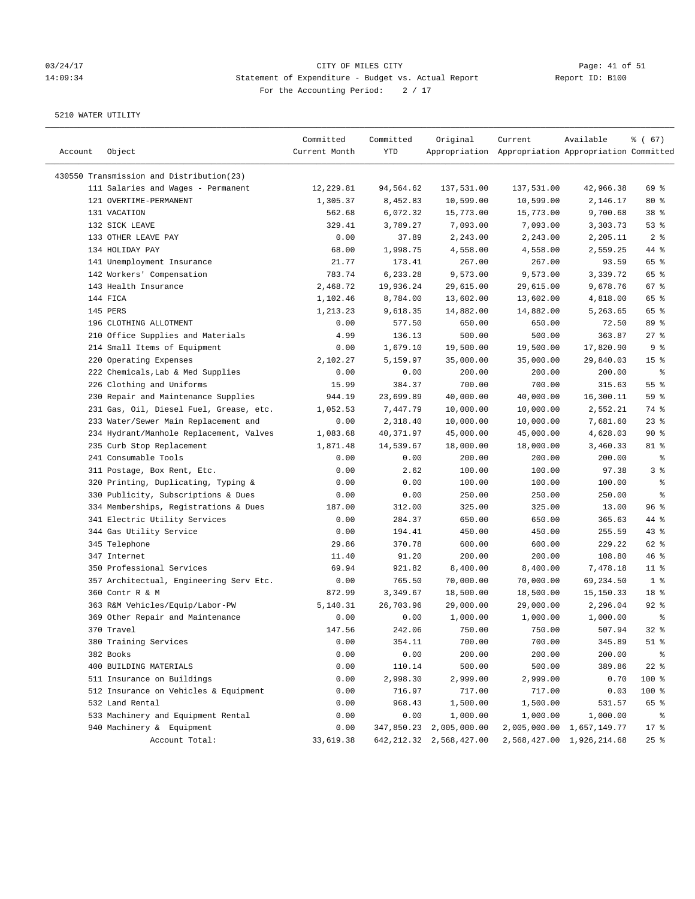#### 03/24/17 CITY OF MILES CITY Page: 41 of 51 14:09:34 Statement of Expenditure - Budget vs. Actual Report Report ID: B100 For the Accounting Period:  $2 / 17$

| Account | Object                                   | Committed<br>Current Month | Committed<br>YTD | Original                   | Current<br>Appropriation Appropriation Appropriation Committed | Available                 | 8 ( 67)          |
|---------|------------------------------------------|----------------------------|------------------|----------------------------|----------------------------------------------------------------|---------------------------|------------------|
|         | 430550 Transmission and Distribution(23) |                            |                  |                            |                                                                |                           |                  |
|         | 111 Salaries and Wages - Permanent       | 12,229.81                  | 94,564.62        | 137,531.00                 | 137,531.00                                                     | 42,966.38                 | 69 %             |
|         | 121 OVERTIME-PERMANENT                   | 1,305.37                   | 8,452.83         | 10,599.00                  | 10,599.00                                                      | 2,146.17                  | $80*$            |
|         | 131 VACATION                             | 562.68                     | 6,072.32         | 15,773.00                  | 15,773.00                                                      | 9,700.68                  | 38 <sup>8</sup>  |
|         | 132 SICK LEAVE                           | 329.41                     | 3,789.27         | 7,093.00                   | 7,093.00                                                       | 3,303.73                  | 53%              |
|         | 133 OTHER LEAVE PAY                      | 0.00                       | 37.89            | 2,243.00                   | 2,243.00                                                       | 2,205.11                  | 2 <sup>8</sup>   |
|         | 134 HOLIDAY PAY                          | 68.00                      | 1,998.75         | 4,558.00                   | 4,558.00                                                       | 2,559.25                  | 44 %             |
|         | 141 Unemployment Insurance               | 21.77                      | 173.41           | 267.00                     | 267.00                                                         | 93.59                     | 65 %             |
|         | 142 Workers' Compensation                | 783.74                     | 6,233.28         | 9,573.00                   | 9,573.00                                                       | 3,339.72                  | 65 %             |
|         | 143 Health Insurance                     | 2,468.72                   | 19,936.24        | 29,615.00                  | 29,615.00                                                      | 9,678.76                  | 67%              |
|         | 144 FICA                                 | 1,102.46                   | 8,784.00         | 13,602.00                  | 13,602.00                                                      | 4,818.00                  | 65 %             |
|         | 145 PERS                                 | 1,213.23                   | 9,618.35         | 14,882.00                  | 14,882.00                                                      | 5,263.65                  | 65 %             |
|         | 196 CLOTHING ALLOTMENT                   | 0.00                       | 577.50           | 650.00                     | 650.00                                                         | 72.50                     | 89 %             |
|         | 210 Office Supplies and Materials        | 4.99                       | 136.13           | 500.00                     | 500.00                                                         | 363.87                    | 27%              |
|         | 214 Small Items of Equipment             | 0.00                       | 1,679.10         | 19,500.00                  | 19,500.00                                                      | 17,820.90                 | 9%               |
|         | 220 Operating Expenses                   | 2,102.27                   | 5,159.97         | 35,000.00                  | 35,000.00                                                      | 29,840.03                 | 15 <sup>°</sup>  |
|         | 222 Chemicals, Lab & Med Supplies        | 0.00                       | 0.00             | 200.00                     | 200.00                                                         | 200.00                    | နွ               |
|         |                                          |                            |                  |                            |                                                                |                           | 55%              |
|         | 226 Clothing and Uniforms                | 15.99                      | 384.37           | 700.00                     | 700.00                                                         | 315.63                    | 59 %             |
|         | 230 Repair and Maintenance Supplies      | 944.19                     | 23,699.89        | 40,000.00                  | 40,000.00                                                      | 16,300.11                 |                  |
|         | 231 Gas, Oil, Diesel Fuel, Grease, etc.  | 1,052.53                   | 7,447.79         | 10,000.00                  | 10,000.00<br>10,000.00                                         | 2,552.21                  | 74 %<br>$23$ $%$ |
|         | 233 Water/Sewer Main Replacement and     | 0.00                       | 2,318.40         | 10,000.00                  |                                                                | 7,681.60                  |                  |
|         | 234 Hydrant/Manhole Replacement, Valves  | 1,083.68                   | 40,371.97        | 45,000.00                  | 45,000.00                                                      | 4,628.03                  | 90%              |
|         | 235 Curb Stop Replacement                | 1,871.48                   | 14,539.67        | 18,000.00                  | 18,000.00                                                      | 3,460.33                  | 81 %             |
|         | 241 Consumable Tools                     | 0.00                       | 0.00             | 200.00                     | 200.00                                                         | 200.00                    | နွ               |
|         | 311 Postage, Box Rent, Etc.              | 0.00                       | 2.62             | 100.00                     | 100.00                                                         | 97.38                     | 3%               |
|         | 320 Printing, Duplicating, Typing &      | 0.00                       | 0.00             | 100.00                     | 100.00                                                         | 100.00                    | ್ಠಿ              |
|         | 330 Publicity, Subscriptions & Dues      | 0.00                       | 0.00             | 250.00                     | 250.00                                                         | 250.00                    | る                |
|         | 334 Memberships, Registrations & Dues    | 187.00                     | 312.00           | 325.00                     | 325.00                                                         | 13.00                     | 96%              |
|         | 341 Electric Utility Services            | 0.00                       | 284.37           | 650.00                     | 650.00                                                         | 365.63                    | 44 %             |
|         | 344 Gas Utility Service                  | 0.00                       | 194.41           | 450.00                     | 450.00                                                         | 255.59                    | $43$ %           |
|         | 345 Telephone                            | 29.86                      | 370.78           | 600.00                     | 600.00                                                         | 229.22                    | 62 %             |
|         | 347 Internet                             | 11.40                      | 91.20            | 200.00                     | 200.00                                                         | 108.80                    | 46%              |
|         | 350 Professional Services                | 69.94                      | 921.82           | 8,400.00                   | 8,400.00                                                       | 7,478.18                  | $11$ %           |
|         | 357 Architectual, Engineering Serv Etc.  | 0.00                       | 765.50           | 70,000.00                  | 70,000.00                                                      | 69,234.50                 | 1 <sup>8</sup>   |
|         | 360 Contr R & M                          | 872.99                     | 3,349.67         | 18,500.00                  | 18,500.00                                                      | 15,150.33                 | 18 %             |
|         | 363 R&M Vehicles/Equip/Labor-PW          | 5,140.31                   | 26,703.96        | 29,000.00                  | 29,000.00                                                      | 2,296.04                  | $92$ $%$         |
|         | 369 Other Repair and Maintenance         | 0.00                       | 0.00             | 1,000.00                   | 1,000.00                                                       | 1,000.00                  | နွ               |
|         | 370 Travel                               | 147.56                     | 242.06           | 750.00                     | 750.00                                                         | 507.94                    | 32%              |
|         | 380 Training Services                    | 0.00                       | 354.11           | 700.00                     | 700.00                                                         | 345.89                    | $51$ %           |
|         | 382 Books                                | 0.00                       | 0.00             | 200.00                     | 200.00                                                         | 200.00                    | $\frac{8}{6}$    |
|         | 400 BUILDING MATERIALS                   | 0.00                       | 110.14           | 500.00                     | 500.00                                                         | 389.86                    | $22$ %           |
|         | 511 Insurance on Buildings               | 0.00                       | 2,998.30         | 2,999.00                   | 2,999.00                                                       | 0.70                      | 100 %            |
|         | 512 Insurance on Vehicles & Equipment    | 0.00                       | 716.97           | 717.00                     | 717.00                                                         | 0.03                      | 100 %            |
|         | 532 Land Rental                          | 0.00                       | 968.43           | 1,500.00                   | 1,500.00                                                       | 531.57                    | 65 %             |
|         | 533 Machinery and Equipment Rental       | 0.00                       | 0.00             | 1,000.00                   | 1,000.00                                                       | 1,000.00                  | ိစ               |
|         | 940 Machinery & Equipment                | 0.00                       | 347,850.23       | 2,005,000.00               |                                                                | 2,005,000.00 1,657,149.77 | $17$ %           |
|         | Account Total:                           | 33,619.38                  |                  | 642, 212.32 2, 568, 427.00 |                                                                | 2,568,427.00 1,926,214.68 | $25$ %           |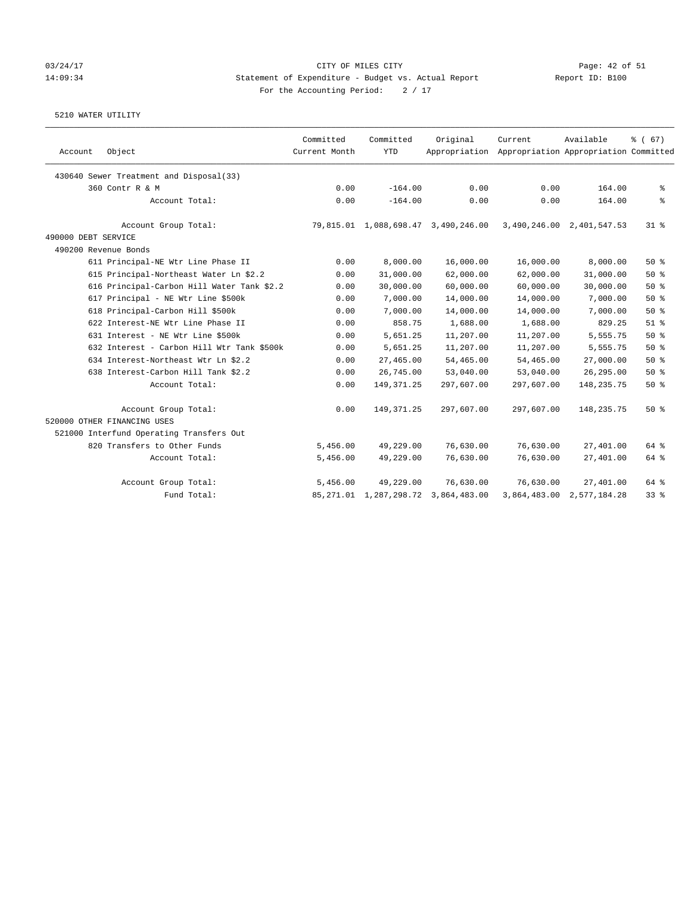### 03/24/17 CITY OF MILES CITY Page: 42 of 51 14:09:34 Statement of Expenditure - Budget vs. Actual Report Report ID: B100 For the Accounting Period:  $2 / 17$

| Account             | Object                                     | Committed<br>Current Month | Committed<br><b>YTD</b> | Original                                 | Current<br>Appropriation Appropriation Appropriation Committed | Available                 | $\frac{2}{6}$ (67) |
|---------------------|--------------------------------------------|----------------------------|-------------------------|------------------------------------------|----------------------------------------------------------------|---------------------------|--------------------|
|                     | 430640 Sewer Treatment and Disposal(33)    |                            |                         |                                          |                                                                |                           |                    |
|                     | 360 Contr R & M                            | 0.00                       | $-164.00$               | 0.00                                     | 0.00                                                           | 164.00                    | နွ                 |
|                     | Account Total:                             | 0.00                       | $-164.00$               | 0.00                                     | 0.00                                                           | 164.00                    | ి                  |
|                     | Account Group Total:                       |                            |                         | 79,815.01 1,088,698.47 3,490,246.00      |                                                                | 3,490,246.00 2,401,547.53 | 318                |
| 490000 DEBT SERVICE |                                            |                            |                         |                                          |                                                                |                           |                    |
|                     | 490200 Revenue Bonds                       |                            |                         |                                          |                                                                |                           |                    |
|                     | 611 Principal-NE Wtr Line Phase II         | 0.00                       | 8,000.00                | 16,000.00                                | 16,000.00                                                      | 8,000.00                  | 50%                |
|                     | 615 Principal-Northeast Water Ln \$2.2     | 0.00                       | 31,000.00               | 62,000.00                                | 62,000.00                                                      | 31,000.00                 | 50%                |
|                     | 616 Principal-Carbon Hill Water Tank \$2.2 | 0.00                       | 30,000.00               | 60,000.00                                | 60,000.00                                                      | 30,000.00                 | 50%                |
|                     | 617 Principal - NE Wtr Line \$500k         | 0.00                       | 7,000.00                | 14,000.00                                | 14,000.00                                                      | 7,000.00                  | 50%                |
|                     | 618 Principal-Carbon Hill \$500k           | 0.00                       | 7,000.00                | 14,000.00                                | 14,000.00                                                      | 7,000.00                  | 50%                |
|                     | 622 Interest-NE Wtr Line Phase II          | 0.00                       | 858.75                  | 1,688.00                                 | 1,688.00                                                       | 829.25                    | $51$ $%$           |
|                     | 631 Interest - NE Wtr Line \$500k          | 0.00                       | 5,651.25                | 11,207.00                                | 11,207.00                                                      | 5,555.75                  | 50%                |
|                     | 632 Interest - Carbon Hill Wtr Tank \$500k | 0.00                       | 5,651.25                | 11,207.00                                | 11,207.00                                                      | 5,555.75                  | 50%                |
|                     | 634 Interest-Northeast Wtr Ln \$2.2        | 0.00                       | 27,465.00               | 54,465.00                                | 54,465.00                                                      | 27,000.00                 | 50%                |
|                     | 638 Interest-Carbon Hill Tank \$2.2        | 0.00                       | 26,745.00               | 53,040.00                                | 53,040.00                                                      | 26, 295.00                | 50%                |
|                     | Account Total:                             | 0.00                       | 149, 371.25             | 297,607.00                               | 297,607.00                                                     | 148, 235. 75              | 50%                |
|                     | Account Group Total:                       | 0.00                       | 149, 371.25             | 297,607.00                               | 297,607.00                                                     | 148, 235. 75              | 50%                |
|                     | 520000 OTHER FINANCING USES                |                            |                         |                                          |                                                                |                           |                    |
|                     | 521000 Interfund Operating Transfers Out   |                            |                         |                                          |                                                                |                           |                    |
|                     | 820 Transfers to Other Funds               | 5,456.00                   | 49,229.00               | 76,630.00                                | 76,630.00                                                      | 27,401.00                 | 64 %               |
|                     | Account Total:                             | 5,456.00                   | 49,229.00               | 76,630.00                                | 76,630.00                                                      | 27,401.00                 | 64 %               |
|                     | Account Group Total:                       | 5,456.00                   | 49,229.00               | 76,630.00                                | 76,630.00                                                      | 27,401.00                 | 64 %               |
|                     | Fund Total:                                |                            |                         | 85, 271.01 1, 287, 298.72 3, 864, 483.00 |                                                                | 3,864,483.00 2,577,184.28 | 33%                |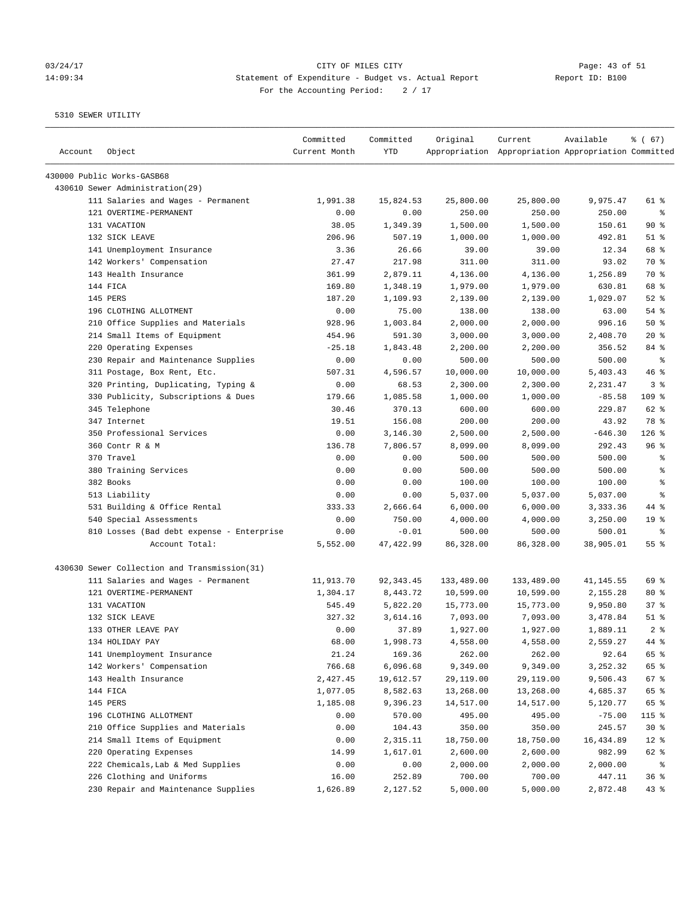# 03/24/17 Page: 43 of 51 14:09:34 Statement of Expenditure - Budget vs. Actual Report Changer Report ID: B100 For the Accounting Period: 2 / 17

| Account | Object                                       | Committed<br>Current Month | Committed<br>YTD | Original   | Current<br>Appropriation Appropriation Appropriation Committed | Available | % (67)          |
|---------|----------------------------------------------|----------------------------|------------------|------------|----------------------------------------------------------------|-----------|-----------------|
|         | 430000 Public Works-GASB68                   |                            |                  |            |                                                                |           |                 |
|         | 430610 Sewer Administration(29)              |                            |                  |            |                                                                |           |                 |
|         | 111 Salaries and Wages - Permanent           | 1,991.38                   | 15,824.53        | 25,800.00  | 25,800.00                                                      | 9,975.47  | 61 %            |
|         | 121 OVERTIME-PERMANENT                       | 0.00                       | 0.00             | 250.00     | 250.00                                                         | 250.00    | $\epsilon$      |
|         | 131 VACATION                                 | 38.05                      | 1,349.39         | 1,500.00   | 1,500.00                                                       | 150.61    | 90%             |
|         | 132 SICK LEAVE                               | 206.96                     | 507.19           | 1,000.00   | 1,000.00                                                       | 492.81    | $51$ %          |
|         | 141 Unemployment Insurance                   | 3.36                       | 26.66            | 39.00      | 39.00                                                          | 12.34     | 68 %            |
|         | 142 Workers' Compensation                    | 27.47                      | 217.98           | 311.00     | 311.00                                                         | 93.02     | 70 %            |
|         | 143 Health Insurance                         | 361.99                     | 2,879.11         | 4,136.00   | 4,136.00                                                       | 1,256.89  | 70 %            |
|         | 144 FICA                                     | 169.80                     | 1,348.19         | 1,979.00   | 1,979.00                                                       | 630.81    | 68 %            |
|         | 145 PERS                                     | 187.20                     | 1,109.93         | 2,139.00   | 2,139.00                                                       | 1,029.07  | $52$ $%$        |
|         | 196 CLOTHING ALLOTMENT                       | 0.00                       | 75.00            | 138.00     | 138.00                                                         | 63.00     | 54 %            |
|         | 210 Office Supplies and Materials            | 928.96                     | 1,003.84         | 2,000.00   | 2,000.00                                                       | 996.16    | 50%             |
|         | 214 Small Items of Equipment                 | 454.96                     | 591.30           | 3,000.00   | 3,000.00                                                       | 2,408.70  | $20*$           |
|         | 220 Operating Expenses                       | $-25.18$                   | 1,843.48         | 2,200.00   | 2,200.00                                                       | 356.52    | 84 %            |
|         | 230 Repair and Maintenance Supplies          | 0.00                       | 0.00             | 500.00     | 500.00                                                         | 500.00    | ႜ               |
|         | 311 Postage, Box Rent, Etc.                  | 507.31                     | 4,596.57         | 10,000.00  | 10,000.00                                                      | 5,403.43  | 46 %            |
|         | 320 Printing, Duplicating, Typing &          | 0.00                       | 68.53            | 2,300.00   | 2,300.00                                                       | 2,231.47  | 3%              |
|         | 330 Publicity, Subscriptions & Dues          | 179.66                     | 1,085.58         | 1,000.00   | 1,000.00                                                       | $-85.58$  | 109 %           |
|         | 345 Telephone                                | 30.46                      | 370.13           | 600.00     | 600.00                                                         | 229.87    | 62 %            |
|         | 347 Internet                                 | 19.51                      | 156.08           | 200.00     | 200.00                                                         | 43.92     | 78 %            |
|         | 350 Professional Services                    | 0.00                       | 3,146.30         | 2,500.00   | 2,500.00                                                       | $-646.30$ | $126$ %         |
|         | 360 Contr R & M                              | 136.78                     | 7,806.57         | 8,099.00   | 8,099.00                                                       | 292.43    | 96%             |
|         | 370 Travel                                   | 0.00                       | 0.00             | 500.00     | 500.00                                                         | 500.00    | ್ಠಿ             |
|         | 380 Training Services                        | 0.00                       | 0.00             | 500.00     | 500.00                                                         | 500.00    | ి               |
|         | 382 Books                                    | 0.00                       | 0.00             | 100.00     | 100.00                                                         | 100.00    | နွ              |
|         | 513 Liability                                | 0.00                       | 0.00             | 5,037.00   | 5,037.00                                                       | 5,037.00  | နွ              |
|         | 531 Building & Office Rental                 | 333.33                     | 2,666.64         | 6,000.00   | 6,000.00                                                       | 3,333.36  | 44 %            |
|         | 540 Special Assessments                      | 0.00                       | 750.00           | 4,000.00   | 4,000.00                                                       | 3,250.00  | 19 <sup>°</sup> |
|         | 810 Losses (Bad debt expense - Enterprise    | 0.00                       | $-0.01$          | 500.00     | 500.00                                                         | 500.01    | နွ              |
|         | Account Total:                               | 5,552.00                   | 47, 422.99       | 86,328.00  | 86,328.00                                                      | 38,905.01 | 55 %            |
|         | 430630 Sewer Collection and Transmission(31) |                            |                  |            |                                                                |           |                 |
|         | 111 Salaries and Wages - Permanent           | 11,913.70                  | 92, 343.45       | 133,489.00 | 133,489.00                                                     | 41,145.55 | 69 %            |
|         | 121 OVERTIME-PERMANENT                       | 1,304.17                   | 8,443.72         | 10,599.00  | 10,599.00                                                      | 2,155.28  | $80*$           |
|         | 131 VACATION                                 | 545.49                     | 5,822.20         | 15,773.00  | 15,773.00                                                      | 9,950.80  | 37%             |
|         | 132 SICK LEAVE                               | 327.32                     | 3,614.16         | 7,093.00   | 7,093.00                                                       | 3,478.84  | $51$ %          |
|         | 133 OTHER LEAVE PAY                          | 0.00                       | 37.89            | 1,927.00   | 1,927.00                                                       | 1,889.11  | 2 <sup>8</sup>  |
|         | 134 HOLIDAY PAY                              | 68.00                      | 1,998.73         | 4,558.00   | 4,558.00                                                       | 2,559.27  | 44 %            |
|         | 141 Unemployment Insurance                   | 21.24                      | 169.36           | 262.00     | 262.00                                                         | 92.64     | 65 %            |
|         | 142 Workers' Compensation                    | 766.68                     | 6,096.68         | 9,349.00   | 9,349.00                                                       | 3,252.32  | 65 %            |
|         | 143 Health Insurance                         | 2,427.45                   | 19,612.57        | 29,119.00  | 29,119.00                                                      | 9,506.43  | 67 %            |
|         | 144 FICA                                     | 1,077.05                   | 8,582.63         | 13,268.00  | 13,268.00                                                      | 4,685.37  | 65 %            |
|         | 145 PERS                                     | 1,185.08                   | 9,396.23         | 14,517.00  | 14,517.00                                                      | 5,120.77  | 65 %            |
|         | 196 CLOTHING ALLOTMENT                       | 0.00                       | 570.00           | 495.00     | 495.00                                                         | $-75.00$  | 115 %           |
|         | 210 Office Supplies and Materials            | 0.00                       | 104.43           | 350.00     | 350.00                                                         | 245.57    | $30*$           |
|         | 214 Small Items of Equipment                 | 0.00                       | 2,315.11         | 18,750.00  | 18,750.00                                                      | 16,434.89 | $12*$           |
|         | 220 Operating Expenses                       | 14.99                      | 1,617.01         | 2,600.00   | 2,600.00                                                       | 982.99    | 62 %            |
|         | 222 Chemicals, Lab & Med Supplies            | 0.00                       | 0.00             | 2,000.00   | 2,000.00                                                       | 2,000.00  | နွ              |
|         | 226 Clothing and Uniforms                    | 16.00                      | 252.89           | 700.00     | 700.00                                                         | 447.11    | 36%             |
|         | 230 Repair and Maintenance Supplies          | 1,626.89                   | 2,127.52         | 5,000.00   | 5,000.00                                                       | 2,872.48  | 43%             |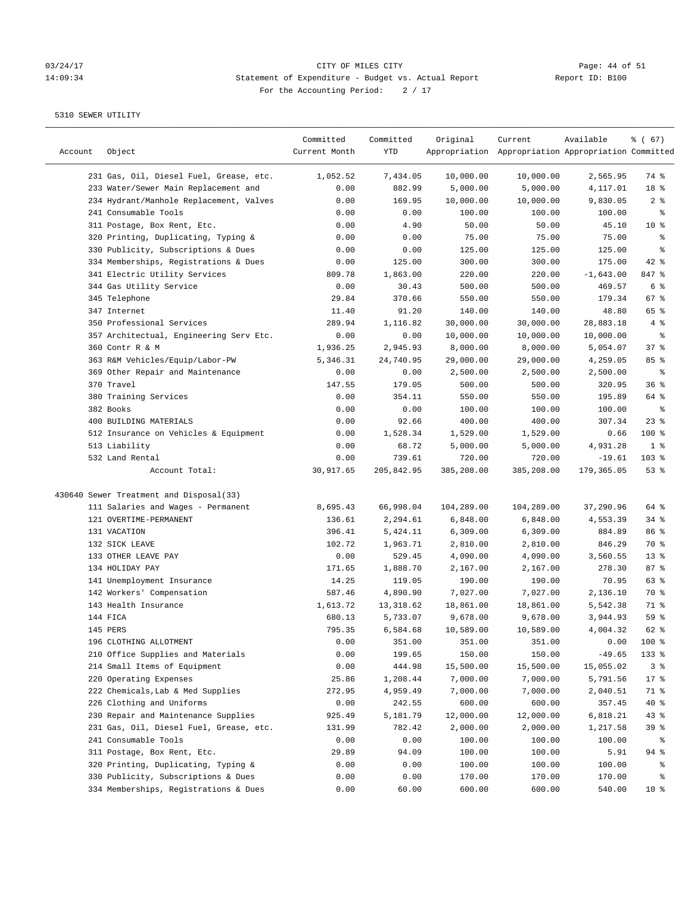# 03/24/17 Page: 44 of 51 14:09:34 Statement of Expenditure - Budget vs. Actual Report Report ID: B100 For the Accounting Period:  $2 / 17$

| Account | Object                                  | Committed<br>Current Month | Committed<br>YTD | Original   | Current<br>Appropriation Appropriation Appropriation Committed | Available   | % (67)          |
|---------|-----------------------------------------|----------------------------|------------------|------------|----------------------------------------------------------------|-------------|-----------------|
|         | 231 Gas, Oil, Diesel Fuel, Grease, etc. | 1,052.52                   | 7,434.05         | 10,000.00  | 10,000.00                                                      | 2,565.95    | 74 %            |
|         | 233 Water/Sewer Main Replacement and    | 0.00                       | 882.99           | 5,000.00   | 5,000.00                                                       | 4,117.01    | 18 %            |
|         | 234 Hydrant/Manhole Replacement, Valves | 0.00                       | 169.95           | 10,000.00  | 10,000.00                                                      | 9,830.05    | 2 <sup>8</sup>  |
|         | 241 Consumable Tools                    | 0.00                       | 0.00             | 100.00     | 100.00                                                         | 100.00      | $\epsilon$      |
|         | 311 Postage, Box Rent, Etc.             | 0.00                       | 4.90             | 50.00      | 50.00                                                          | 45.10       | $10*$           |
|         | 320 Printing, Duplicating, Typing &     | 0.00                       | 0.00             | 75.00      | 75.00                                                          | 75.00       | ి               |
|         | 330 Publicity, Subscriptions & Dues     | 0.00                       | 0.00             | 125.00     | 125.00                                                         | 125.00      | ి               |
|         | 334 Memberships, Registrations & Dues   | 0.00                       | 125.00           | 300.00     | 300.00                                                         | 175.00      | $42$ %          |
|         | 341 Electric Utility Services           | 809.78                     | 1,863.00         | 220.00     | 220.00                                                         | $-1,643.00$ | 847 %           |
|         | 344 Gas Utility Service                 | 0.00                       | 30.43            | 500.00     | 500.00                                                         | 469.57      | 6 <sup>8</sup>  |
|         | 345 Telephone                           | 29.84                      | 370.66           | 550.00     | 550.00                                                         | 179.34      | 67%             |
|         | 347 Internet                            | 11.40                      | 91.20            | 140.00     | 140.00                                                         | 48.80       | 65 %            |
|         | 350 Professional Services               | 289.94                     | 1,116.82         | 30,000.00  | 30,000.00                                                      | 28,883.18   | 4 %             |
|         | 357 Architectual, Engineering Serv Etc. | 0.00                       | 0.00             | 10,000.00  | 10,000.00                                                      | 10,000.00   | နွ              |
|         | 360 Contr R & M                         | 1,936.25                   | 2,945.93         | 8,000.00   | 8,000.00                                                       | 5,054.07    | 37%             |
|         | 363 R&M Vehicles/Equip/Labor-PW         | 5,346.31                   | 24,740.95        | 29,000.00  | 29,000.00                                                      | 4,259.05    | 85%             |
|         | 369 Other Repair and Maintenance        | 0.00                       | 0.00             | 2,500.00   | 2,500.00                                                       | 2,500.00    | နွ              |
|         | 370 Travel                              | 147.55                     | 179.05           | 500.00     | 500.00                                                         | 320.95      | 36%             |
|         | 380 Training Services                   | 0.00                       | 354.11           | 550.00     | 550.00                                                         | 195.89      | 64 %            |
|         | 382 Books                               | 0.00                       | 0.00             | 100.00     | 100.00                                                         | 100.00      | နွ              |
|         | 400 BUILDING MATERIALS                  | 0.00                       | 92.66            | 400.00     | 400.00                                                         | 307.34      | $23$ $%$        |
|         | 512 Insurance on Vehicles & Equipment   | 0.00                       | 1,528.34         | 1,529.00   | 1,529.00                                                       | 0.66        | $100$ %         |
|         | 513 Liability                           | 0.00                       | 68.72            | 5,000.00   | 5,000.00                                                       | 4,931.28    | 1 <sup>8</sup>  |
|         | 532 Land Rental                         | 0.00                       | 739.61           | 720.00     | 720.00                                                         | $-19.61$    | 103 %           |
|         | Account Total:                          | 30,917.65                  | 205,842.95       | 385,208.00 | 385,208.00                                                     | 179,365.05  | 53%             |
|         | 430640 Sewer Treatment and Disposal(33) |                            |                  |            |                                                                |             |                 |
|         | 111 Salaries and Wages - Permanent      | 8,695.43                   | 66,998.04        | 104,289.00 | 104,289.00                                                     | 37,290.96   | 64 %            |
|         | 121 OVERTIME-PERMANENT                  | 136.61                     | 2,294.61         | 6,848.00   | 6,848.00                                                       | 4,553.39    | $34$ %          |
|         | 131 VACATION                            | 396.41                     | 5,424.11         | 6,309.00   | 6,309.00                                                       | 884.89      | 86 %            |
|         | 132 SICK LEAVE                          | 102.72                     | 1,963.71         | 2,810.00   | 2,810.00                                                       | 846.29      | 70 %            |
|         | 133 OTHER LEAVE PAY                     | 0.00                       | 529.45           | 4,090.00   | 4,090.00                                                       | 3,560.55    | $13*$           |
|         | 134 HOLIDAY PAY                         | 171.65                     | 1,888.70         | 2,167.00   | 2,167.00                                                       | 278.30      | 87%             |
|         | 141 Unemployment Insurance              | 14.25                      | 119.05           | 190.00     | 190.00                                                         | 70.95       | 63 %            |
|         | 142 Workers' Compensation               | 587.46                     | 4,890.90         | 7,027.00   | 7,027.00                                                       | 2,136.10    | 70 %            |
|         | 143 Health Insurance                    | 1,613.72                   | 13,318.62        | 18,861.00  | 18,861.00                                                      | 5,542.38    | 71 %            |
|         | 144 FICA                                | 680.13                     | 5,733.07         | 9,678.00   | 9,678.00                                                       | 3,944.93    | 59 %            |
|         | 145 PERS                                | 795.35                     | 6,584.68         | 10,589.00  | 10,589.00                                                      | 4,004.32    | $62$ $%$        |
|         | 196 CLOTHING ALLOTMENT                  | 0.00                       | 351.00           | 351.00     | 351.00                                                         | 0.00        | 100 %           |
|         | 210 Office Supplies and Materials       | 0.00                       | 199.65           | 150.00     | 150.00                                                         | $-49.65$    | 133 %           |
|         | 214 Small Items of Equipment            | 0.00                       | 444.98           | 15,500.00  | 15,500.00                                                      | 15,055.02   | 3 <sup>°</sup>  |
|         | 220 Operating Expenses                  | 25.86                      | 1,208.44         | 7,000.00   | 7,000.00                                                       | 5,791.56    | $17$ %          |
|         | 222 Chemicals, Lab & Med Supplies       | 272.95                     | 4,959.49         | 7,000.00   | 7,000.00                                                       | 2,040.51    | 71 %            |
|         | 226 Clothing and Uniforms               | 0.00                       | 242.55           | 600.00     | 600.00                                                         | 357.45      | $40*$           |
|         | 230 Repair and Maintenance Supplies     | 925.49                     | 5,181.79         | 12,000.00  | 12,000.00                                                      | 6,818.21    | $43*$           |
|         | 231 Gas, Oil, Diesel Fuel, Grease, etc. | 131.99                     | 782.42           | 2,000.00   | 2,000.00                                                       | 1,217.58    | 39 %            |
|         | 241 Consumable Tools                    | 0.00                       | 0.00             | 100.00     | 100.00                                                         | 100.00      | ႜ               |
|         | 311 Postage, Box Rent, Etc.             | 29.89                      | 94.09            | 100.00     | 100.00                                                         | 5.91        | 94 %            |
|         | 320 Printing, Duplicating, Typing &     | 0.00                       | 0.00             | 100.00     | 100.00                                                         | 100.00      | နွ              |
|         | 330 Publicity, Subscriptions & Dues     | 0.00                       | 0.00             | 170.00     | 170.00                                                         | 170.00      | ႜ               |
|         | 334 Memberships, Registrations & Dues   | 0.00                       | 60.00            | 600.00     | 600.00                                                         | 540.00      | 10 <sub>8</sub> |
|         |                                         |                            |                  |            |                                                                |             |                 |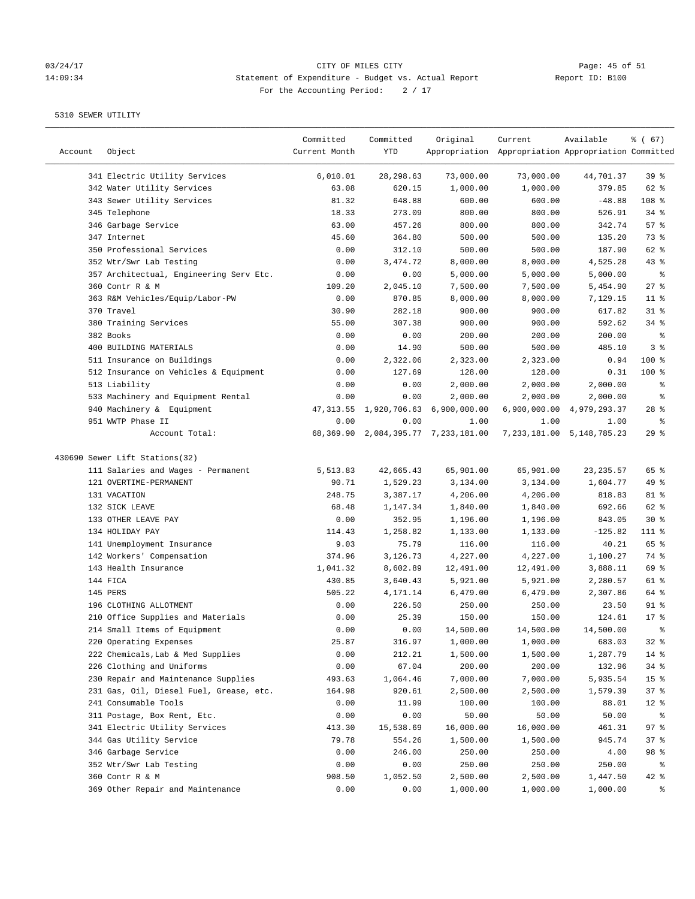# 03/24/17 CITY OF MILES CITY<br>14:09:34 Statement of Expenditure - Budget vs. Actual Report Report ID: B100 14:09:34 Statement of Expenditure - Budget vs. Actual Report Report ID: B100 For the Accounting Period:  $2 / 17$

————————————————————————————————————————————————————————————————————————————————————————————————————————————————————————————————————

|         |                                         | Committed     | Committed  | Original                                 | Current                                             | Available                     | 8 ( 67)         |
|---------|-----------------------------------------|---------------|------------|------------------------------------------|-----------------------------------------------------|-------------------------------|-----------------|
| Account | Object                                  | Current Month | YTD        |                                          | Appropriation Appropriation Appropriation Committed |                               |                 |
|         | 341 Electric Utility Services           | 6,010.01      | 28, 298.63 | 73,000.00                                | 73,000.00                                           | 44,701.37                     | 39%             |
|         | 342 Water Utility Services              | 63.08         | 620.15     | 1,000.00                                 | 1,000.00                                            | 379.85                        | 62 %            |
|         | 343 Sewer Utility Services              | 81.32         | 648.88     | 600.00                                   | 600.00                                              | $-48.88$                      | 108 %           |
|         | 345 Telephone                           | 18.33         | 273.09     | 800.00                                   | 800.00                                              | 526.91                        | $34$ $%$        |
|         | 346 Garbage Service                     | 63.00         | 457.26     | 800.00                                   | 800.00                                              | 342.74                        | 57%             |
|         | 347 Internet                            | 45.60         | 364.80     | 500.00                                   | 500.00                                              | 135.20                        | 73 %            |
|         | 350 Professional Services               | 0.00          | 312.10     | 500.00                                   | 500.00                                              | 187.90                        | 62 %            |
|         | 352 Wtr/Swr Lab Testing                 | 0.00          | 3,474.72   | 8,000.00                                 | 8,000.00                                            | 4,525.28                      | $43$ %          |
|         | 357 Architectual, Engineering Serv Etc. | 0.00          | 0.00       | 5,000.00                                 | 5,000.00                                            | 5,000.00                      | ಿ               |
|         | 360 Contr R & M                         | 109.20        | 2,045.10   | 7,500.00                                 | 7,500.00                                            | 5,454.90                      | $27$ %          |
|         | 363 R&M Vehicles/Equip/Labor-PW         | 0.00          | 870.85     | 8,000.00                                 | 8,000.00                                            | 7,129.15                      | $11$ %          |
|         | 370 Travel                              | 30.90         | 282.18     | 900.00                                   | 900.00                                              | 617.82                        | $31$ %          |
|         | 380 Training Services                   | 55.00         | 307.38     | 900.00                                   | 900.00                                              | 592.62                        | 34%             |
|         | 382 Books                               | 0.00          | 0.00       | 200.00                                   | 200.00                                              | 200.00                        | ಿ               |
|         | 400 BUILDING MATERIALS                  | 0.00          | 14.90      | 500.00                                   | 500.00                                              | 485.10                        | 3%              |
|         | 511 Insurance on Buildings              | 0.00          | 2,322.06   | 2,323.00                                 | 2,323.00                                            | 0.94                          | 100 %           |
|         | 512 Insurance on Vehicles & Equipment   | 0.00          | 127.69     | 128.00                                   | 128.00                                              | 0.31                          | 100 %           |
|         | 513 Liability                           | 0.00          | 0.00       | 2,000.00                                 | 2,000.00                                            | 2,000.00                      | နွ              |
|         | 533 Machinery and Equipment Rental      | 0.00          | 0.00       | 2,000.00                                 | 2,000.00                                            | 2,000.00                      | နွ              |
|         | 940 Machinery & Equipment               |               |            | 47, 313.55 1, 920, 706.63 6, 900, 000.00 |                                                     | 6,900,000.00 4,979,293.37     | $28$ %          |
|         | 951 WWTP Phase II                       | 0.00          | 0.00       | 1.00                                     | 1.00                                                | 1.00                          | နွ              |
|         | Account Total:                          |               |            | 68,369.90 2,084,395.77 7,233,181.00      |                                                     | 7, 233, 181.00 5, 148, 785.23 | 29%             |
|         | 430690 Sewer Lift Stations(32)          |               |            |                                          |                                                     |                               |                 |
|         | 111 Salaries and Wages - Permanent      | 5,513.83      | 42,665.43  | 65,901.00                                | 65,901.00                                           | 23, 235.57                    | 65 %            |
|         | 121 OVERTIME-PERMANENT                  | 90.71         | 1,529.23   | 3,134.00                                 | 3,134.00                                            | 1,604.77                      | 49 %            |
|         | 131 VACATION                            | 248.75        | 3,387.17   | 4,206.00                                 | 4,206.00                                            | 818.83                        | 81 %            |
|         | 132 SICK LEAVE                          | 68.48         | 1,147.34   | 1,840.00                                 | 1,840.00                                            | 692.66                        | 62 %            |
|         | 133 OTHER LEAVE PAY                     | 0.00          | 352.95     | 1,196.00                                 | 1,196.00                                            | 843.05                        | $30*$           |
|         | 134 HOLIDAY PAY                         | 114.43        | 1,258.82   | 1,133.00                                 | 1,133.00                                            | $-125.82$                     | 111 %           |
|         | 141 Unemployment Insurance              | 9.03          | 75.79      | 116.00                                   | 116.00                                              | 40.21                         | 65 %            |
|         | 142 Workers' Compensation               | 374.96        | 3,126.73   | 4,227.00                                 | 4,227.00                                            | 1,100.27                      | 74 %            |
|         | 143 Health Insurance                    | 1,041.32      | 8,602.89   | 12,491.00                                | 12,491.00                                           | 3,888.11                      | 69 %            |
|         | 144 FICA                                | 430.85        | 3,640.43   | 5,921.00                                 | 5,921.00                                            | 2,280.57                      | 61 %            |
|         | 145 PERS                                | 505.22        | 4,171.14   | 6,479.00                                 | 6,479.00                                            | 2,307.86                      | 64 %            |
|         | 196 CLOTHING ALLOTMENT                  | 0.00          | 226.50     | 250.00                                   | 250.00                                              | 23.50                         | $91$ %          |
|         | 210 Office Supplies and Materials       | 0.00          | 25.39      | 150.00                                   | 150.00                                              | 124.61                        | $17*$           |
|         | 214 Small Items of Equipment            | 0.00          | 0.00       | 14,500.00                                | 14,500.00                                           | 14,500.00                     | နွ              |
|         | 220 Operating Expenses                  | 25.87         | 316.97     | 1,000.00                                 | 1,000.00                                            | 683.03                        | 32%             |
|         | 222 Chemicals, Lab & Med Supplies       | 0.00          | 212.21     | 1,500.00                                 | 1,500.00                                            | 1,287.79                      | 14 %            |
|         | 226 Clothing and Uniforms               | 0.00          | 67.04      | 200.00                                   | 200.00                                              | 132.96                        | 34%             |
|         | 230 Repair and Maintenance Supplies     | 493.63        | 1,064.46   | 7,000.00                                 | 7,000.00                                            | 5,935.54                      | 15 <sup>°</sup> |
|         | 231 Gas, Oil, Diesel Fuel, Grease, etc. | 164.98        | 920.61     | 2,500.00                                 | 2,500.00                                            | 1,579.39                      | 37%             |
|         | 241 Consumable Tools                    | 0.00          | 11.99      | 100.00                                   | 100.00                                              | 88.01                         | $12$ %          |
|         | 311 Postage, Box Rent, Etc.             | 0.00          | 0.00       | 50.00                                    | 50.00                                               | 50.00                         | န့              |
|         | 341 Electric Utility Services           | 413.30        | 15,538.69  | 16,000.00                                | 16,000.00                                           | 461.31                        | 97%             |
|         | 344 Gas Utility Service                 | 79.78         | 554.26     | 1,500.00                                 | 1,500.00                                            | 945.74                        | 37%             |
|         | 346 Garbage Service                     | 0.00          | 246.00     | 250.00                                   | 250.00                                              | 4.00                          | 98 %            |
|         | 352 Wtr/Swr Lab Testing                 | 0.00          | 0.00       | 250.00                                   | 250.00                                              | 250.00                        | ಿ               |
|         | 360 Contr R & M                         | 908.50        | 1,052.50   | 2,500.00                                 | 2,500.00                                            | 1,447.50                      | 42 %            |
|         | 369 Other Repair and Maintenance        | 0.00          | 0.00       | 1,000.00                                 | 1,000.00                                            | 1,000.00                      | ႜ               |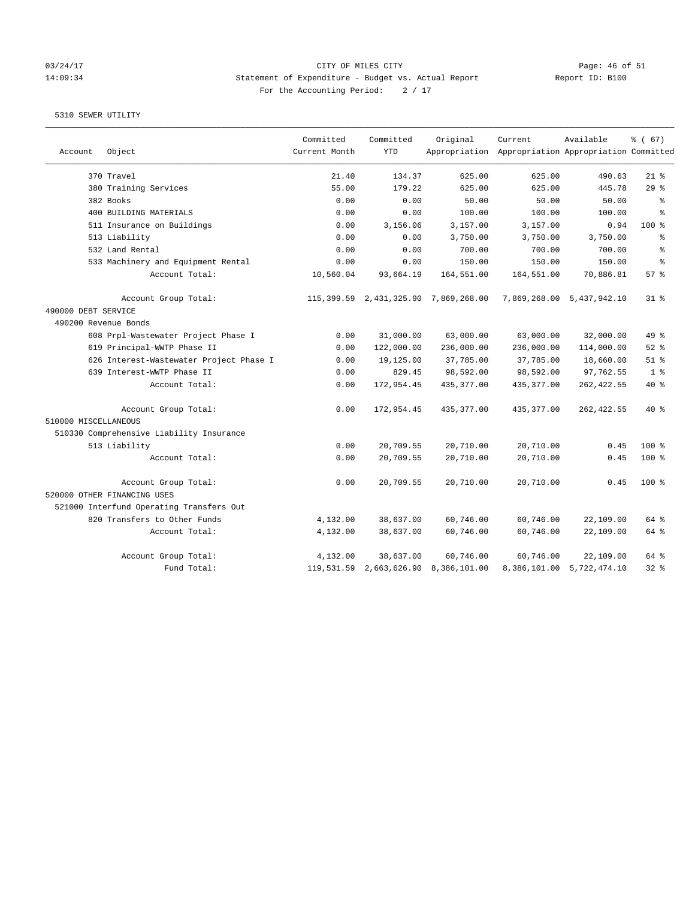#### 03/24/17 CITY OF MILES CITY Page: 46 of 51 14:09:34 Statement of Expenditure - Budget vs. Actual Report Report ID: B100 For the Accounting Period:  $2 / 17$

| Account              | Object                                   | Committed<br>Current Month | Committed<br><b>YTD</b> | Original                             | Current<br>Appropriation Appropriation Appropriation Committed | Available                 | % (67)         |
|----------------------|------------------------------------------|----------------------------|-------------------------|--------------------------------------|----------------------------------------------------------------|---------------------------|----------------|
|                      |                                          |                            |                         |                                      |                                                                |                           |                |
|                      | 370 Travel                               | 21.40                      | 134.37                  | 625.00                               | 625.00                                                         | 490.63                    | $21$ %         |
|                      | 380 Training Services                    | 55.00                      | 179.22                  | 625.00                               | 625.00                                                         | 445.78                    | 29%            |
|                      | 382 Books                                | 0.00                       | 0.00                    | 50.00                                | 50.00                                                          | 50.00                     | နွ             |
|                      | 400 BUILDING MATERIALS                   | 0.00                       | 0.00                    | 100.00                               | 100.00                                                         | 100.00                    | ÷,             |
|                      | 511 Insurance on Buildings               | 0.00                       | 3,156.06                | 3,157.00                             | 3,157.00                                                       | 0.94                      | $100*$         |
|                      | 513 Liability                            | 0.00                       | 0.00                    | 3,750.00                             | 3,750.00                                                       | 3,750.00                  | နွ             |
|                      | 532 Land Rental                          | 0.00                       | 0.00                    | 700.00                               | 700.00                                                         | 700.00                    | န့             |
|                      | 533 Machinery and Equipment Rental       | 0.00                       | 0.00                    | 150.00                               | 150.00                                                         | 150.00                    | $\approx$      |
|                      | Account Total:                           | 10,560.04                  | 93,664.19               | 164,551.00                           | 164,551.00                                                     | 70,886.81                 | 57%            |
|                      | Account Group Total:                     |                            |                         | 115,399.59 2,431,325.90 7,869,268.00 |                                                                | 7,869,268.00 5,437,942.10 | 31 %           |
| 490000 DEBT SERVICE  |                                          |                            |                         |                                      |                                                                |                           |                |
| 490200 Revenue Bonds |                                          |                            |                         |                                      |                                                                |                           |                |
|                      | 608 Prpl-Wastewater Project Phase I      | 0.00                       | 31,000.00               | 63,000.00                            | 63,000.00                                                      | 32,000.00                 | 49 %           |
|                      | 619 Principal-WWTP Phase II              | 0.00                       | 122,000.00              | 236,000.00                           | 236,000.00                                                     | 114,000.00                | $52$ $%$       |
|                      | 626 Interest-Wastewater Project Phase I  | 0.00                       | 19,125.00               | 37,785.00                            | 37,785.00                                                      | 18,660.00                 | $51$ %         |
|                      | 639 Interest-WWTP Phase II               | 0.00                       | 829.45                  | 98,592.00                            | 98,592.00                                                      | 97,762.55                 | 1 <sup>8</sup> |
|                      | Account Total:                           | 0.00                       | 172,954.45              | 435, 377.00                          | 435, 377.00                                                    | 262, 422.55               | 40 %           |
|                      | Account Group Total:                     | 0.00                       | 172,954.45              | 435, 377.00                          | 435,377.00                                                     | 262, 422.55               | $40*$          |
| 510000 MISCELLANEOUS |                                          |                            |                         |                                      |                                                                |                           |                |
|                      | 510330 Comprehensive Liability Insurance |                            |                         |                                      |                                                                |                           |                |
|                      | 513 Liability                            | 0.00                       | 20,709.55               | 20,710.00                            | 20,710.00                                                      | 0.45                      | $100*$         |
|                      | Account Total:                           | 0.00                       | 20,709.55               | 20,710.00                            | 20,710.00                                                      | 0.45                      | $100$ %        |
|                      | Account Group Total:                     | 0.00                       | 20,709.55               | 20,710.00                            | 20,710.00                                                      | 0.45                      | $100$ %        |
|                      | 520000 OTHER FINANCING USES              |                            |                         |                                      |                                                                |                           |                |
|                      | 521000 Interfund Operating Transfers Out |                            |                         |                                      |                                                                |                           |                |
|                      | 820 Transfers to Other Funds             | 4,132.00                   | 38,637.00               | 60,746.00                            | 60,746.00                                                      | 22,109.00                 | 64 %           |
|                      | Account Total:                           | 4,132.00                   | 38,637.00               | 60,746.00                            | 60,746.00                                                      | 22,109.00                 | 64 %           |
|                      | Account Group Total:                     | 4,132.00                   | 38,637.00               | 60,746.00                            | 60,746.00                                                      | 22,109.00                 | 64 %           |
|                      | Fund Total:                              |                            | 119,531.59 2,663,626.90 | 8,386,101.00                         |                                                                | 8,386,101.00 5,722,474.10 | 32.8           |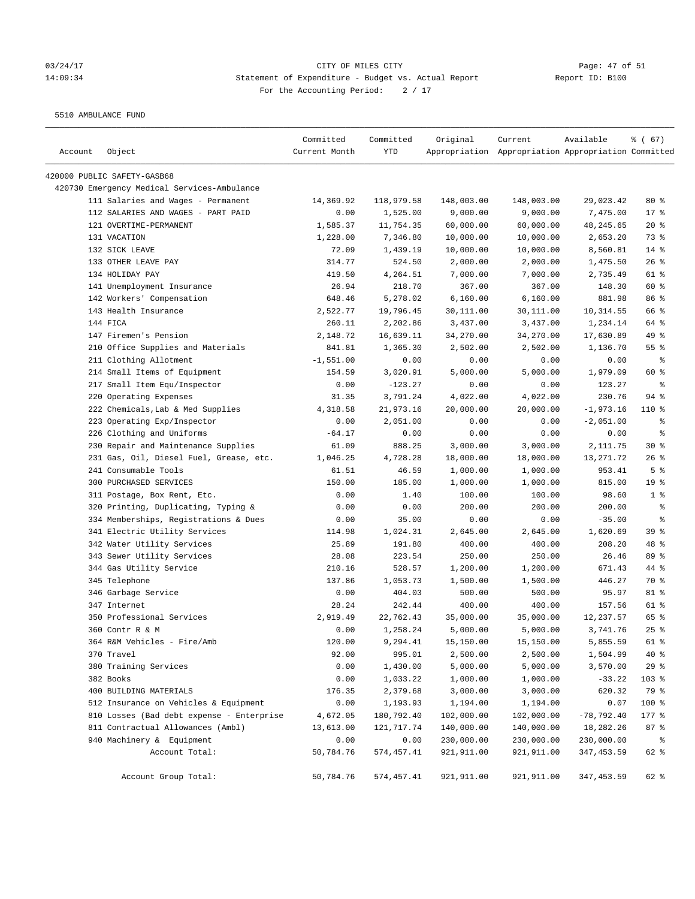# 03/24/17 Page: 47 of 51 14:09:34 Statement of Expenditure - Budget vs. Actual Report Report ID: B100 For the Accounting Period:  $2 / 17$

5510 AMBULANCE FUND

| Account | Object                                      | Committed<br>Current Month | Committed<br>YTD | Original   | Current<br>Appropriation Appropriation Appropriation Committed | Available    | % (67)          |
|---------|---------------------------------------------|----------------------------|------------------|------------|----------------------------------------------------------------|--------------|-----------------|
|         |                                             |                            |                  |            |                                                                |              |                 |
|         | 420000 PUBLIC SAFETY-GASB68                 |                            |                  |            |                                                                |              |                 |
|         | 420730 Emergency Medical Services-Ambulance |                            |                  |            |                                                                |              |                 |
|         | 111 Salaries and Wages - Permanent          | 14,369.92                  | 118,979.58       | 148,003.00 | 148,003.00                                                     | 29,023.42    | $80*$           |
|         | 112 SALARIES AND WAGES - PART PAID          | 0.00                       | 1,525.00         | 9,000.00   | 9,000.00                                                       | 7,475.00     | 17 <sup>°</sup> |
|         | 121 OVERTIME-PERMANENT                      | 1,585.37                   | 11,754.35        | 60,000.00  | 60,000.00                                                      | 48, 245.65   | $20*$           |
|         | 131 VACATION                                | 1,228.00                   | 7,346.80         | 10,000.00  | 10,000.00                                                      | 2,653.20     | 73 %            |
|         | 132 SICK LEAVE                              | 72.09                      | 1,439.19         | 10,000.00  | 10,000.00                                                      | 8,560.81     | $14$ %          |
|         | 133 OTHER LEAVE PAY                         | 314.77                     | 524.50           | 2,000.00   | 2,000.00                                                       | 1,475.50     | 26%             |
|         | 134 HOLIDAY PAY                             | 419.50                     | 4,264.51         | 7,000.00   | 7,000.00                                                       | 2,735.49     | 61 %            |
|         | 141 Unemployment Insurance                  | 26.94                      | 218.70           | 367.00     | 367.00                                                         | 148.30       | 60 %            |
|         | 142 Workers' Compensation                   | 648.46                     | 5,278.02         | 6,160.00   | 6,160.00                                                       | 881.98       | 86%             |
|         | 143 Health Insurance                        | 2,522.77                   | 19,796.45        | 30,111.00  | 30,111.00                                                      | 10,314.55    | 66 %            |
|         | 144 FICA                                    | 260.11                     | 2,202.86         | 3,437.00   | 3,437.00                                                       | 1,234.14     | 64 %            |
|         | 147 Firemen's Pension                       | 2,148.72                   | 16,639.11        | 34,270.00  | 34,270.00                                                      | 17,630.89    | 49 %            |
|         | 210 Office Supplies and Materials           | 841.81                     | 1,365.30         | 2,502.00   | 2,502.00                                                       | 1,136.70     | 55%             |
|         | 211 Clothing Allotment                      | $-1,551.00$                | 0.00             | 0.00       | 0.00                                                           | 0.00         | နွ              |
|         | 214 Small Items of Equipment                | 154.59                     | 3,020.91         | 5,000.00   | 5,000.00                                                       | 1,979.09     | 60 %            |
|         | 217 Small Item Equ/Inspector                | 0.00                       | $-123.27$        | 0.00       | 0.00                                                           | 123.27       | ႜ               |
|         | 220 Operating Expenses                      | 31.35                      | 3,791.24         | 4,022.00   | 4,022.00                                                       | 230.76       | $94$ %          |
|         | 222 Chemicals, Lab & Med Supplies           | 4,318.58                   | 21,973.16        | 20,000.00  | 20,000.00                                                      | $-1,973.16$  | 110 %           |
|         | 223 Operating Exp/Inspector                 | 0.00                       | 2,051.00         | 0.00       | 0.00                                                           | $-2,051.00$  | ႜ               |
|         | 226 Clothing and Uniforms                   | $-64.17$                   | 0.00             | 0.00       | 0.00                                                           | 0.00         | နွ              |
|         | 230 Repair and Maintenance Supplies         | 61.09                      | 888.25           | 3,000.00   | 3,000.00                                                       | 2,111.75     | $30*$           |
|         | 231 Gas, Oil, Diesel Fuel, Grease, etc.     | 1,046.25                   | 4,728.28         | 18,000.00  | 18,000.00                                                      | 13,271.72    | 26%             |
|         | 241 Consumable Tools                        | 61.51                      | 46.59            | 1,000.00   | 1,000.00                                                       | 953.41       | 5%              |
|         | 300 PURCHASED SERVICES                      | 150.00                     | 185.00           | 1,000.00   | 1,000.00                                                       | 815.00       | 19 <sup>°</sup> |
|         | 311 Postage, Box Rent, Etc.                 | 0.00                       | 1.40             | 100.00     | 100.00                                                         | 98.60        | 1 <sup>8</sup>  |
|         | 320 Printing, Duplicating, Typing &         | 0.00                       | 0.00             | 200.00     | 200.00                                                         | 200.00       | နွ              |
|         | 334 Memberships, Registrations & Dues       | 0.00                       | 35.00            | 0.00       | 0.00                                                           | $-35.00$     | နွ              |
|         | 341 Electric Utility Services               | 114.98                     | 1,024.31         | 2,645.00   | 2,645.00                                                       | 1,620.69     | 39 <sup>8</sup> |
|         | 342 Water Utility Services                  | 25.89                      | 191.80           | 400.00     | 400.00                                                         | 208.20       | 48 %            |
|         | 343 Sewer Utility Services                  | 28.08                      | 223.54           | 250.00     | 250.00                                                         | 26.46        | 89 %            |
|         | 344 Gas Utility Service                     | 210.16                     | 528.57           | 1,200.00   | 1,200.00                                                       | 671.43       | 44 %            |
|         | 345 Telephone                               | 137.86                     | 1,053.73         | 1,500.00   | 1,500.00                                                       | 446.27       | 70 %            |
|         | 346 Garbage Service                         | 0.00                       | 404.03           | 500.00     | 500.00                                                         | 95.97        | 81 %            |
|         | 347 Internet                                | 28.24                      | 242.44           | 400.00     | 400.00                                                         | 157.56       | 61 %            |
|         | 350 Professional Services                   | 2,919.49                   | 22,762.43        | 35,000.00  | 35,000.00                                                      | 12, 237.57   | 65 %            |
|         | 360 Contr R & M                             | 0.00                       | 1,258.24         | 5,000.00   | 5,000.00                                                       | 3,741.76     | $25$ $%$        |
|         | 364 R&M Vehicles - Fire/Amb                 | 120.00                     | 9,294.41         | 15,150.00  | 15,150.00                                                      | 5,855.59     | 61 %            |
|         | 370 Travel                                  | 92.00                      | 995.01           | 2,500.00   | 2,500.00                                                       | 1,504.99     | $40*$           |
|         | 380 Training Services                       | 0.00                       | 1,430.00         | 5,000.00   | 5,000.00                                                       | 3,570.00     | 29%             |
|         | 382 Books                                   | 0.00                       | 1,033.22         | 1,000.00   | 1,000.00                                                       | $-33.22$     | 103 %           |
|         | 400 BUILDING MATERIALS                      | 176.35                     | 2,379.68         | 3,000.00   | 3,000.00                                                       | 620.32       | 79 %            |
|         | 512 Insurance on Vehicles & Equipment       | 0.00                       | 1,193.93         | 1,194.00   | 1,194.00                                                       | 0.07         | 100 %           |
|         | 810 Losses (Bad debt expense - Enterprise   | 4,672.05                   | 180,792.40       | 102,000.00 | 102,000.00                                                     | $-78,792.40$ | 177 %           |
|         | 811 Contractual Allowances (Ambl)           | 13,613.00                  | 121,717.74       | 140,000.00 | 140,000.00                                                     | 18,282.26    | 87%             |
|         | 940 Machinery & Equipment                   | 0.00                       | 0.00             | 230,000.00 | 230,000.00                                                     | 230,000.00   | ి               |
|         | Account Total:                              | 50,784.76                  | 574,457.41       | 921,911.00 | 921,911.00                                                     | 347,453.59   | 62 %            |
|         | Account Group Total:                        | 50,784.76                  | 574,457.41       | 921,911.00 | 921,911.00                                                     | 347, 453.59  | 62 %            |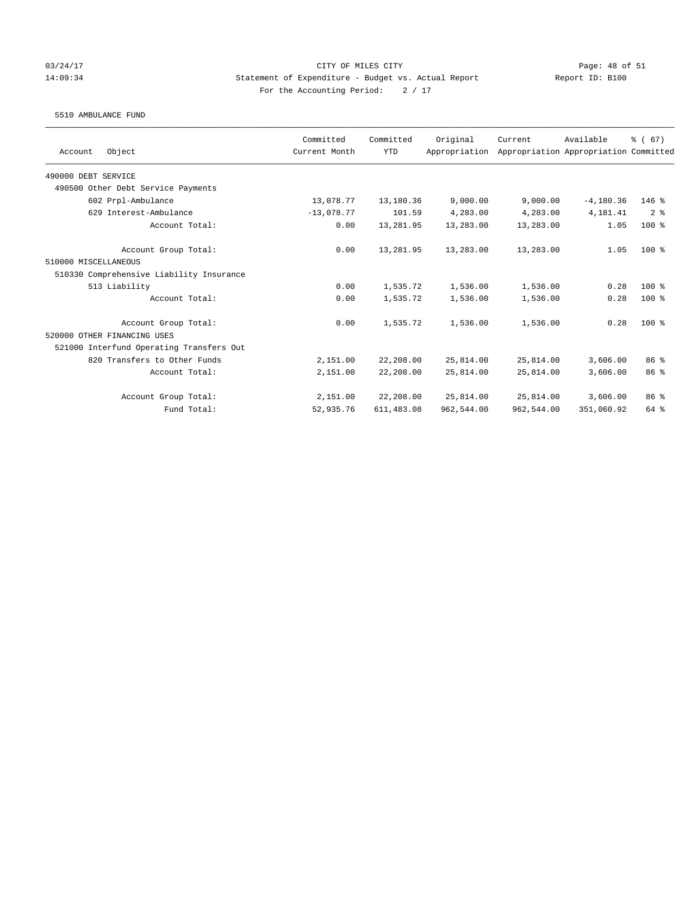#### 03/24/17 Page: 48 of 51 14:09:34 Statement of Expenditure - Budget vs. Actual Report Report ID: B100 For the Accounting Period:  $2 / 17$

5510 AMBULANCE FUND

|                                          | Committed     | Committed   | Original      | Current    | Available                             | % (67)          |
|------------------------------------------|---------------|-------------|---------------|------------|---------------------------------------|-----------------|
| Object<br>Account                        | Current Month | <b>YTD</b>  | Appropriation |            | Appropriation Appropriation Committed |                 |
| 490000 DEBT SERVICE                      |               |             |               |            |                                       |                 |
| 490500 Other Debt Service Payments       |               |             |               |            |                                       |                 |
| 602 Prpl-Ambulance                       | 13,078.77     | 13,180.36   | 9,000.00      | 9,000.00   | $-4, 180.36$                          | $146$ %         |
| 629 Interest-Ambulance                   | $-13.078.77$  | 101.59      | 4,283.00      | 4,283.00   | 4,181.41                              | 2 <sup>8</sup>  |
| Account Total:                           | 0.00          | 13,281.95   | 13,283.00     | 13,283.00  | 1.05                                  | $100*$          |
| Account Group Total:                     | 0.00          | 13,281.95   | 13,283.00     | 13,283.00  | 1.05                                  | $100*$          |
| 510000 MISCELLANEOUS                     |               |             |               |            |                                       |                 |
| 510330 Comprehensive Liability Insurance |               |             |               |            |                                       |                 |
| 513 Liability                            | 0.00          | 1,535.72    | 1,536.00      | 1,536.00   | 0.28                                  | $100*$          |
| Account Total:                           | 0.00          | 1,535.72    | 1,536.00      | 1,536.00   | 0.28                                  | $100*$          |
| Account Group Total:                     | 0.00          | 1,535.72    | 1,536.00      | 1,536.00   | 0.28                                  | $100*$          |
| 520000 OTHER FINANCING USES              |               |             |               |            |                                       |                 |
| 521000 Interfund Operating Transfers Out |               |             |               |            |                                       |                 |
| 820 Transfers to Other Funds             | 2,151.00      | 22,208.00   | 25,814.00     | 25,814.00  | 3,606.00                              | 86 %            |
| Account Total:                           | 2,151.00      | 22,208.00   | 25,814.00     | 25,814.00  | 3,606.00                              | 86 <sup>8</sup> |
| Account Group Total:                     | 2,151.00      | 22,208.00   | 25,814.00     | 25,814.00  | 3,606.00                              | 86 %            |
| Fund Total:                              | 52,935.76     | 611, 483.08 | 962,544.00    | 962,544.00 | 351,060.92                            | 64 %            |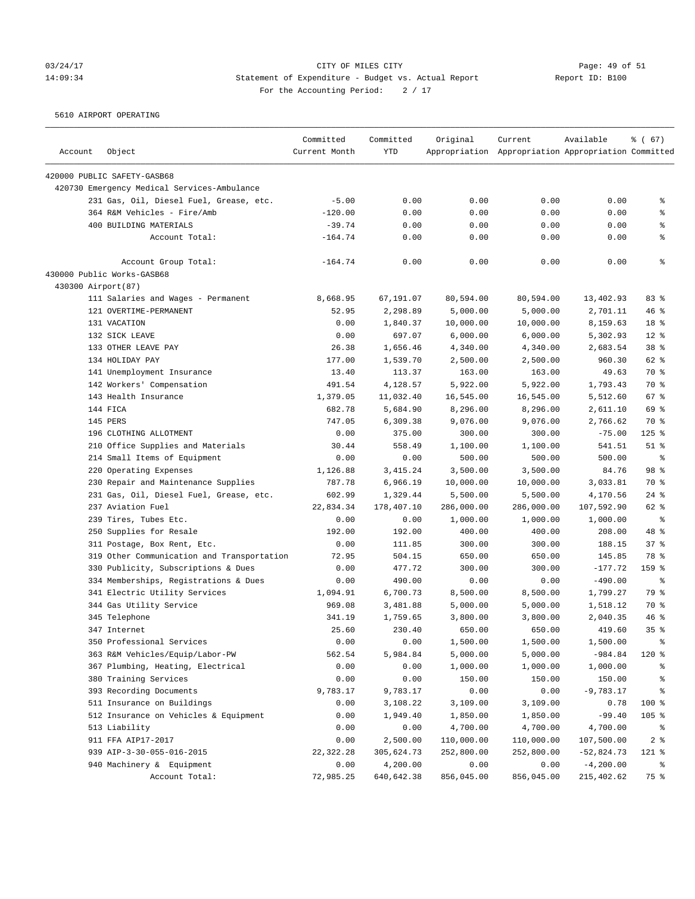# 03/24/17 CITY OF MILES CITY<br>14:09:34 Statement of Expenditure - Budget vs. Actual Report Report ID: B100 14:09:34 Statement of Expenditure - Budget vs. Actual Report Report ID: B100 For the Accounting Period:  $2 / 17$

5610 AIRPORT OPERATING

|         |                                             | Committed     | Committed  | Original   | Current                                             | Available    | % (67)          |
|---------|---------------------------------------------|---------------|------------|------------|-----------------------------------------------------|--------------|-----------------|
| Account | Object                                      | Current Month | <b>YTD</b> |            | Appropriation Appropriation Appropriation Committed |              |                 |
|         | 420000 PUBLIC SAFETY-GASB68                 |               |            |            |                                                     |              |                 |
|         | 420730 Emergency Medical Services-Ambulance |               |            |            |                                                     |              |                 |
|         | 231 Gas, Oil, Diesel Fuel, Grease, etc.     | $-5.00$       | 0.00       | 0.00       | 0.00                                                | 0.00         | နွ              |
|         | 364 R&M Vehicles - Fire/Amb                 | $-120.00$     | 0.00       | 0.00       | 0.00                                                | 0.00         | နွ              |
|         | 400 BUILDING MATERIALS                      | $-39.74$      | 0.00       | 0.00       | 0.00                                                | 0.00         | နွ              |
|         | Account Total:                              | $-164.74$     | 0.00       | 0.00       | 0.00                                                | 0.00         | ៖               |
|         | Account Group Total:                        | $-164.74$     | 0.00       | 0.00       | 0.00                                                | 0.00         | ి               |
|         | 430000 Public Works-GASB68                  |               |            |            |                                                     |              |                 |
|         | 430300 Airport(87)                          |               |            |            |                                                     |              |                 |
|         | 111 Salaries and Wages - Permanent          | 8,668.95      | 67,191.07  | 80,594.00  | 80,594.00                                           | 13,402.93    | 83%             |
|         | 121 OVERTIME-PERMANENT                      | 52.95         | 2,298.89   | 5,000.00   | 5,000.00                                            | 2,701.11     | 46%             |
|         | 131 VACATION                                | 0.00          | 1,840.37   | 10,000.00  | 10,000.00                                           | 8,159.63     | 18 %            |
|         | 132 SICK LEAVE                              | 0.00          | 697.07     | 6,000.00   | 6,000.00                                            | 5,302.93     | $12*$           |
|         | 133 OTHER LEAVE PAY                         | 26.38         | 1,656.46   | 4,340.00   | 4,340.00                                            | 2,683.54     | 38 %            |
|         | 134 HOLIDAY PAY                             | 177.00        | 1,539.70   | 2,500.00   | 2,500.00                                            | 960.30       | 62 %            |
|         | 141 Unemployment Insurance                  | 13.40         | 113.37     | 163.00     | 163.00                                              | 49.63        | 70 %            |
|         | 142 Workers' Compensation                   | 491.54        | 4,128.57   | 5,922.00   | 5,922.00                                            | 1,793.43     | 70 %            |
|         | 143 Health Insurance                        | 1,379.05      | 11,032.40  | 16,545.00  | 16,545.00                                           | 5,512.60     | 67 %            |
|         | 144 FICA                                    | 682.78        | 5,684.90   | 8,296.00   | 8,296.00                                            | 2,611.10     | 69 %            |
|         | 145 PERS                                    | 747.05        | 6,309.38   | 9,076.00   | 9,076.00                                            | 2,766.62     | 70 %            |
|         | 196 CLOTHING ALLOTMENT                      | 0.00          | 375.00     | 300.00     | 300.00                                              | $-75.00$     | $125$ %         |
|         | 210 Office Supplies and Materials           | 30.44         | 558.49     | 1,100.00   | 1,100.00                                            | 541.51       | $51$ %          |
|         | 214 Small Items of Equipment                | 0.00          | 0.00       | 500.00     | 500.00                                              | 500.00       | ిం              |
|         | 220 Operating Expenses                      | 1,126.88      | 3, 415.24  | 3,500.00   | 3,500.00                                            | 84.76        | 98 %            |
|         | 230 Repair and Maintenance Supplies         | 787.78        | 6,966.19   | 10,000.00  | 10,000.00                                           | 3,033.81     | 70 %            |
|         | 231 Gas, Oil, Diesel Fuel, Grease, etc.     | 602.99        | 1,329.44   | 5,500.00   | 5,500.00                                            | 4,170.56     | $24$ %          |
|         | 237 Aviation Fuel                           | 22,834.34     | 178,407.10 | 286,000.00 | 286,000.00                                          | 107,592.90   | 62 %            |
|         | 239 Tires, Tubes Etc.                       | 0.00          | 0.00       | 1,000.00   | 1,000.00                                            | 1,000.00     | နွ              |
|         | 250 Supplies for Resale                     | 192.00        | 192.00     | 400.00     | 400.00                                              | 208.00       | 48 %            |
|         | 311 Postage, Box Rent, Etc.                 | 0.00          | 111.85     | 300.00     | 300.00                                              | 188.15       | 37%             |
|         | 319 Other Communication and Transportation  | 72.95         | 504.15     | 650.00     | 650.00                                              | 145.85       | 78 %            |
|         | 330 Publicity, Subscriptions & Dues         | 0.00          | 477.72     | 300.00     | 300.00                                              | $-177.72$    | 159 %           |
|         | 334 Memberships, Registrations & Dues       | 0.00          | 490.00     | 0.00       | 0.00                                                | $-490.00$    | နွ              |
|         | 341 Electric Utility Services               | 1,094.91      | 6,700.73   | 8,500.00   | 8,500.00                                            | 1,799.27     | 79 %            |
|         | 344 Gas Utility Service                     | 969.08        | 3,481.88   | 5,000.00   | 5,000.00                                            | 1,518.12     | 70 %            |
|         | 345 Telephone                               | 341.19        | 1,759.65   | 3,800.00   | 3,800.00                                            | 2,040.35     | 46%             |
|         | 347 Internet                                | 25.60         | 230.40     | 650.00     | 650.00                                              | 419.60       | 35 <sup>8</sup> |
|         | 350 Professional Services                   | 0.00          | 0.00       | 1,500.00   | 1,500.00                                            | 1,500.00     | ್ಠಿ             |
|         | 363 R&M Vehicles/Equip/Labor-PW             | 562.54        | 5,984.84   | 5,000.00   | 5,000.00                                            | $-984.84$    | 120 %           |
|         | 367 Plumbing, Heating, Electrical           | 0.00          | 0.00       | 1,000.00   | 1,000.00                                            | 1,000.00     | ್ಠಿ             |
|         | 380 Training Services                       | 0.00          | 0.00       | 150.00     | 150.00                                              | 150.00       | နွ              |
|         | 393 Recording Documents                     | 9,783.17      | 9,783.17   | 0.00       | 0.00                                                | $-9,783.17$  | နွ              |
|         | 511 Insurance on Buildings                  | 0.00          | 3,108.22   | 3,109.00   | 3,109.00                                            | 0.78         | 100 %           |
|         | 512 Insurance on Vehicles & Equipment       | 0.00          | 1,949.40   | 1,850.00   | 1,850.00                                            | $-99.40$     | 105 %           |
|         | 513 Liability                               | 0.00          | 0.00       | 4,700.00   | 4,700.00                                            | 4,700.00     | ៖               |
|         | 911 FFA AIP17-2017                          | 0.00          | 2,500.00   | 110,000.00 | 110,000.00                                          | 107,500.00   | $2$ %           |
|         | 939 AIP-3-30-055-016-2015                   | 22,322.28     | 305,624.73 | 252,800.00 | 252,800.00                                          | $-52,824.73$ | 121 %           |
|         | 940 Machinery & Equipment                   | 0.00          | 4,200.00   | 0.00       | 0.00                                                | $-4, 200.00$ | နွ              |
|         | Account Total:                              | 72,985.25     | 640,642.38 | 856,045.00 | 856,045.00                                          | 215,402.62   | 75 %            |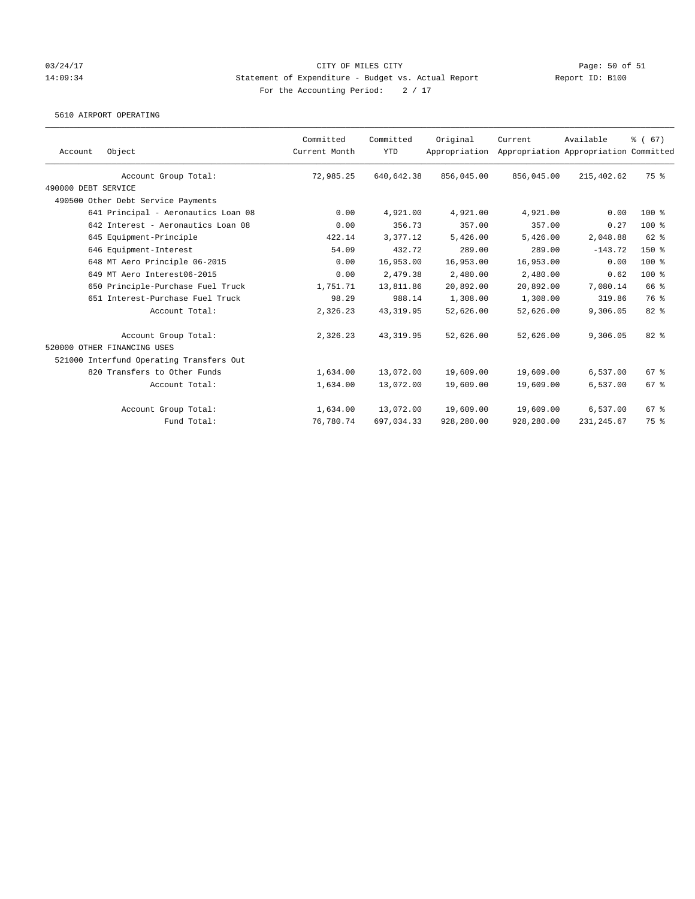### 03/24/17 Page: 50 of 51 14:09:34 Statement of Expenditure - Budget vs. Actual Report Report ID: B100 For the Accounting Period:  $2 / 17$

5610 AIRPORT OPERATING

| Account             | Object                                              | Committed<br>Current Month | Committed<br><b>YTD</b> | Original<br>Appropriation | Current    | Available<br>Appropriation Appropriation Committed | $\frac{6}{6}$ (67) |
|---------------------|-----------------------------------------------------|----------------------------|-------------------------|---------------------------|------------|----------------------------------------------------|--------------------|
|                     | Account Group Total:                                | 72,985.25                  | 640,642.38              | 856,045.00                | 856,045.00 | 215,402.62                                         | 75 %               |
| 490000 DEBT SERVICE |                                                     |                            |                         |                           |            |                                                    |                    |
|                     | 490500 Other Debt Service Payments                  |                            |                         |                           |            |                                                    |                    |
|                     | 641 Principal - Aeronautics Loan 08                 | 0.00                       | 4,921.00                | 4,921.00                  | 4,921.00   | 0.00                                               | 100 %              |
|                     | 642 Interest - Aeronautics Loan 08                  | 0.00                       | 356.73                  | 357.00                    | 357.00     | 0.27                                               | $100*$             |
|                     | 645 Equipment-Principle                             | 422.14                     | 3,377.12                | 5,426.00                  | 5,426.00   | 2,048.88                                           | 62 %               |
|                     | 646 Equipment-Interest                              | 54.09                      | 432.72                  | 289.00                    | 289.00     | $-143.72$                                          | $150*$             |
|                     | 648 MT Aero Principle 06-2015                       | 0.00                       | 16,953.00               | 16,953.00                 | 16,953.00  | 0.00                                               | $100*$             |
|                     | 649 MT Aero Interest06-2015                         | 0.00                       | 2,479.38                | 2,480.00                  | 2,480.00   | 0.62                                               | 100%               |
|                     | 650 Principle-Purchase Fuel Truck                   | 1,751.71                   | 13,811.86               | 20,892.00                 | 20,892.00  | 7,080.14                                           | 66 %               |
|                     | 651 Interest-Purchase Fuel Truck                    | 98.29                      | 988.14                  | 1,308.00                  | 1,308.00   | 319.86                                             | 76 %               |
|                     | Account Total:                                      | 2,326.23                   | 43, 319.95              | 52,626.00                 | 52,626.00  | 9,306.05                                           | 82%                |
|                     | Account Group Total:<br>520000 OTHER FINANCING USES | 2,326.23                   | 43, 319.95              | 52,626.00                 | 52,626.00  | 9,306.05                                           | $82*$              |
|                     | 521000 Interfund Operating Transfers Out            |                            |                         |                           |            |                                                    |                    |
|                     | 820 Transfers to Other Funds                        | 1,634.00                   | 13,072.00               | 19,609.00                 | 19,609.00  | 6,537.00                                           | 67 %               |
|                     | Account Total:                                      | 1,634.00                   | 13,072.00               | 19,609.00                 | 19,609.00  | 6,537.00                                           | 67 %               |
|                     | Account Group Total:                                | 1,634.00                   | 13,072.00               | 19,609.00                 | 19,609.00  | 6,537.00                                           | 67%                |
|                     | Fund Total:                                         | 76,780.74                  | 697,034.33              | 928,280.00                | 928,280.00 | 231, 245.67                                        | 75 %               |